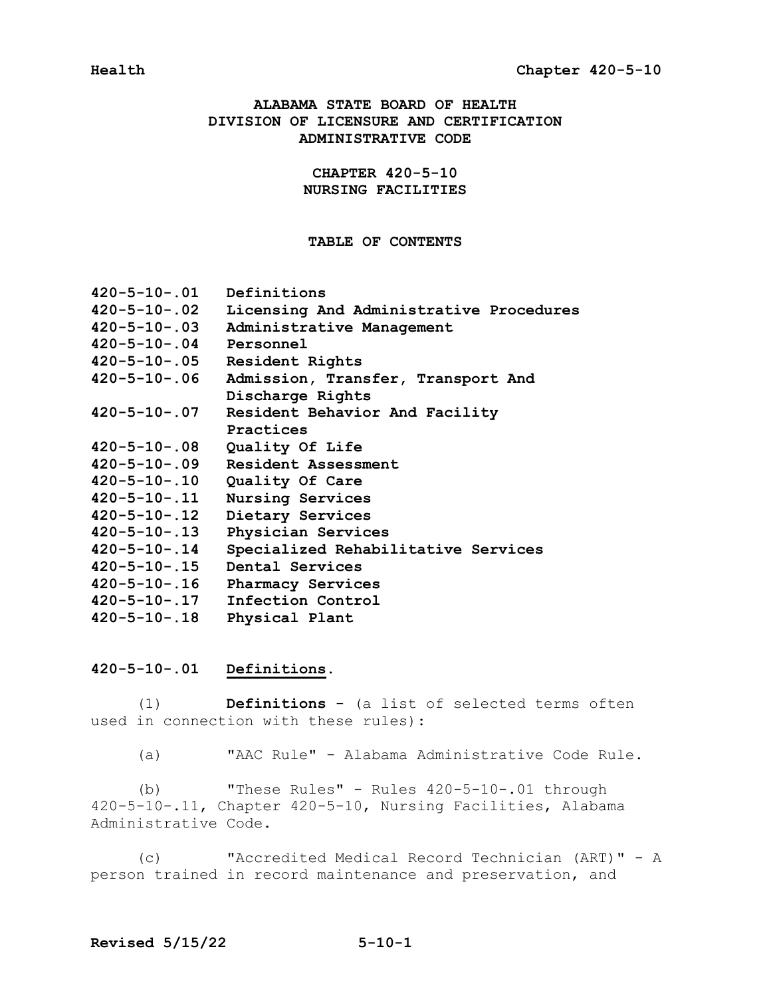# **ALABAMA STATE BOARD OF HEALTH DIVISION OF LICENSURE AND CERTIFICATION ADMINISTRATIVE CODE**

# **CHAPTER 420-5-10 NURSING FACILITIES**

# **TABLE OF CONTENTS**

| $420 - 5 - 10 - .01$ | Definitions                             |
|----------------------|-----------------------------------------|
| 420-5-10-.02         | Licensing And Administrative Procedures |
| 420-5-10-.03         | Administrative Management               |
| $420 - 5 - 10 - .04$ | Personnel                               |
| $420 - 5 - 10 - .05$ | Resident Rights                         |
| $420 - 5 - 10 - .06$ | Admission, Transfer, Transport And      |
|                      | Discharge Rights                        |
| $420 - 5 - 10 - .07$ | Resident Behavior And Facility          |
|                      | Practices                               |
| $420 - 5 - 10 - .08$ | Quality Of Life                         |
| 420-5-10-.09         | Resident Assessment                     |
| 420-5-10-.10         | Quality Of Care                         |
| $420 - 5 - 10 - .11$ | Nursing Services                        |
| $420 - 5 - 10 - .12$ | Dietary Services                        |
| $420 - 5 - 10 - .13$ | Physician Services                      |
| $420 - 5 - 10 - .14$ | Specialized Rehabilitative Services     |
| $420 - 5 - 10 - .15$ | Dental Services                         |
| 420-5-10-.16         | Pharmacy Services                       |
| 420-5-10-.17         | Infection Control                       |
| $420 - 5 - 10 - .18$ | Physical Plant                          |

# **420-5-10-.01 Definitions.**

(1) **Definitions** - (a list of selected terms often used in connection with these rules):

(a) "AAC Rule" - Alabama Administrative Code Rule.

 (b) "These Rules" - Rules 420-5-10-.01 through 420-5-10-.11, Chapter 420-5-10, Nursing Facilities, Alabama Administrative Code.

 (c) "Accredited Medical Record Technician (ART)" - A person trained in record maintenance and preservation, and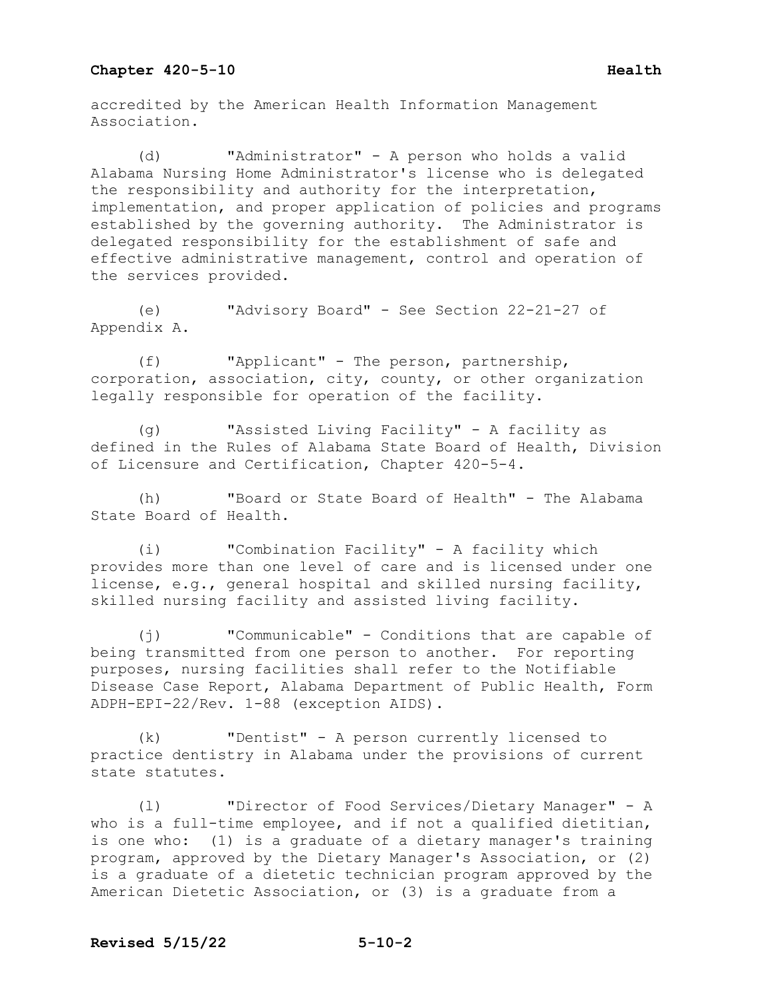accredited by the American Health Information Management Association.

(d) "Administrator" - A person who holds a valid Alabama Nursing Home Administrator's license who is delegated the responsibility and authority for the interpretation, implementation, and proper application of policies and programs established by the governing authority. The Administrator is delegated responsibility for the establishment of safe and effective administrative management, control and operation of the services provided.

(e) "Advisory Board" - See Section 22-21-27 of Appendix A.

(f) "Applicant" - The person, partnership, corporation, association, city, county, or other organization legally responsible for operation of the facility.

(g) "Assisted Living Facility" - A facility as defined in the Rules of Alabama State Board of Health, Division of Licensure and Certification, Chapter 420-5-4.

(h) "Board or State Board of Health" - The Alabama State Board of Health.

(i) "Combination Facility" - A facility which provides more than one level of care and is licensed under one license, e.g., general hospital and skilled nursing facility, skilled nursing facility and assisted living facility.

(j) "Communicable" - Conditions that are capable of being transmitted from one person to another. For reporting purposes, nursing facilities shall refer to the Notifiable Disease Case Report, Alabama Department of Public Health, Form ADPH-EPI-22/Rev. 1-88 (exception AIDS).

(k) "Dentist" - A person currently licensed to practice dentistry in Alabama under the provisions of current state statutes.

(l) "Director of Food Services/Dietary Manager" - A who is a full-time employee, and if not a qualified dietitian, is one who: (1) is a graduate of a dietary manager's training program, approved by the Dietary Manager's Association, or (2) is a graduate of a dietetic technician program approved by the American Dietetic Association, or (3) is a graduate from a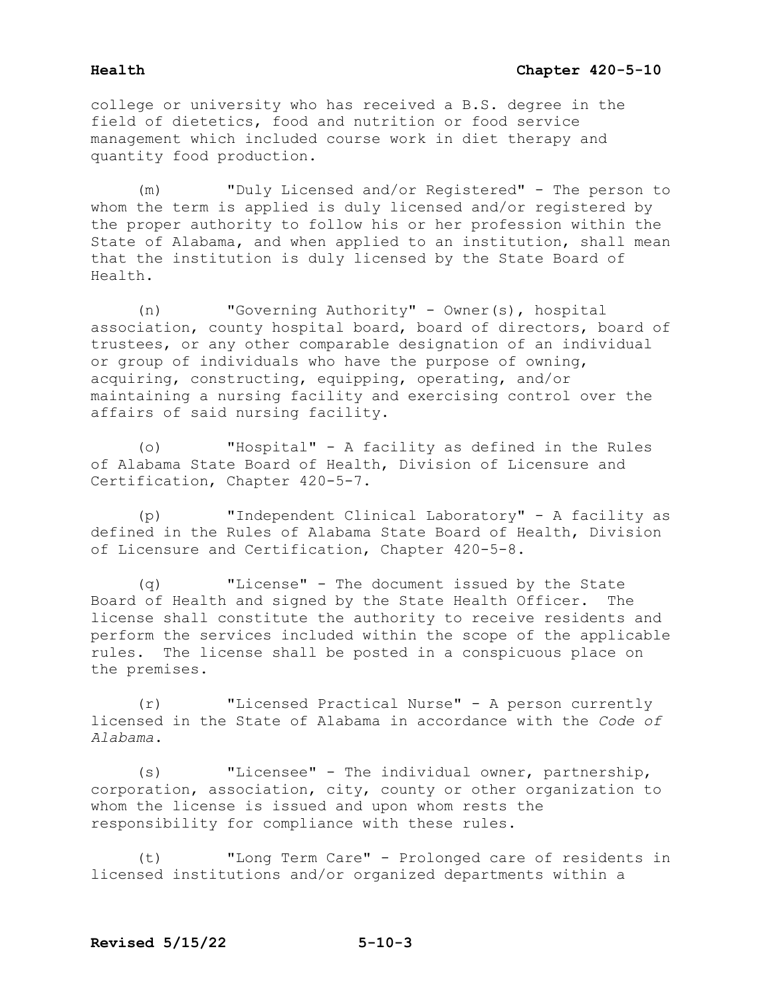college or university who has received a B.S. degree in the field of dietetics, food and nutrition or food service management which included course work in diet therapy and quantity food production.

(m) "Duly Licensed and/or Registered" - The person to whom the term is applied is duly licensed and/or registered by the proper authority to follow his or her profession within the State of Alabama, and when applied to an institution, shall mean that the institution is duly licensed by the State Board of Health.

(n) "Governing Authority" - Owner(s), hospital association, county hospital board, board of directors, board of trustees, or any other comparable designation of an individual or group of individuals who have the purpose of owning, acquiring, constructing, equipping, operating, and/or maintaining a nursing facility and exercising control over the affairs of said nursing facility.

(o) "Hospital" - A facility as defined in the Rules of Alabama State Board of Health, Division of Licensure and Certification, Chapter 420-5-7.

(p) "Independent Clinical Laboratory" - A facility as defined in the Rules of Alabama State Board of Health, Division of Licensure and Certification, Chapter 420-5-8.

(q) "License" - The document issued by the State Board of Health and signed by the State Health Officer. The license shall constitute the authority to receive residents and perform the services included within the scope of the applicable rules. The license shall be posted in a conspicuous place on the premises.

(r) "Licensed Practical Nurse" - A person currently licensed in the State of Alabama in accordance with the *Code of Alabama*.

(s) "Licensee" - The individual owner, partnership, corporation, association, city, county or other organization to whom the license is issued and upon whom rests the responsibility for compliance with these rules.

(t) "Long Term Care" - Prolonged care of residents in licensed institutions and/or organized departments within a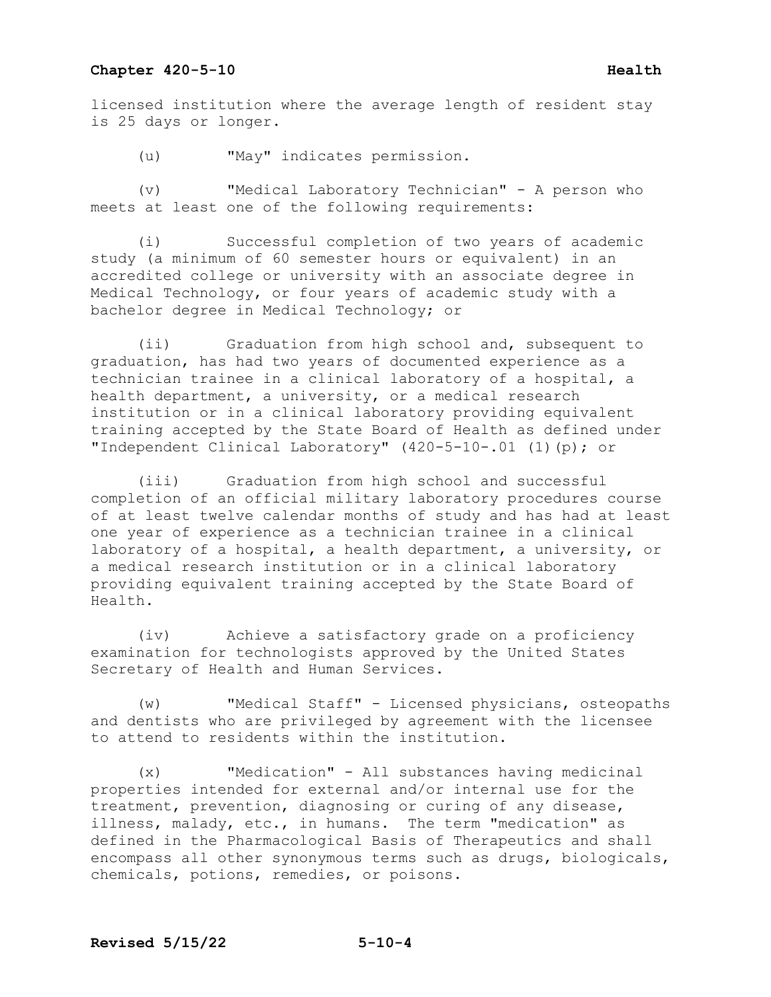licensed institution where the average length of resident stay is 25 days or longer.

(u) "May" indicates permission.

(v) "Medical Laboratory Technician" - A person who meets at least one of the following requirements:

(i) Successful completion of two years of academic study (a minimum of 60 semester hours or equivalent) in an accredited college or university with an associate degree in Medical Technology, or four years of academic study with a bachelor degree in Medical Technology; or

(ii) Graduation from high school and, subsequent to graduation, has had two years of documented experience as a technician trainee in a clinical laboratory of a hospital, a health department, a university, or a medical research institution or in a clinical laboratory providing equivalent training accepted by the State Board of Health as defined under "Independent Clinical Laboratory" (420-5-10-.01 (1)(p); or

(iii) Graduation from high school and successful completion of an official military laboratory procedures course of at least twelve calendar months of study and has had at least one year of experience as a technician trainee in a clinical laboratory of a hospital, a health department, a university, or a medical research institution or in a clinical laboratory providing equivalent training accepted by the State Board of Health.

(iv) Achieve a satisfactory grade on a proficiency examination for technologists approved by the United States Secretary of Health and Human Services.

(w) "Medical Staff" - Licensed physicians, osteopaths and dentists who are privileged by agreement with the licensee to attend to residents within the institution.

(x) "Medication" - All substances having medicinal properties intended for external and/or internal use for the treatment, prevention, diagnosing or curing of any disease, illness, malady, etc., in humans. The term "medication" as defined in the Pharmacological Basis of Therapeutics and shall encompass all other synonymous terms such as drugs, biologicals, chemicals, potions, remedies, or poisons.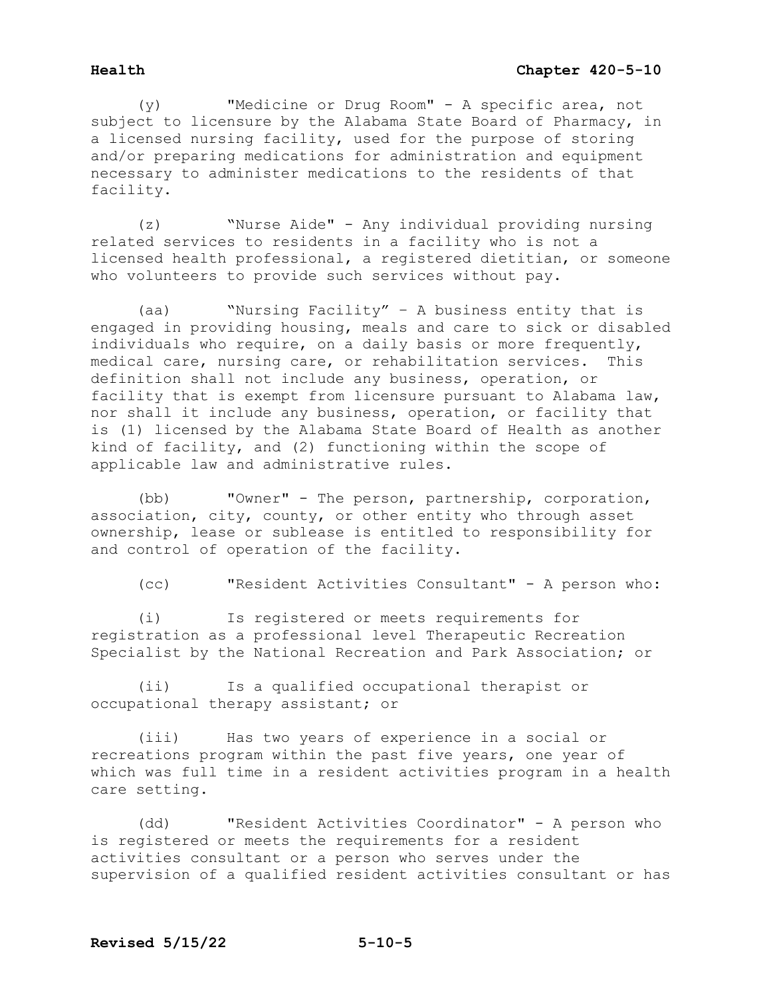(y) "Medicine or Drug Room" - A specific area, not subject to licensure by the Alabama State Board of Pharmacy, in a licensed nursing facility, used for the purpose of storing and/or preparing medications for administration and equipment necessary to administer medications to the residents of that facility.

(z) "Nurse Aide" - Any individual providing nursing related services to residents in a facility who is not a licensed health professional, a registered dietitian, or someone who volunteers to provide such services without pay.

(aa) "Nursing Facility" – A business entity that is engaged in providing housing, meals and care to sick or disabled individuals who require, on a daily basis or more frequently, medical care, nursing care, or rehabilitation services. This definition shall not include any business, operation, or facility that is exempt from licensure pursuant to Alabama law, nor shall it include any business, operation, or facility that is (1) licensed by the Alabama State Board of Health as another kind of facility, and (2) functioning within the scope of applicable law and administrative rules.

(bb) "Owner" - The person, partnership, corporation, association, city, county, or other entity who through asset ownership, lease or sublease is entitled to responsibility for and control of operation of the facility.

(cc) "Resident Activities Consultant" - A person who:

(i) Is registered or meets requirements for registration as a professional level Therapeutic Recreation Specialist by the National Recreation and Park Association; or

(ii) Is a qualified occupational therapist or occupational therapy assistant; or

(iii) Has two years of experience in a social or recreations program within the past five years, one year of which was full time in a resident activities program in a health care setting.

(dd) "Resident Activities Coordinator" - A person who is registered or meets the requirements for a resident activities consultant or a person who serves under the supervision of a qualified resident activities consultant or has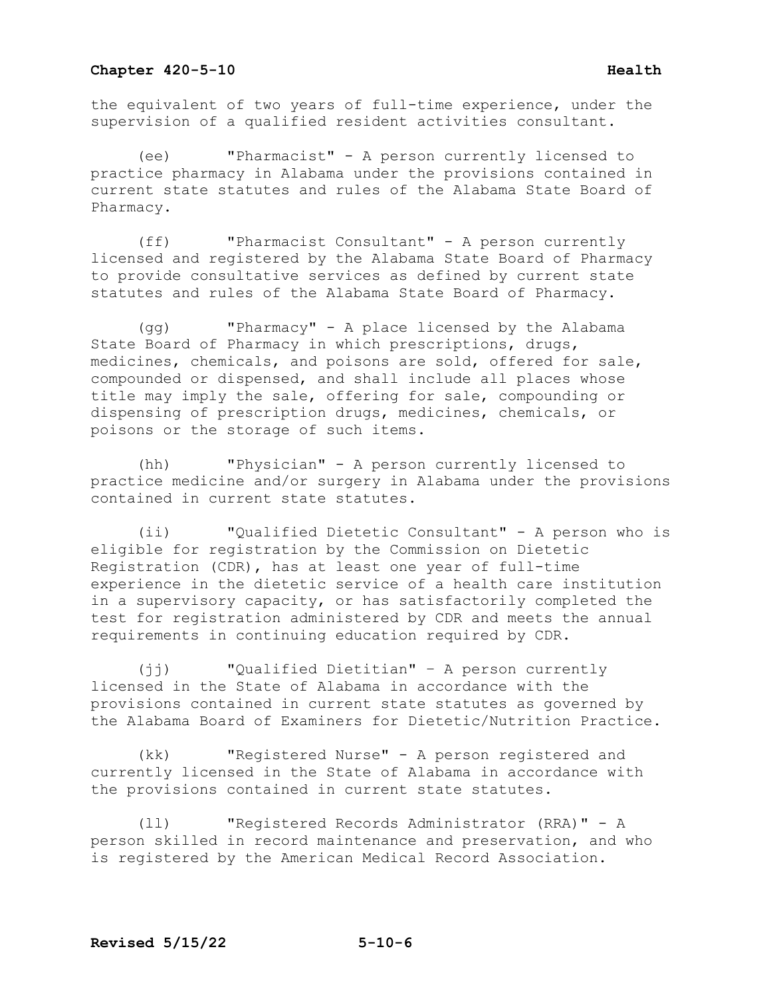the equivalent of two years of full-time experience, under the supervision of a qualified resident activities consultant.

(ee) "Pharmacist" - A person currently licensed to practice pharmacy in Alabama under the provisions contained in current state statutes and rules of the Alabama State Board of Pharmacy.

(ff) "Pharmacist Consultant" - A person currently licensed and registered by the Alabama State Board of Pharmacy to provide consultative services as defined by current state statutes and rules of the Alabama State Board of Pharmacy.

(gg) "Pharmacy" - A place licensed by the Alabama State Board of Pharmacy in which prescriptions, drugs, medicines, chemicals, and poisons are sold, offered for sale, compounded or dispensed, and shall include all places whose title may imply the sale, offering for sale, compounding or dispensing of prescription drugs, medicines, chemicals, or poisons or the storage of such items.

(hh) "Physician" - A person currently licensed to practice medicine and/or surgery in Alabama under the provisions contained in current state statutes.

(ii) "Qualified Dietetic Consultant" - A person who is eligible for registration by the Commission on Dietetic Registration (CDR), has at least one year of full-time experience in the dietetic service of a health care institution in a supervisory capacity, or has satisfactorily completed the test for registration administered by CDR and meets the annual requirements in continuing education required by CDR.

(jj) "Qualified Dietitian" – A person currently licensed in the State of Alabama in accordance with the provisions contained in current state statutes as governed by the Alabama Board of Examiners for Dietetic/Nutrition Practice.

(kk) "Registered Nurse" - A person registered and currently licensed in the State of Alabama in accordance with the provisions contained in current state statutes.

(ll) "Registered Records Administrator (RRA)" - A person skilled in record maintenance and preservation, and who is registered by the American Medical Record Association.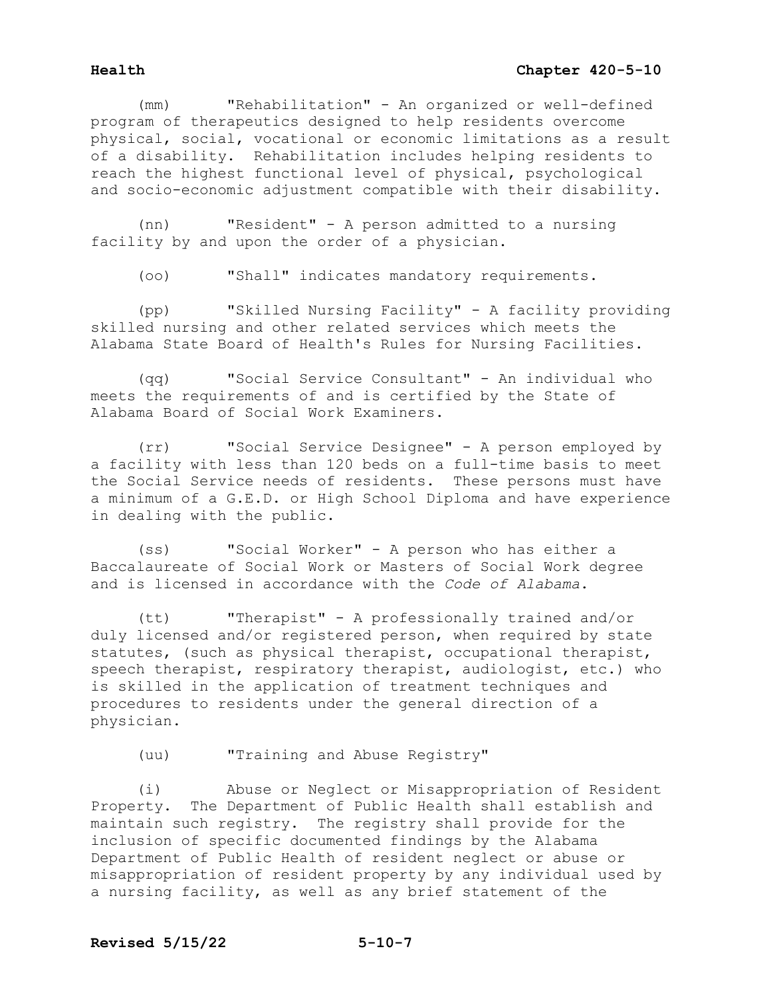(mm) "Rehabilitation" - An organized or well-defined program of therapeutics designed to help residents overcome physical, social, vocational or economic limitations as a result of a disability. Rehabilitation includes helping residents to reach the highest functional level of physical, psychological and socio-economic adjustment compatible with their disability.

(nn) "Resident" - A person admitted to a nursing facility by and upon the order of a physician.

(oo) "Shall" indicates mandatory requirements.

(pp) "Skilled Nursing Facility" - A facility providing skilled nursing and other related services which meets the Alabama State Board of Health's Rules for Nursing Facilities.

(qq) "Social Service Consultant" - An individual who meets the requirements of and is certified by the State of Alabama Board of Social Work Examiners.

(rr) "Social Service Designee" - A person employed by a facility with less than 120 beds on a full-time basis to meet the Social Service needs of residents. These persons must have a minimum of a G.E.D. or High School Diploma and have experience in dealing with the public.

(ss) "Social Worker" - A person who has either a Baccalaureate of Social Work or Masters of Social Work degree and is licensed in accordance with the *Code of Alabama*.

(tt) "Therapist" - A professionally trained and/or duly licensed and/or registered person, when required by state statutes, (such as physical therapist, occupational therapist, speech therapist, respiratory therapist, audiologist, etc.) who is skilled in the application of treatment techniques and procedures to residents under the general direction of a physician.

(uu) "Training and Abuse Registry"

(i) Abuse or Neglect or Misappropriation of Resident Property. The Department of Public Health shall establish and maintain such registry. The registry shall provide for the inclusion of specific documented findings by the Alabama Department of Public Health of resident neglect or abuse or misappropriation of resident property by any individual used by a nursing facility, as well as any brief statement of the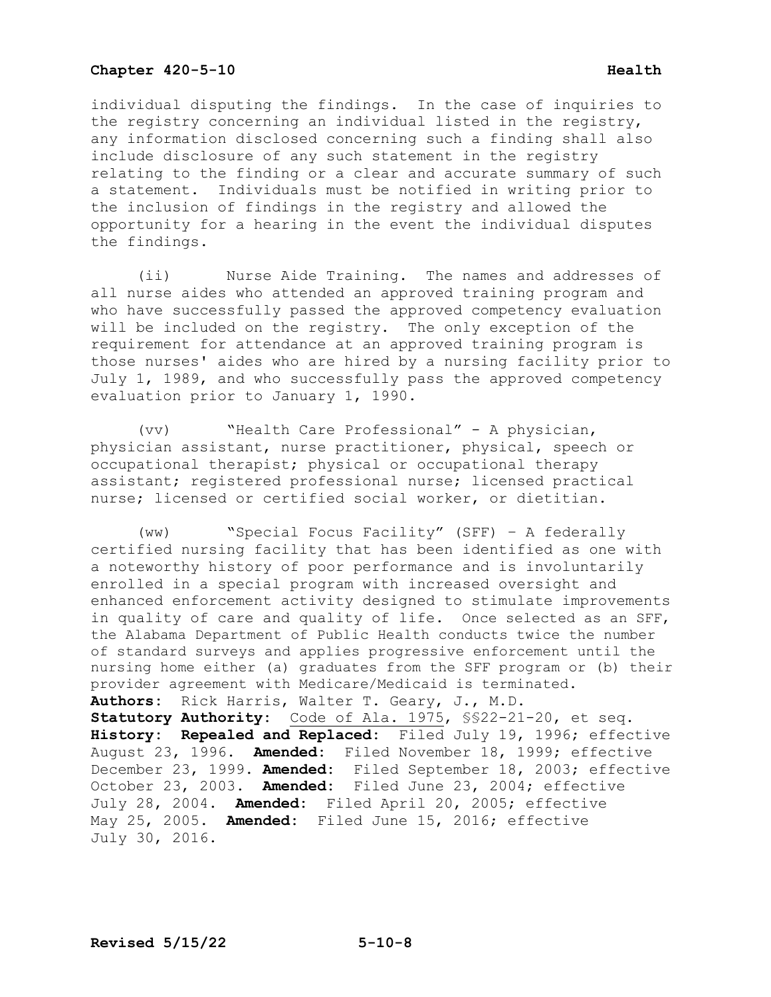# **Chapter 420-5-10 Health Health**

individual disputing the findings. In the case of inquiries to the registry concerning an individual listed in the registry, any information disclosed concerning such a finding shall also include disclosure of any such statement in the registry relating to the finding or a clear and accurate summary of such a statement. Individuals must be notified in writing prior to the inclusion of findings in the registry and allowed the opportunity for a hearing in the event the individual disputes the findings.

 (ii) Nurse Aide Training. The names and addresses of all nurse aides who attended an approved training program and who have successfully passed the approved competency evaluation will be included on the registry. The only exception of the requirement for attendance at an approved training program is those nurses' aides who are hired by a nursing facility prior to July 1, 1989, and who successfully pass the approved competency evaluation prior to January 1, 1990.

 (vv) "Health Care Professional" - A physician, physician assistant, nurse practitioner, physical, speech or occupational therapist; physical or occupational therapy assistant; registered professional nurse; licensed practical nurse; licensed or certified social worker, or dietitian.

 (ww) "Special Focus Facility" (SFF) – A federally certified nursing facility that has been identified as one with a noteworthy history of poor performance and is involuntarily enrolled in a special program with increased oversight and enhanced enforcement activity designed to stimulate improvements in quality of care and quality of life. Once selected as an SFF, the Alabama Department of Public Health conducts twice the number of standard surveys and applies progressive enforcement until the nursing home either (a) graduates from the SFF program or (b) their provider agreement with Medicare/Medicaid is terminated. **Authors:** Rick Harris, Walter T. Geary, J., M.D. **Statutory Authority:** Code of Ala. 1975, §§22-21-20, et seq. **History: Repealed and Replaced:** Filed July 19, 1996; effective August 23, 1996. **Amended:** Filed November 18, 1999; effective December 23, 1999. **Amended:** Filed September 18, 2003; effective October 23, 2003. **Amended:** Filed June 23, 2004; effective July 28, 2004. **Amended:** Filed April 20, 2005; effective

May 25, 2005. **Amended:** Filed June 15, 2016; effective July 30, 2016.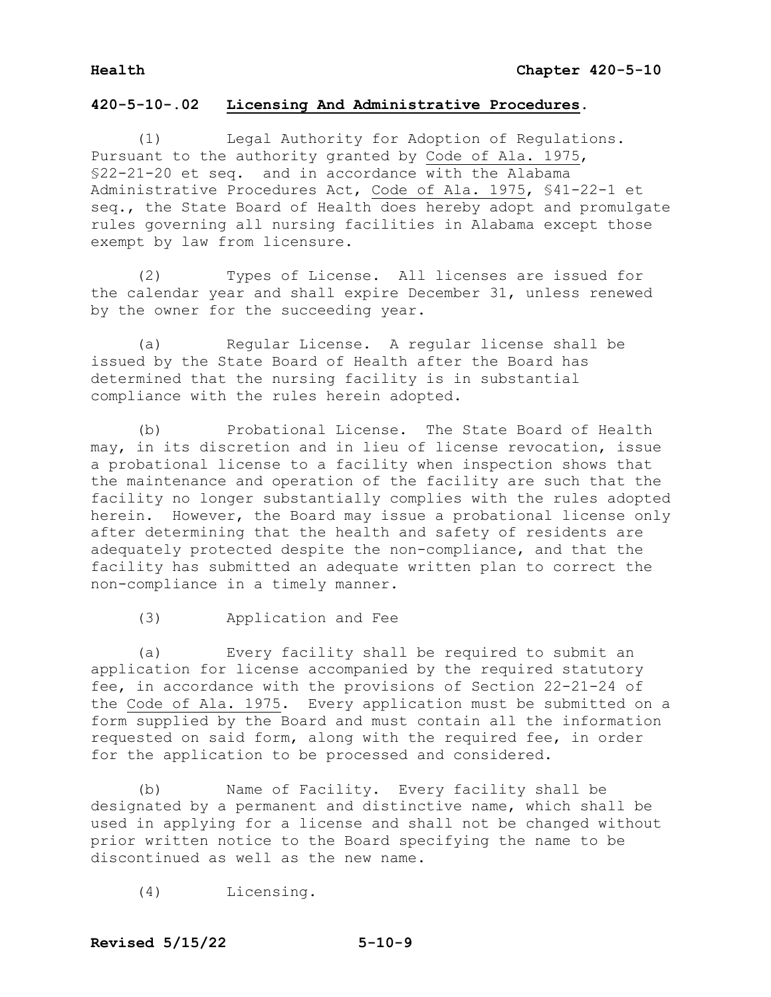# **420-5-10-.02 Licensing And Administrative Procedures.**

 (1) Legal Authority for Adoption of Regulations. Pursuant to the authority granted by Code of Ala. 1975, §22-21-20 et seq. and in accordance with the Alabama Administrative Procedures Act, Code of Ala. 1975, §41-22-1 et seq., the State Board of Health does hereby adopt and promulgate rules governing all nursing facilities in Alabama except those exempt by law from licensure.

 (2) Types of License. All licenses are issued for the calendar year and shall expire December 31, unless renewed by the owner for the succeeding year.

 (a) Regular License. A regular license shall be issued by the State Board of Health after the Board has determined that the nursing facility is in substantial compliance with the rules herein adopted.

 (b) Probational License. The State Board of Health may, in its discretion and in lieu of license revocation, issue a probational license to a facility when inspection shows that the maintenance and operation of the facility are such that the facility no longer substantially complies with the rules adopted herein. However, the Board may issue a probational license only after determining that the health and safety of residents are adequately protected despite the non-compliance, and that the facility has submitted an adequate written plan to correct the non-compliance in a timely manner.

(3) Application and Fee

 (a) Every facility shall be required to submit an application for license accompanied by the required statutory fee, in accordance with the provisions of Section 22-21-24 of the Code of Ala. 1975. Every application must be submitted on a form supplied by the Board and must contain all the information requested on said form, along with the required fee, in order for the application to be processed and considered.

 (b) Name of Facility. Every facility shall be designated by a permanent and distinctive name, which shall be used in applying for a license and shall not be changed without prior written notice to the Board specifying the name to be discontinued as well as the new name.

(4) Licensing.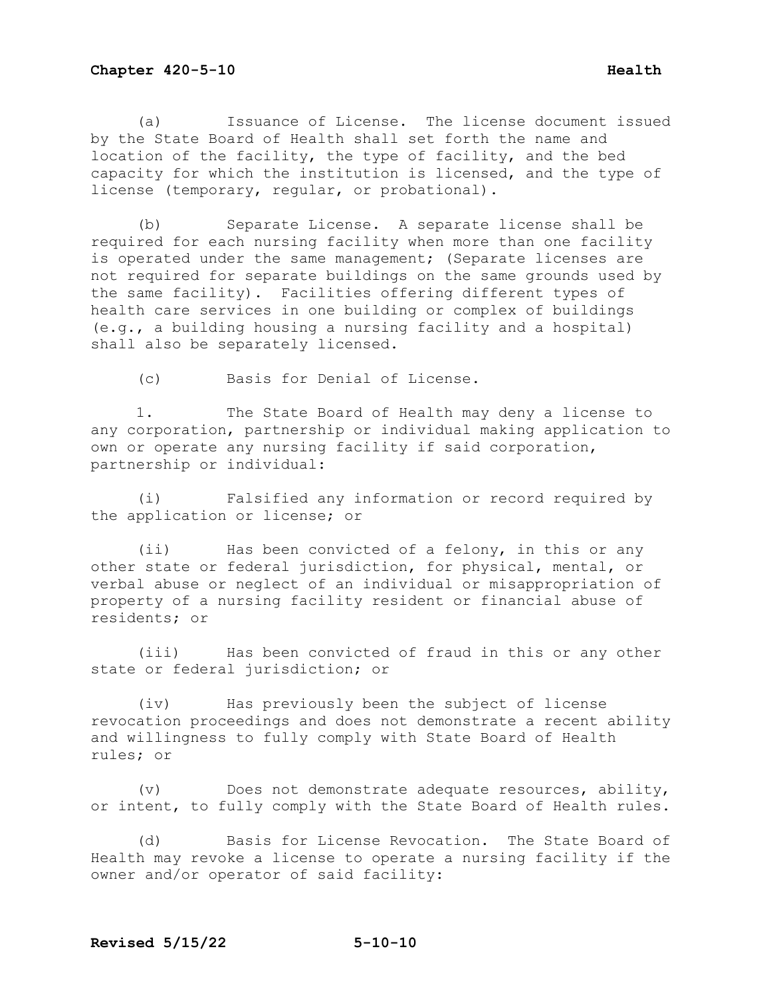(a) Issuance of License. The license document issued by the State Board of Health shall set forth the name and location of the facility, the type of facility, and the bed capacity for which the institution is licensed, and the type of license (temporary, regular, or probational).

(b) Separate License. A separate license shall be required for each nursing facility when more than one facility is operated under the same management; (Separate licenses are not required for separate buildings on the same grounds used by the same facility). Facilities offering different types of health care services in one building or complex of buildings (e.g., a building housing a nursing facility and a hospital) shall also be separately licensed.

(c) Basis for Denial of License.

1. The State Board of Health may deny a license to any corporation, partnership or individual making application to own or operate any nursing facility if said corporation, partnership or individual:

(i) Falsified any information or record required by the application or license; or

(ii) Has been convicted of a felony, in this or any other state or federal jurisdiction, for physical, mental, or verbal abuse or neglect of an individual or misappropriation of property of a nursing facility resident or financial abuse of residents; or

(iii) Has been convicted of fraud in this or any other state or federal jurisdiction; or

(iv) Has previously been the subject of license revocation proceedings and does not demonstrate a recent ability and willingness to fully comply with State Board of Health rules; or

(v) Does not demonstrate adequate resources, ability, or intent, to fully comply with the State Board of Health rules.

(d) Basis for License Revocation. The State Board of Health may revoke a license to operate a nursing facility if the owner and/or operator of said facility: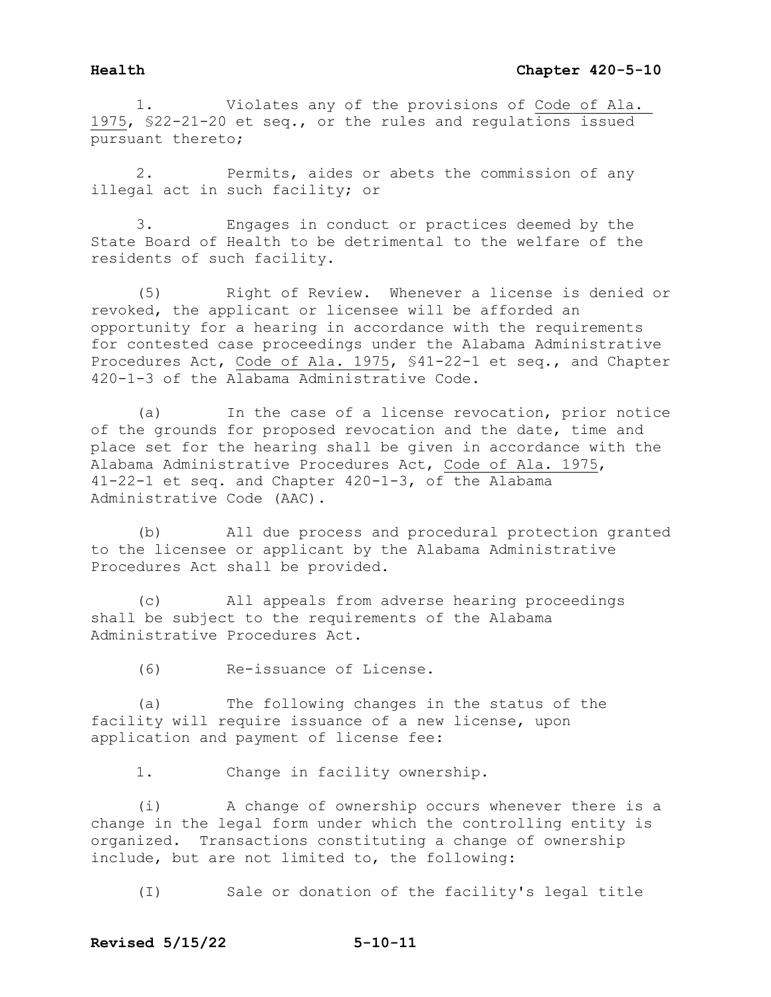1. Violates any of the provisions of Code of Ala. 1975, §22-21-20 et seq., or the rules and regulations issued pursuant thereto;

 2. Permits, aides or abets the commission of any illegal act in such facility; or

 3. Engages in conduct or practices deemed by the State Board of Health to be detrimental to the welfare of the residents of such facility.

 (5) Right of Review. Whenever a license is denied or revoked, the applicant or licensee will be afforded an opportunity for a hearing in accordance with the requirements for contested case proceedings under the Alabama Administrative Procedures Act, Code of Ala. 1975, §41-22-1 et seq., and Chapter 420-1-3 of the Alabama Administrative Code.

 (a) In the case of a license revocation, prior notice of the grounds for proposed revocation and the date, time and place set for the hearing shall be given in accordance with the Alabama Administrative Procedures Act, Code of Ala. 1975, 41-22-1 et seq. and Chapter 420-1-3, of the Alabama Administrative Code (AAC).

 (b) All due process and procedural protection granted to the licensee or applicant by the Alabama Administrative Procedures Act shall be provided.

 (c) All appeals from adverse hearing proceedings shall be subject to the requirements of the Alabama Administrative Procedures Act.

(6) Re-issuance of License.

 (a) The following changes in the status of the facility will require issuance of a new license, upon application and payment of license fee:

1. Change in facility ownership.

 (i) A change of ownership occurs whenever there is a change in the legal form under which the controlling entity is organized. Transactions constituting a change of ownership include, but are not limited to, the following:

(I) Sale or donation of the facility's legal title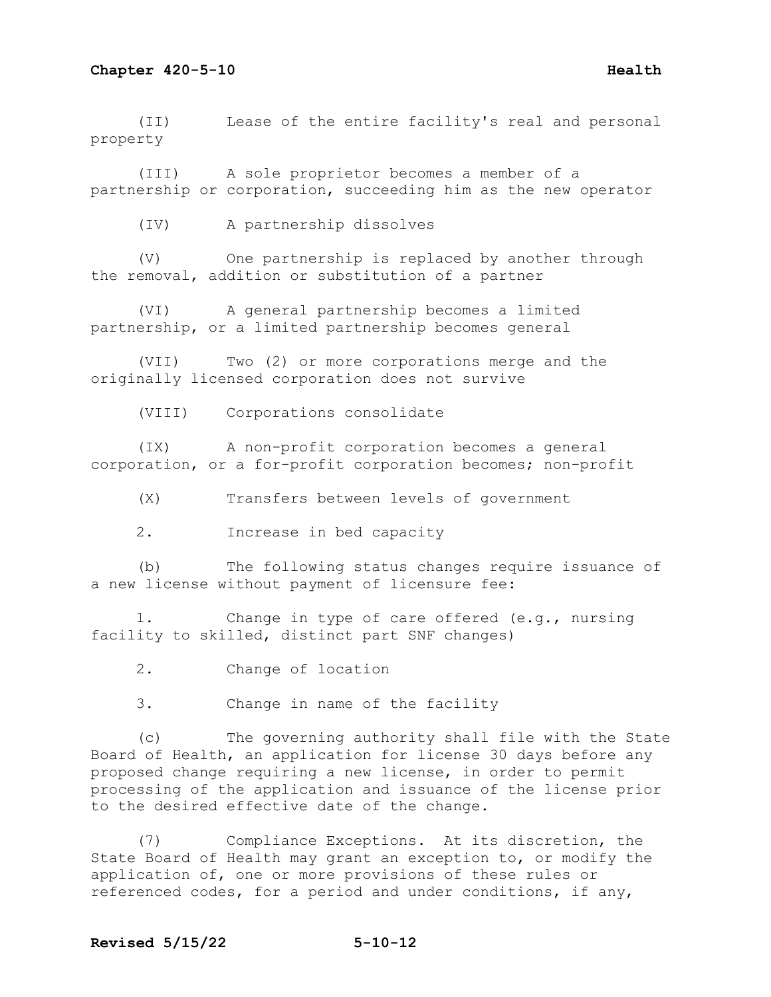(II) Lease of the entire facility's real and personal property

(III) A sole proprietor becomes a member of a partnership or corporation, succeeding him as the new operator

(IV) A partnership dissolves

(V) One partnership is replaced by another through the removal, addition or substitution of a partner

(VI) A general partnership becomes a limited partnership, or a limited partnership becomes general

(VII) Two (2) or more corporations merge and the originally licensed corporation does not survive

(VIII) Corporations consolidate

(IX) A non-profit corporation becomes a general corporation, or a for-profit corporation becomes; non-profit

(X) Transfers between levels of government

2. Increase in bed capacity

(b) The following status changes require issuance of a new license without payment of licensure fee:

1. Change in type of care offered (e.g., nursing facility to skilled, distinct part SNF changes)

2. Change of location

3. Change in name of the facility

(c) The governing authority shall file with the State Board of Health, an application for license 30 days before any proposed change requiring a new license, in order to permit processing of the application and issuance of the license prior to the desired effective date of the change.

(7) Compliance Exceptions. At its discretion, the State Board of Health may grant an exception to, or modify the application of, one or more provisions of these rules or referenced codes, for a period and under conditions, if any,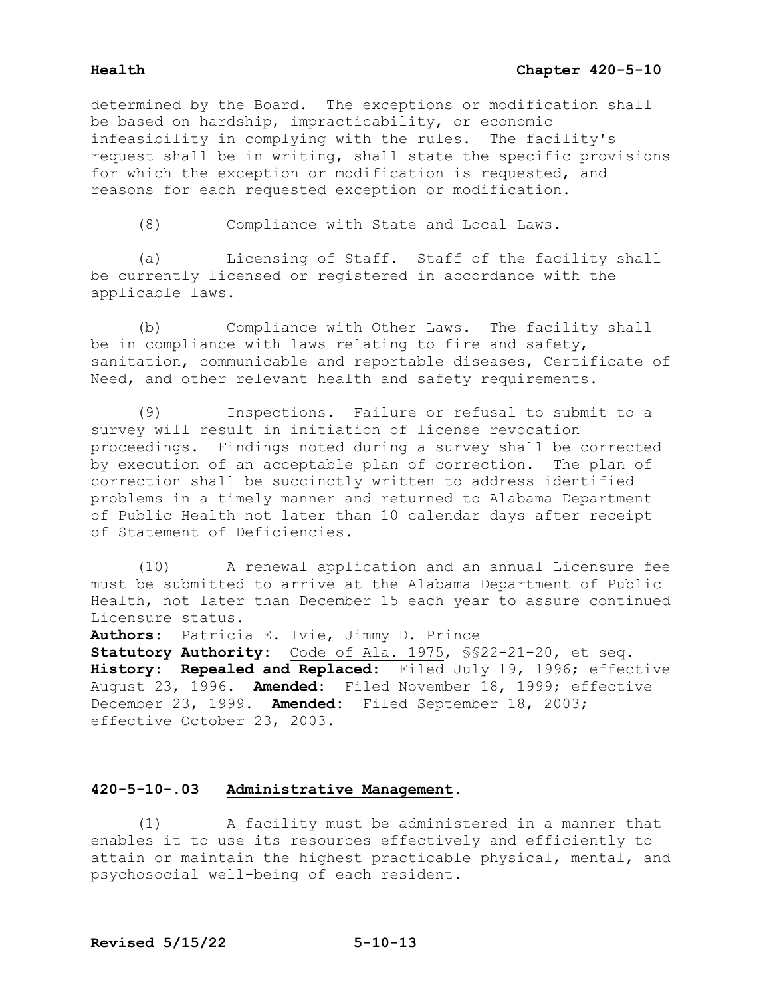determined by the Board. The exceptions or modification shall be based on hardship, impracticability, or economic infeasibility in complying with the rules. The facility's request shall be in writing, shall state the specific provisions for which the exception or modification is requested, and reasons for each requested exception or modification.

(8) Compliance with State and Local Laws.

 (a) Licensing of Staff. Staff of the facility shall be currently licensed or registered in accordance with the applicable laws.

 (b) Compliance with Other Laws. The facility shall be in compliance with laws relating to fire and safety, sanitation, communicable and reportable diseases, Certificate of Need, and other relevant health and safety requirements.

 (9) Inspections. Failure or refusal to submit to a survey will result in initiation of license revocation proceedings. Findings noted during a survey shall be corrected by execution of an acceptable plan of correction. The plan of correction shall be succinctly written to address identified problems in a timely manner and returned to Alabama Department of Public Health not later than 10 calendar days after receipt of Statement of Deficiencies.

 (10) A renewal application and an annual Licensure fee must be submitted to arrive at the Alabama Department of Public Health, not later than December 15 each year to assure continued Licensure status.

**Authors:** Patricia E. Ivie, Jimmy D. Prince **Statutory Authority:** Code of Ala. 1975, §§22-21-20, et seq. **History: Repealed and Replaced:** Filed July 19, 1996; effective August 23, 1996. **Amended:** Filed November 18, 1999; effective December 23, 1999. **Amended:** Filed September 18, 2003; effective October 23, 2003.

# **420-5-10-.03 Administrative Management.**

 (1) A facility must be administered in a manner that enables it to use its resources effectively and efficiently to attain or maintain the highest practicable physical, mental, and psychosocial well-being of each resident.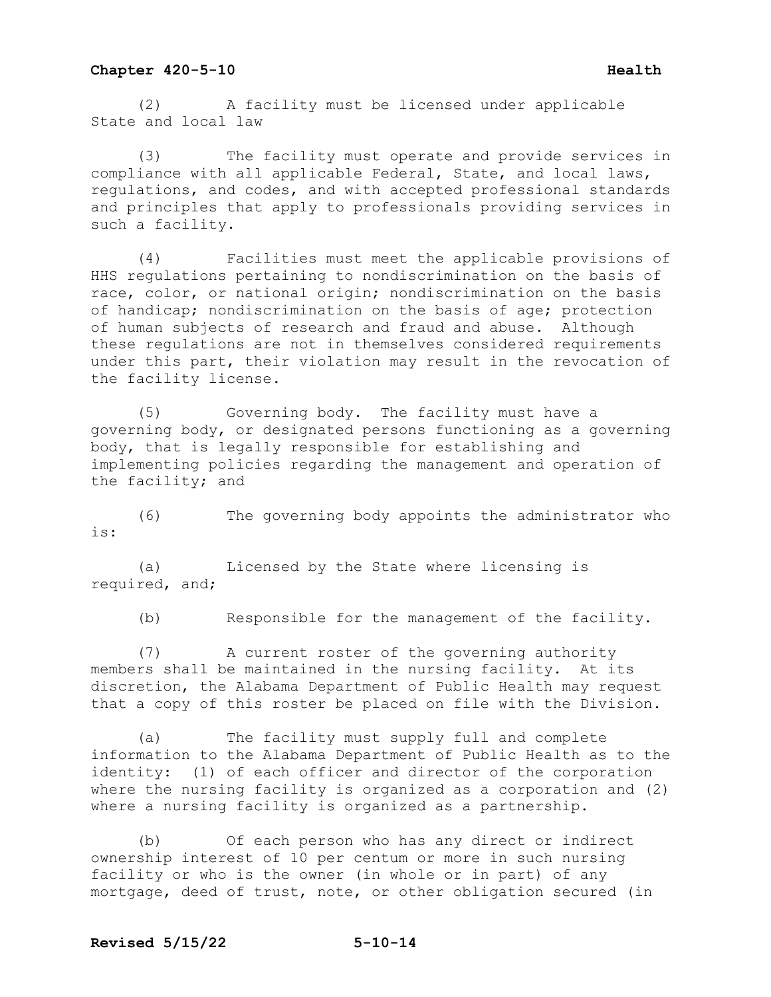(2) A facility must be licensed under applicable State and local law

(3) The facility must operate and provide services in compliance with all applicable Federal, State, and local laws, regulations, and codes, and with accepted professional standards and principles that apply to professionals providing services in such a facility.

(4) Facilities must meet the applicable provisions of HHS regulations pertaining to nondiscrimination on the basis of race, color, or national origin; nondiscrimination on the basis of handicap; nondiscrimination on the basis of age; protection of human subjects of research and fraud and abuse. Although these regulations are not in themselves considered requirements under this part, their violation may result in the revocation of the facility license.

(5) Governing body. The facility must have a governing body, or designated persons functioning as a governing body, that is legally responsible for establishing and implementing policies regarding the management and operation of the facility; and

(6) The governing body appoints the administrator who is:

(a) Licensed by the State where licensing is required, and;

(b) Responsible for the management of the facility.

(7) A current roster of the governing authority members shall be maintained in the nursing facility. At its discretion, the Alabama Department of Public Health may request that a copy of this roster be placed on file with the Division.

(a) The facility must supply full and complete information to the Alabama Department of Public Health as to the identity: (1) of each officer and director of the corporation where the nursing facility is organized as a corporation and (2) where a nursing facility is organized as a partnership.

(b) Of each person who has any direct or indirect ownership interest of 10 per centum or more in such nursing facility or who is the owner (in whole or in part) of any mortgage, deed of trust, note, or other obligation secured (in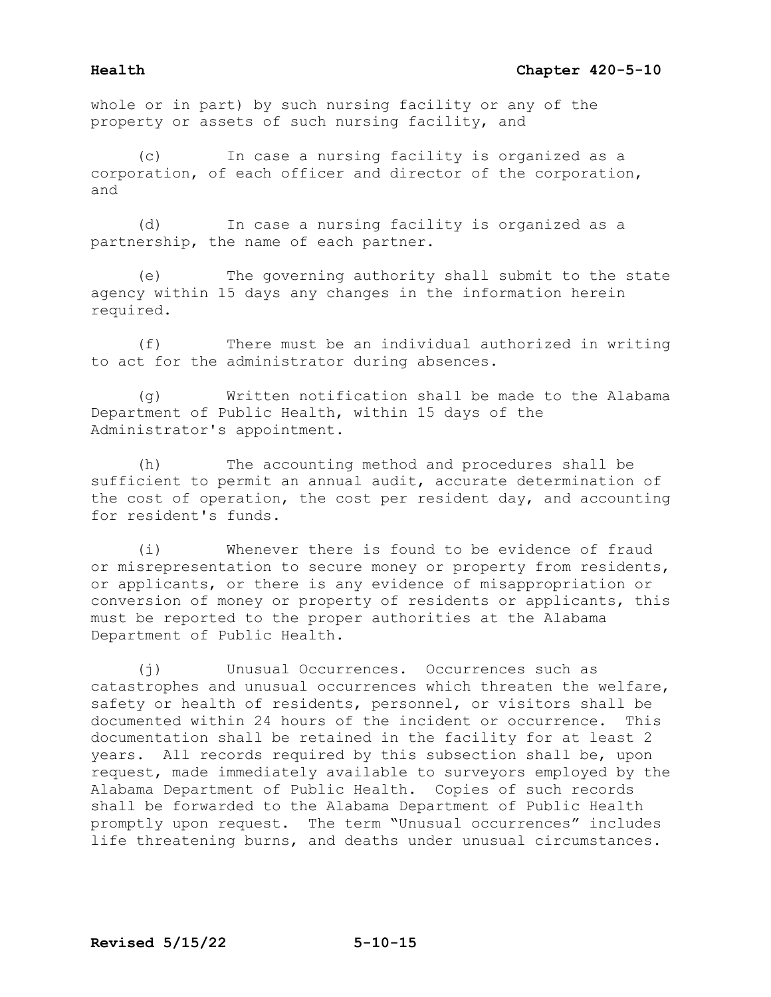whole or in part) by such nursing facility or any of the property or assets of such nursing facility, and

In case a nursing facility is organized as a corporation, of each officer and director of the corporation, and

(d) In case a nursing facility is organized as a partnership, the name of each partner.

(e) The governing authority shall submit to the state agency within 15 days any changes in the information herein required.

(f) There must be an individual authorized in writing to act for the administrator during absences.

(g) Written notification shall be made to the Alabama Department of Public Health, within 15 days of the Administrator's appointment.

(h) The accounting method and procedures shall be sufficient to permit an annual audit, accurate determination of the cost of operation, the cost per resident day, and accounting for resident's funds.

(i) Whenever there is found to be evidence of fraud or misrepresentation to secure money or property from residents, or applicants, or there is any evidence of misappropriation or conversion of money or property of residents or applicants, this must be reported to the proper authorities at the Alabama Department of Public Health.

(j) Unusual Occurrences. Occurrences such as catastrophes and unusual occurrences which threaten the welfare, safety or health of residents, personnel, or visitors shall be<br>documented within 24 hours of the incident or occurrence. This documented within 24 hours of the incident or occurrence. documentation shall be retained in the facility for at least 2 years. All records required by this subsection shall be, upon request, made immediately available to surveyors employed by the Alabama Department of Public Health. Copies of such records shall be forwarded to the Alabama Department of Public Health promptly upon request. The term "Unusual occurrences" includes life threatening burns, and deaths under unusual circumstances.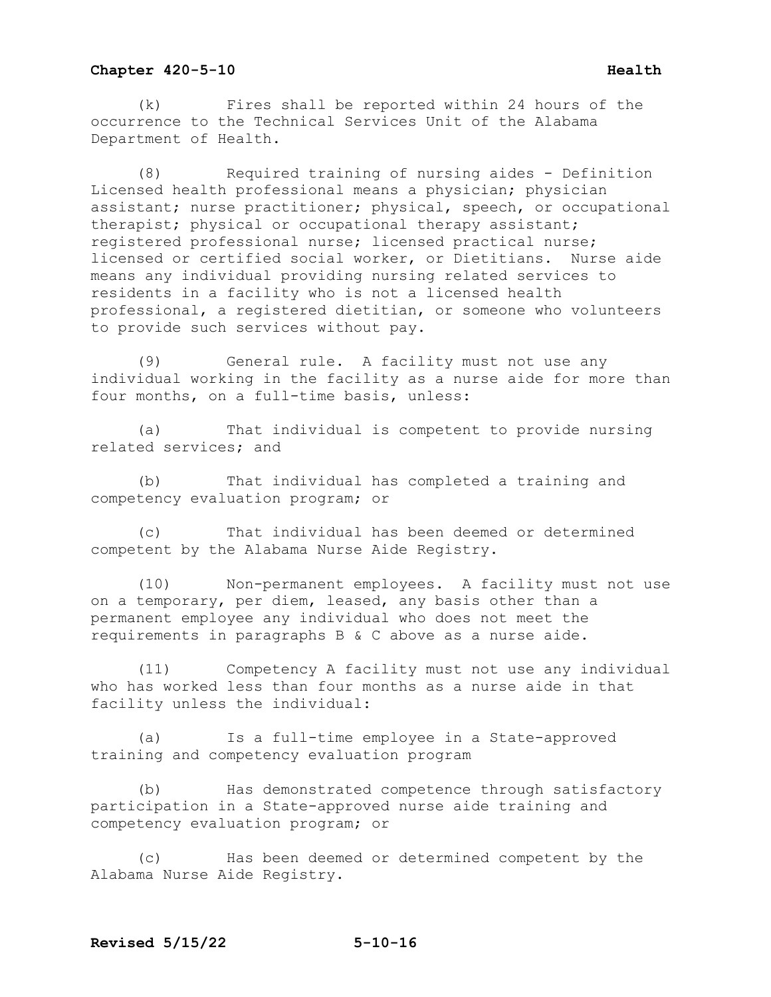(k) Fires shall be reported within 24 hours of the occurrence to the Technical Services Unit of the Alabama Department of Health.

(8) Required training of nursing aides - Definition Licensed health professional means a physician; physician assistant; nurse practitioner; physical, speech, or occupational therapist; physical or occupational therapy assistant; registered professional nurse; licensed practical nurse; licensed or certified social worker, or Dietitians. Nurse aide means any individual providing nursing related services to residents in a facility who is not a licensed health professional, a registered dietitian, or someone who volunteers to provide such services without pay.

(9) General rule. A facility must not use any individual working in the facility as a nurse aide for more than four months, on a full-time basis, unless:

(a) That individual is competent to provide nursing related services; and

(b) That individual has completed a training and competency evaluation program; or

(c) That individual has been deemed or determined competent by the Alabama Nurse Aide Registry.

(10) Non-permanent employees. A facility must not use on a temporary, per diem, leased, any basis other than a permanent employee any individual who does not meet the requirements in paragraphs B & C above as a nurse aide.

(11) Competency A facility must not use any individual who has worked less than four months as a nurse aide in that facility unless the individual:

(a) Is a full-time employee in a State-approved training and competency evaluation program

(b) Has demonstrated competence through satisfactory participation in a State-approved nurse aide training and competency evaluation program; or

(c) Has been deemed or determined competent by the Alabama Nurse Aide Registry.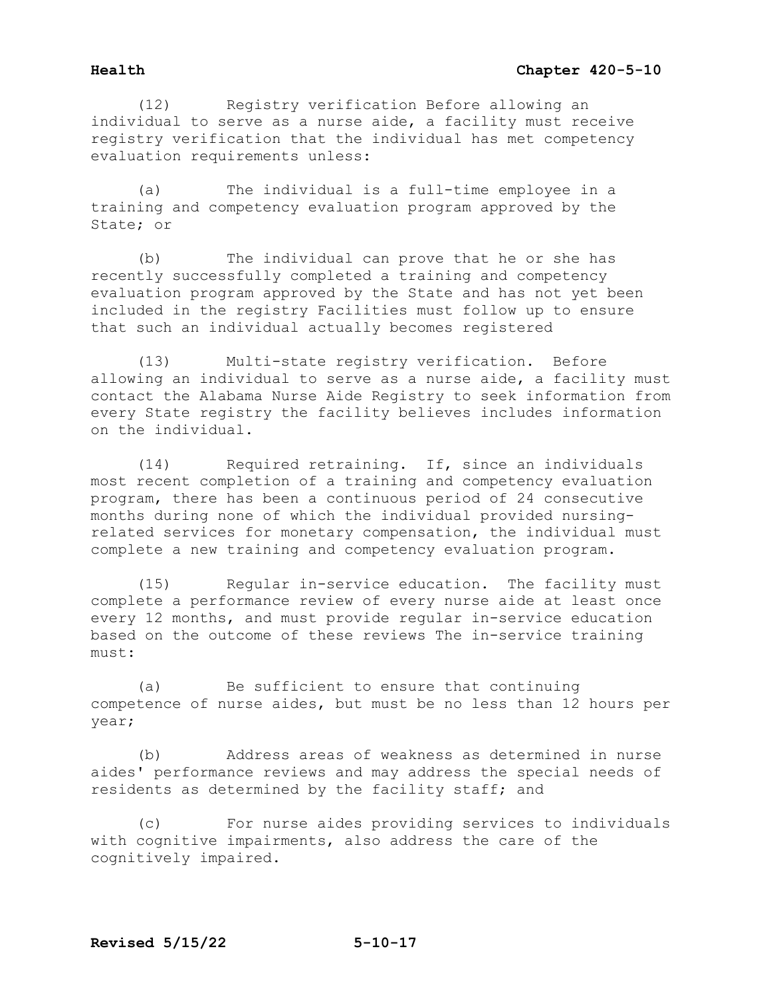(12) Registry verification Before allowing an individual to serve as a nurse aide, a facility must receive registry verification that the individual has met competency evaluation requirements unless:

(a) The individual is a full-time employee in a training and competency evaluation program approved by the State; or

(b) The individual can prove that he or she has recently successfully completed a training and competency evaluation program approved by the State and has not yet been included in the registry Facilities must follow up to ensure that such an individual actually becomes registered

(13) Multi-state registry verification. Before allowing an individual to serve as a nurse aide, a facility must contact the Alabama Nurse Aide Registry to seek information from every State registry the facility believes includes information on the individual.

(14) Required retraining. If, since an individuals most recent completion of a training and competency evaluation program, there has been a continuous period of 24 consecutive months during none of which the individual provided nursingrelated services for monetary compensation, the individual must complete a new training and competency evaluation program.

(15) Regular in-service education. The facility must complete a performance review of every nurse aide at least once every 12 months, and must provide regular in-service education based on the outcome of these reviews The in-service training must:

(a) Be sufficient to ensure that continuing competence of nurse aides, but must be no less than 12 hours per year;

(b) Address areas of weakness as determined in nurse aides' performance reviews and may address the special needs of residents as determined by the facility staff; and

(c) For nurse aides providing services to individuals with cognitive impairments, also address the care of the cognitively impaired.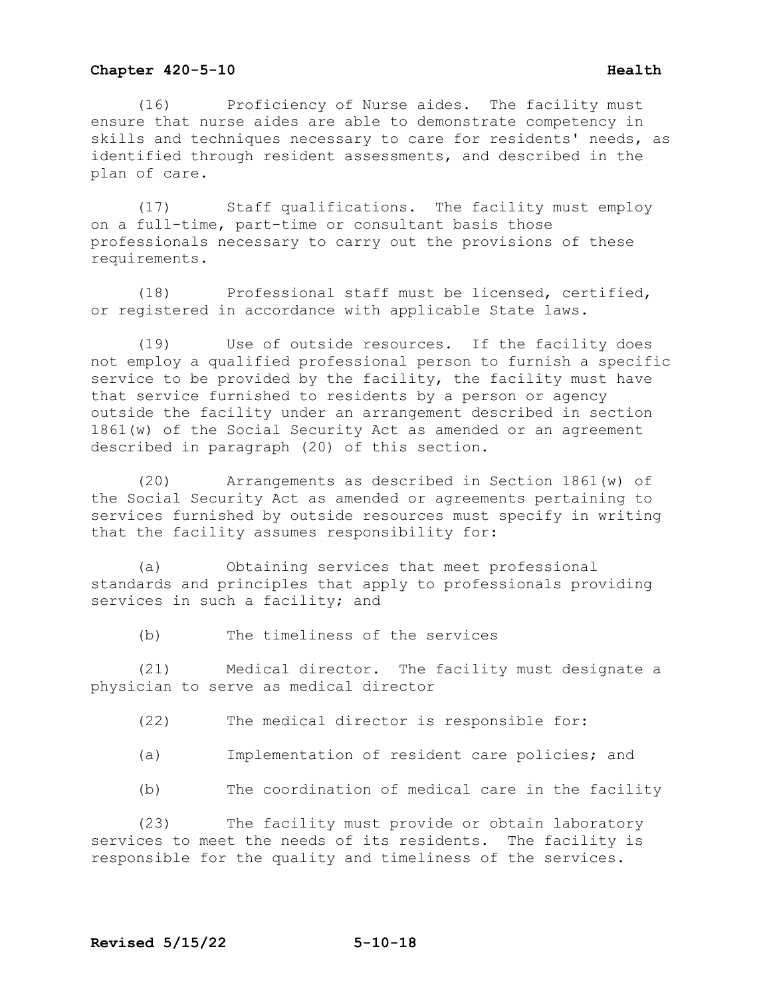(16) Proficiency of Nurse aides. The facility must ensure that nurse aides are able to demonstrate competency in skills and techniques necessary to care for residents' needs, as identified through resident assessments, and described in the plan of care.

(17) Staff qualifications. The facility must employ on a full-time, part-time or consultant basis those professionals necessary to carry out the provisions of these requirements.

(18) Professional staff must be licensed, certified, or registered in accordance with applicable State laws.

(19) Use of outside resources. If the facility does not employ a qualified professional person to furnish a specific service to be provided by the facility, the facility must have that service furnished to residents by a person or agency outside the facility under an arrangement described in section 1861(w) of the Social Security Act as amended or an agreement described in paragraph (20) of this section.

(20) Arrangements as described in Section 1861(w) of the Social Security Act as amended or agreements pertaining to services furnished by outside resources must specify in writing that the facility assumes responsibility for:

(a) Obtaining services that meet professional standards and principles that apply to professionals providing services in such a facility; and

(b) The timeliness of the services

(21) Medical director. The facility must designate a physician to serve as medical director

- (22) The medical director is responsible for:
- (a) Implementation of resident care policies; and

(b) The coordination of medical care in the facility

(23) The facility must provide or obtain laboratory services to meet the needs of its residents. The facility is responsible for the quality and timeliness of the services.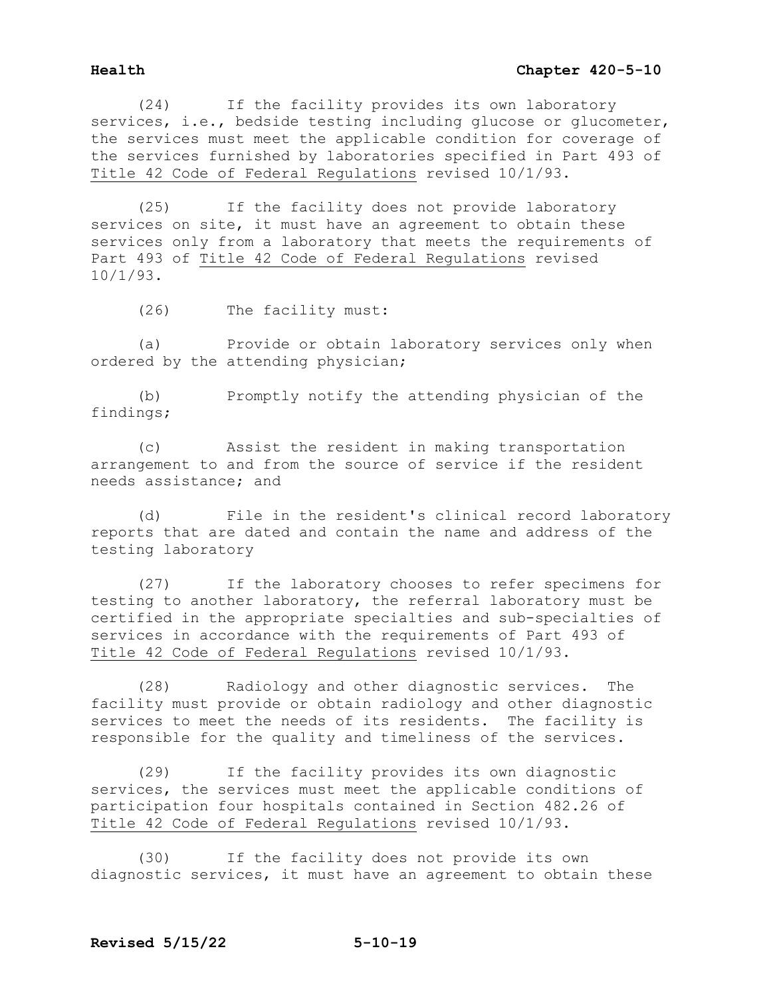(24) If the facility provides its own laboratory services, i.e., bedside testing including glucose or glucometer, the services must meet the applicable condition for coverage of the services furnished by laboratories specified in Part 493 of Title 42 Code of Federal Regulations revised 10/1/93.

 (25) If the facility does not provide laboratory services on site, it must have an agreement to obtain these services only from a laboratory that meets the requirements of Part 493 of Title 42 Code of Federal Regulations revised 10/1/93.

(26) The facility must:

 (a) Provide or obtain laboratory services only when ordered by the attending physician;

 (b) Promptly notify the attending physician of the findings;

 (c) Assist the resident in making transportation arrangement to and from the source of service if the resident needs assistance; and

 (d) File in the resident's clinical record laboratory reports that are dated and contain the name and address of the testing laboratory

 (27) If the laboratory chooses to refer specimens for testing to another laboratory, the referral laboratory must be certified in the appropriate specialties and sub-specialties of services in accordance with the requirements of Part 493 of Title 42 Code of Federal Regulations revised 10/1/93.

 (28) Radiology and other diagnostic services. The facility must provide or obtain radiology and other diagnostic services to meet the needs of its residents. The facility is responsible for the quality and timeliness of the services.

 (29) If the facility provides its own diagnostic services, the services must meet the applicable conditions of participation four hospitals contained in Section 482.26 of Title 42 Code of Federal Regulations revised 10/1/93.

 (30) If the facility does not provide its own diagnostic services, it must have an agreement to obtain these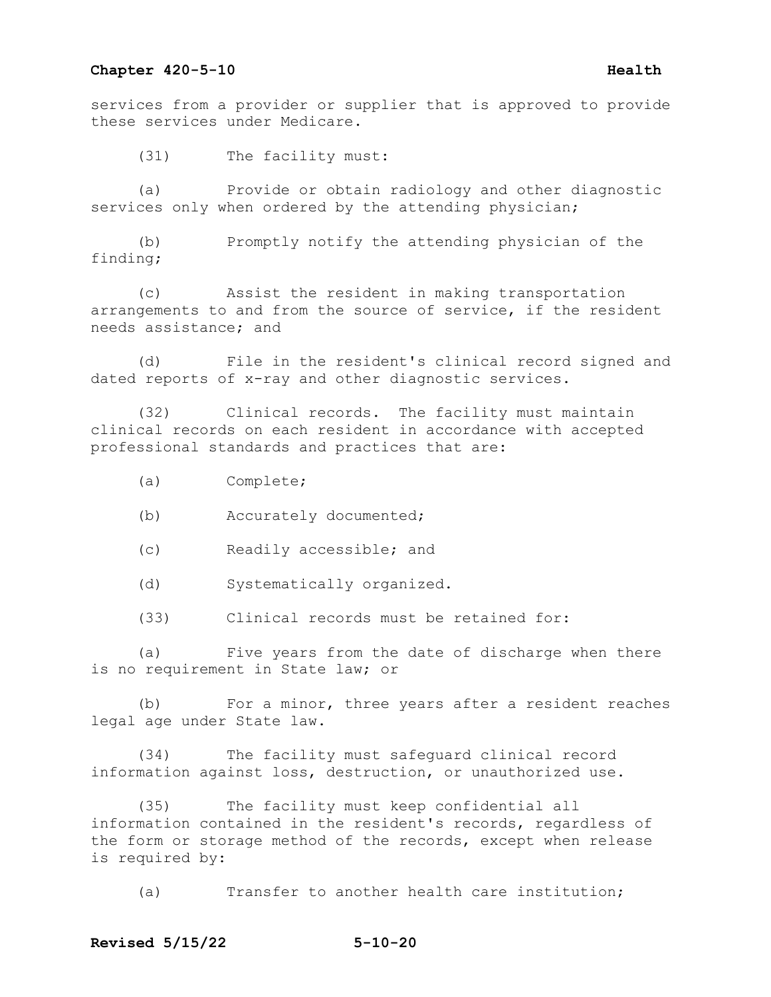services from a provider or supplier that is approved to provide these services under Medicare.

(31) The facility must:

(a) Provide or obtain radiology and other diagnostic services only when ordered by the attending physician;

(b) Promptly notify the attending physician of the finding;

(c) Assist the resident in making transportation arrangements to and from the source of service, if the resident needs assistance; and

(d) File in the resident's clinical record signed and dated reports of x-ray and other diagnostic services.

(32) Clinical records. The facility must maintain clinical records on each resident in accordance with accepted professional standards and practices that are:

- (a) Complete;
- (b) Accurately documented;
- (c) Readily accessible; and
- (d) Systematically organized.
- (33) Clinical records must be retained for:

(a) Five years from the date of discharge when there is no requirement in State law; or

(b) For a minor, three years after a resident reaches legal age under State law.

(34) The facility must safeguard clinical record information against loss, destruction, or unauthorized use.

(35) The facility must keep confidential all information contained in the resident's records, regardless of the form or storage method of the records, except when release is required by:

(a) Transfer to another health care institution;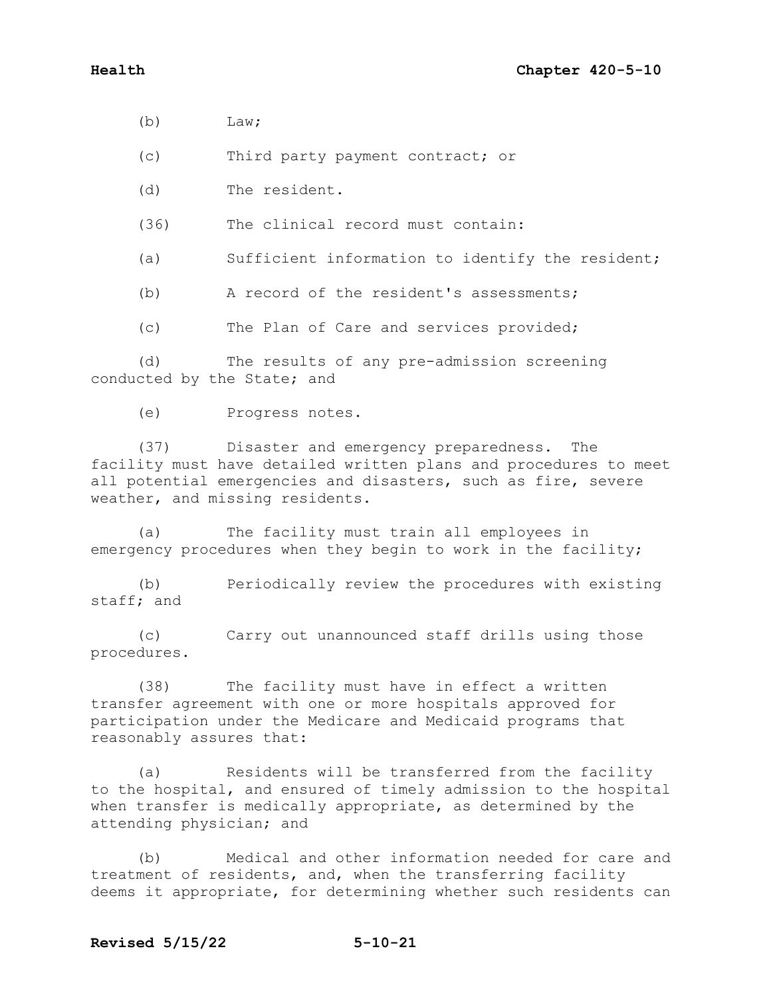$(b)$  Law;

(c) Third party payment contract; or

(d) The resident.

(36) The clinical record must contain:

(a) Sufficient information to identify the resident;

(b) A record of the resident's assessments;

(c) The Plan of Care and services provided;

(d) The results of any pre-admission screening conducted by the State; and

(e) Progress notes.

(37) Disaster and emergency preparedness. The facility must have detailed written plans and procedures to meet all potential emergencies and disasters, such as fire, severe weather, and missing residents.

(a) The facility must train all employees in emergency procedures when they begin to work in the facility;

(b) Periodically review the procedures with existing staff; and

(c) Carry out unannounced staff drills using those procedures.

(38) The facility must have in effect a written transfer agreement with one or more hospitals approved for participation under the Medicare and Medicaid programs that reasonably assures that:

(a) Residents will be transferred from the facility to the hospital, and ensured of timely admission to the hospital when transfer is medically appropriate, as determined by the attending physician; and

(b) Medical and other information needed for care and treatment of residents, and, when the transferring facility deems it appropriate, for determining whether such residents can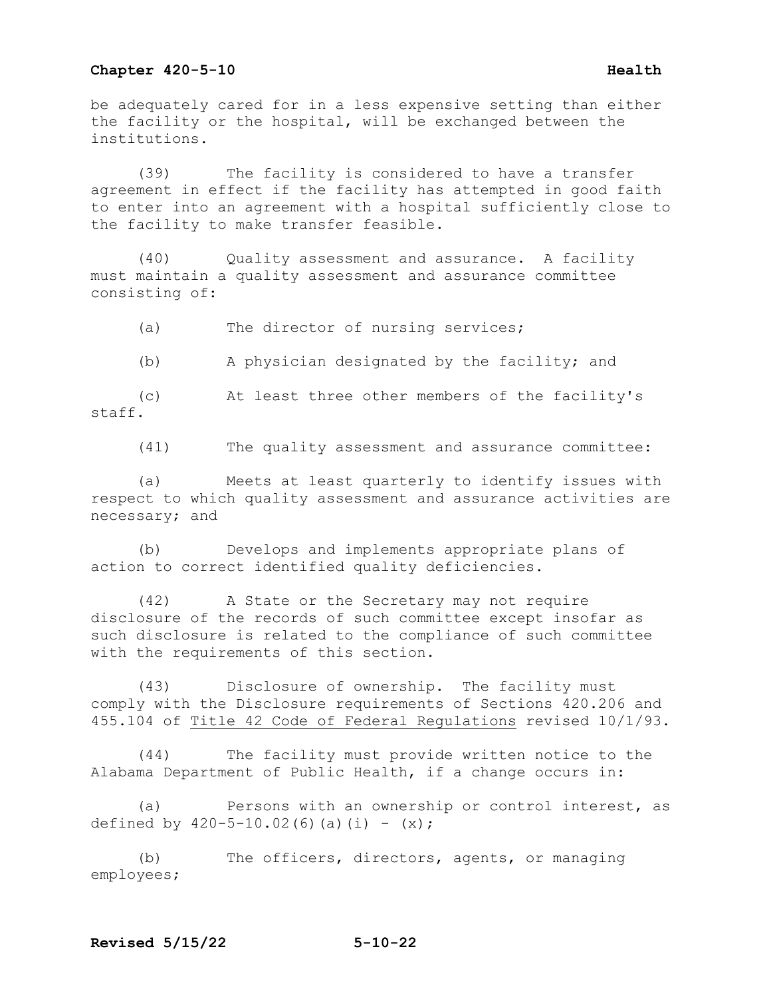### **Chapter 420-5-10 Health Health**

be adequately cared for in a less expensive setting than either the facility or the hospital, will be exchanged between the institutions.

 (39) The facility is considered to have a transfer agreement in effect if the facility has attempted in good faith to enter into an agreement with a hospital sufficiently close to the facility to make transfer feasible.

 (40) Quality assessment and assurance. A facility must maintain a quality assessment and assurance committee consisting of:

(a) The director of nursing services;

(b) A physician designated by the facility; and

 (c) At least three other members of the facility's staff.

(41) The quality assessment and assurance committee:

 (a) Meets at least quarterly to identify issues with respect to which quality assessment and assurance activities are necessary; and

 (b) Develops and implements appropriate plans of action to correct identified quality deficiencies.

 (42) A State or the Secretary may not require disclosure of the records of such committee except insofar as such disclosure is related to the compliance of such committee with the requirements of this section.

 (43) Disclosure of ownership. The facility must comply with the Disclosure requirements of Sections 420.206 and 455.104 of Title 42 Code of Federal Regulations revised 10/1/93.

 (44) The facility must provide written notice to the Alabama Department of Public Health, if a change occurs in:

 (a) Persons with an ownership or control interest, as defined by  $420-5-10.02(6)(a)(i) - (x);$ 

 (b) The officers, directors, agents, or managing employees;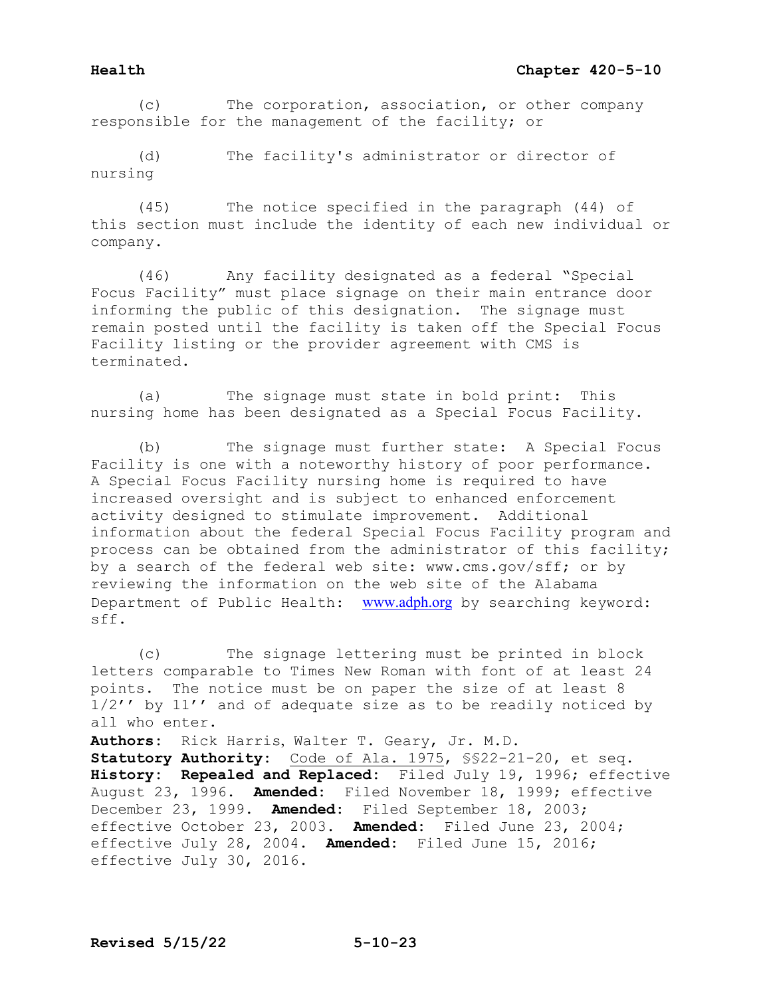(c) The corporation, association, or other company responsible for the management of the facility; or

 (d) The facility's administrator or director of nursing

 (45) The notice specified in the paragraph (44) of this section must include the identity of each new individual or company.

 (46) Any facility designated as a federal "Special Focus Facility" must place signage on their main entrance door informing the public of this designation. The signage must remain posted until the facility is taken off the Special Focus Facility listing or the provider agreement with CMS is terminated.

 (a) The signage must state in bold print: This nursing home has been designated as a Special Focus Facility.

 (b) The signage must further state: A Special Focus Facility is one with a noteworthy history of poor performance. A Special Focus Facility nursing home is required to have increased oversight and is subject to enhanced enforcement activity designed to stimulate improvement. Additional information about the federal Special Focus Facility program and process can be obtained from the administrator of this facility; by a search of the federal web site: www.cms.gov/sff; or by reviewing the information on the web site of the Alabama Department of Public Health: [www.adph.org](http://www.adph.org/) by searching keyword: sff.

 (c) The signage lettering must be printed in block letters comparable to Times New Roman with font of at least 24 points. The notice must be on paper the size of at least 8 1/2'' by 11'' and of adequate size as to be readily noticed by all who enter. **Authors:** Rick Harris, Walter T. Geary, Jr. M.D. **Statutory Authority:** Code of Ala. 1975, §§22-21-20, et seq. **History: Repealed and Replaced:** Filed July 19, 1996; effective August 23, 1996. **Amended:** Filed November 18, 1999; effective December 23, 1999. **Amended:** Filed September 18, 2003; effective October 23, 2003. **Amended:** Filed June 23, 2004; effective July 28, 2004. **Amended:** Filed June 15, 2016; effective July 30, 2016.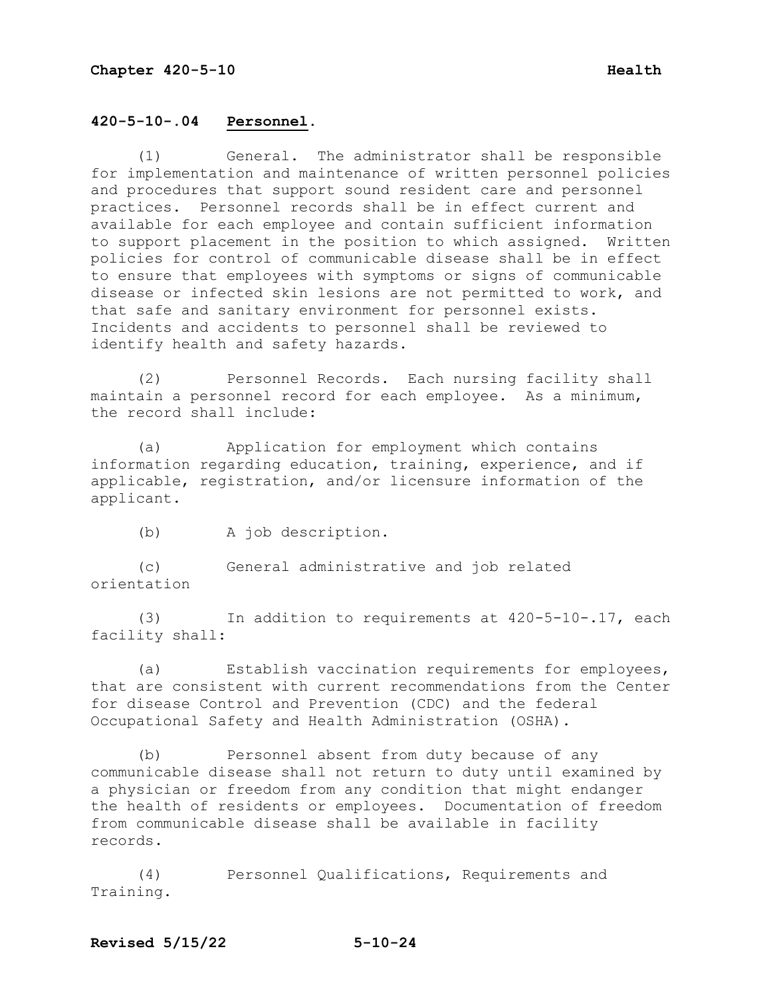# **420-5-10-.04 Personnel.**

 (1) General. The administrator shall be responsible for implementation and maintenance of written personnel policies and procedures that support sound resident care and personnel practices. Personnel records shall be in effect current and available for each employee and contain sufficient information to support placement in the position to which assigned. Written policies for control of communicable disease shall be in effect to ensure that employees with symptoms or signs of communicable disease or infected skin lesions are not permitted to work, and that safe and sanitary environment for personnel exists. Incidents and accidents to personnel shall be reviewed to identify health and safety hazards.

 (2) Personnel Records. Each nursing facility shall maintain a personnel record for each employee. As a minimum, the record shall include:

 (a) Application for employment which contains information regarding education, training, experience, and if applicable, registration, and/or licensure information of the applicant.

(b) A job description.

 (c) General administrative and job related orientation

 (3) In addition to requirements at 420-5-10-.17, each facility shall:

 (a) Establish vaccination requirements for employees, that are consistent with current recommendations from the Center for disease Control and Prevention (CDC) and the federal Occupational Safety and Health Administration (OSHA).

 (b) Personnel absent from duty because of any communicable disease shall not return to duty until examined by a physician or freedom from any condition that might endanger the health of residents or employees. Documentation of freedom from communicable disease shall be available in facility records.

 (4) Personnel Qualifications, Requirements and Training.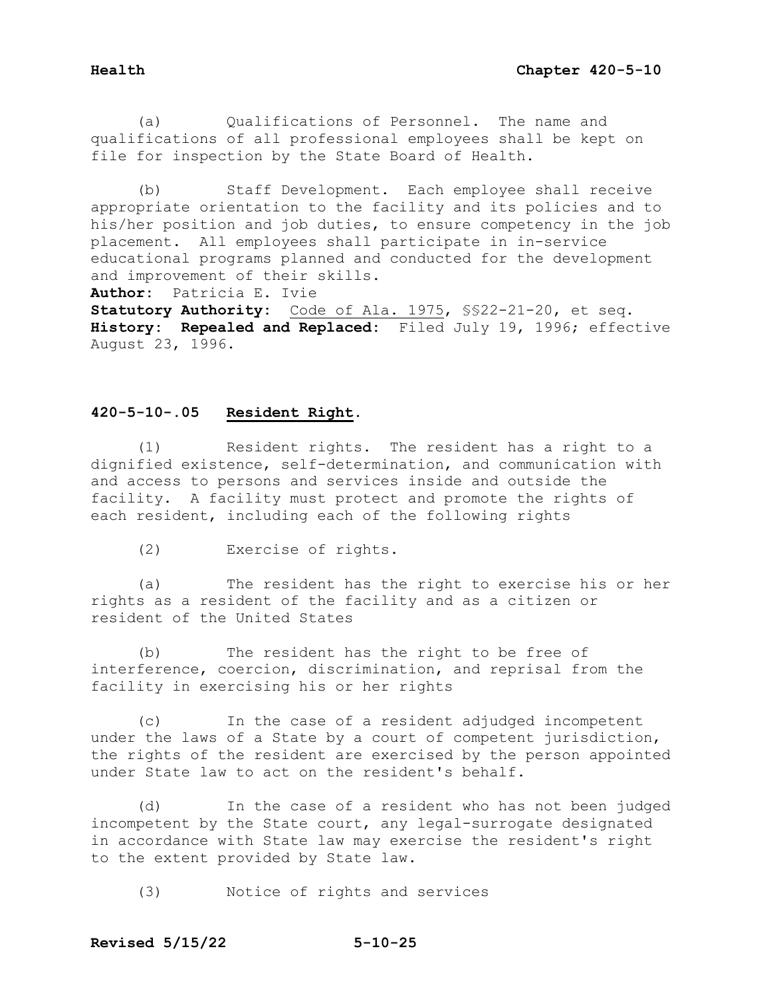(a) Qualifications of Personnel. The name and qualifications of all professional employees shall be kept on file for inspection by the State Board of Health.

 (b) Staff Development. Each employee shall receive appropriate orientation to the facility and its policies and to his/her position and job duties, to ensure competency in the job placement. All employees shall participate in in-service educational programs planned and conducted for the development and improvement of their skills.<br>**Author:** Patricia E. Ivie

**Author:** Patricia E. Ivie

**Statutory Authority:** Code of Ala. 1975, §§22-21-20, et seq. **History: Repealed and Replaced:** Filed July 19, 1996; effective August 23, 1996.

# **420-5-10-.05 Resident Right.**

 (1) Resident rights. The resident has a right to a dignified existence, self-determination, and communication with and access to persons and services inside and outside the facility. A facility must protect and promote the rights of each resident, including each of the following rights

(2) Exercise of rights.

 (a) The resident has the right to exercise his or her rights as a resident of the facility and as a citizen or resident of the United States

 (b) The resident has the right to be free of interference, coercion, discrimination, and reprisal from the facility in exercising his or her rights

 (c) In the case of a resident adjudged incompetent under the laws of a State by a court of competent jurisdiction, the rights of the resident are exercised by the person appointed under State law to act on the resident's behalf.

 (d) In the case of a resident who has not been judged incompetent by the State court, any legal-surrogate designated in accordance with State law may exercise the resident's right to the extent provided by State law.

(3) Notice of rights and services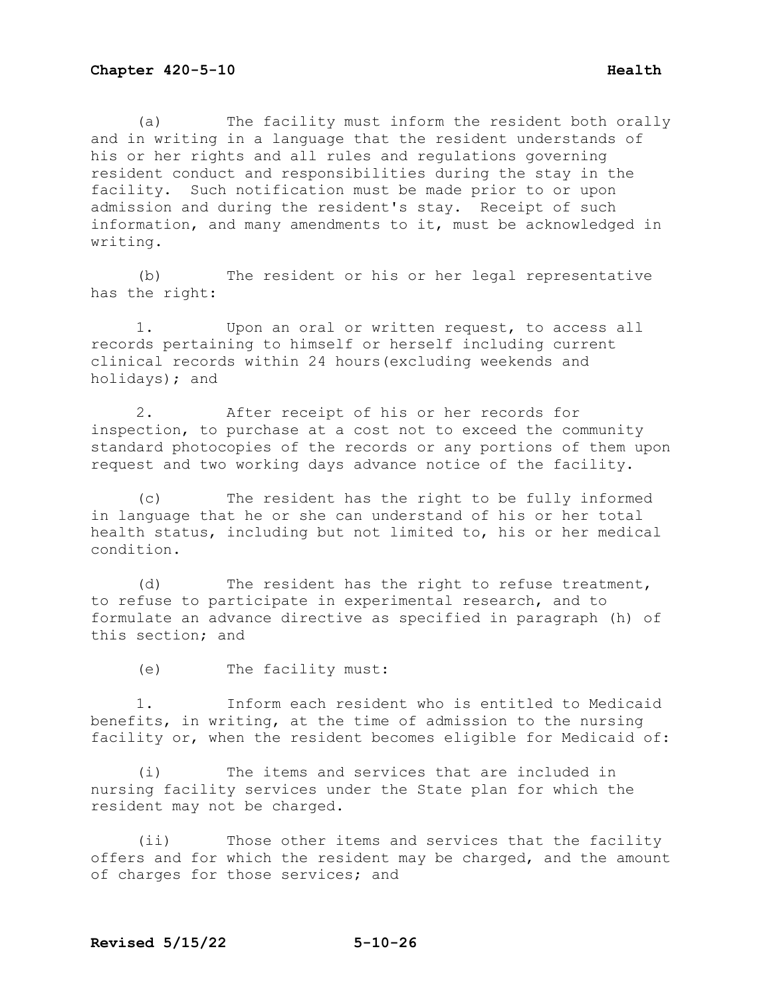(a) The facility must inform the resident both orally and in writing in a language that the resident understands of his or her rights and all rules and regulations governing resident conduct and responsibilities during the stay in the facility. Such notification must be made prior to or upon admission and during the resident's stay. Receipt of such information, and many amendments to it, must be acknowledged in writing.

(b) The resident or his or her legal representative has the right:

1. Upon an oral or written request, to access all records pertaining to himself or herself including current clinical records within 24 hours(excluding weekends and holidays); and

2. After receipt of his or her records for inspection, to purchase at a cost not to exceed the community standard photocopies of the records or any portions of them upon request and two working days advance notice of the facility.

(c) The resident has the right to be fully informed in language that he or she can understand of his or her total health status, including but not limited to, his or her medical condition.

(d) The resident has the right to refuse treatment, to refuse to participate in experimental research, and to formulate an advance directive as specified in paragraph (h) of this section; and

(e) The facility must:

1. Inform each resident who is entitled to Medicaid benefits, in writing, at the time of admission to the nursing facility or, when the resident becomes eligible for Medicaid of:

(i) The items and services that are included in nursing facility services under the State plan for which the resident may not be charged.

(ii) Those other items and services that the facility offers and for which the resident may be charged, and the amount of charges for those services; and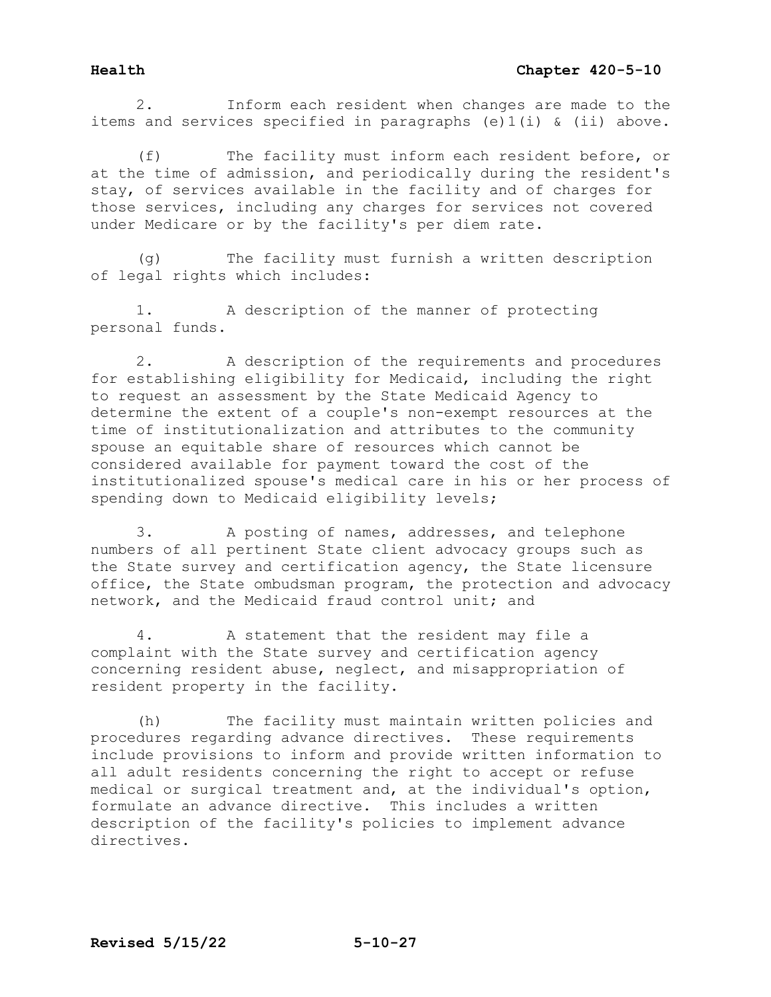2. Inform each resident when changes are made to the items and services specified in paragraphs (e)1(i) & (ii) above.

(f) The facility must inform each resident before, or at the time of admission, and periodically during the resident's stay, of services available in the facility and of charges for those services, including any charges for services not covered under Medicare or by the facility's per diem rate.

(g) The facility must furnish a written description of legal rights which includes:

1. A description of the manner of protecting personal funds.

2. A description of the requirements and procedures for establishing eligibility for Medicaid, including the right to request an assessment by the State Medicaid Agency to determine the extent of a couple's non-exempt resources at the time of institutionalization and attributes to the community spouse an equitable share of resources which cannot be considered available for payment toward the cost of the institutionalized spouse's medical care in his or her process of spending down to Medicaid eligibility levels;

3. A posting of names, addresses, and telephone numbers of all pertinent State client advocacy groups such as the State survey and certification agency, the State licensure office, the State ombudsman program, the protection and advocacy network, and the Medicaid fraud control unit; and

4. A statement that the resident may file a complaint with the State survey and certification agency concerning resident abuse, neglect, and misappropriation of resident property in the facility.

(h) The facility must maintain written policies and procedures regarding advance directives. These requirements include provisions to inform and provide written information to all adult residents concerning the right to accept or refuse medical or surgical treatment and, at the individual's option, formulate an advance directive. This includes a written description of the facility's policies to implement advance directives.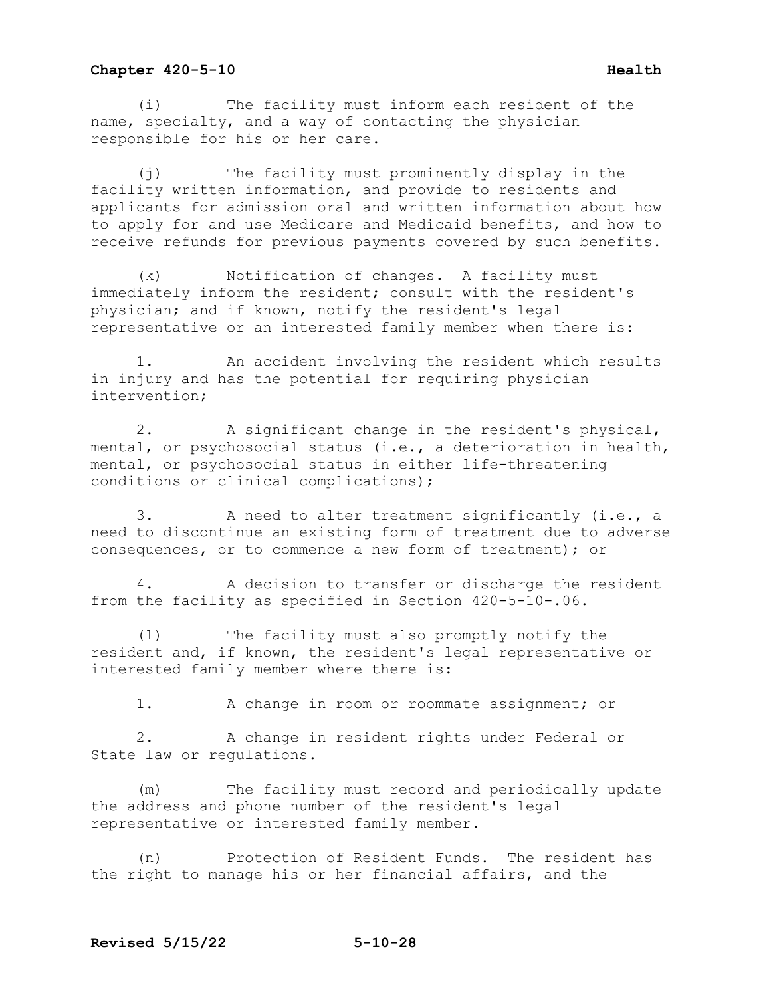(i) The facility must inform each resident of the name, specialty, and a way of contacting the physician responsible for his or her care.

(j) The facility must prominently display in the facility written information, and provide to residents and applicants for admission oral and written information about how to apply for and use Medicare and Medicaid benefits, and how to receive refunds for previous payments covered by such benefits.

(k) Notification of changes. A facility must immediately inform the resident; consult with the resident's physician; and if known, notify the resident's legal representative or an interested family member when there is:

1. An accident involving the resident which results in injury and has the potential for requiring physician intervention;

2. A significant change in the resident's physical, mental, or psychosocial status (i.e., a deterioration in health, mental, or psychosocial status in either life-threatening conditions or clinical complications);

3. A need to alter treatment significantly (i.e., a need to discontinue an existing form of treatment due to adverse consequences, or to commence a new form of treatment); or

4. A decision to transfer or discharge the resident from the facility as specified in Section 420-5-10-.06.

(l) The facility must also promptly notify the resident and, if known, the resident's legal representative or interested family member where there is:

1. A change in room or roommate assignment; or

2. A change in resident rights under Federal or State law or regulations.

(m) The facility must record and periodically update the address and phone number of the resident's legal representative or interested family member.

(n) Protection of Resident Funds. The resident has the right to manage his or her financial affairs, and the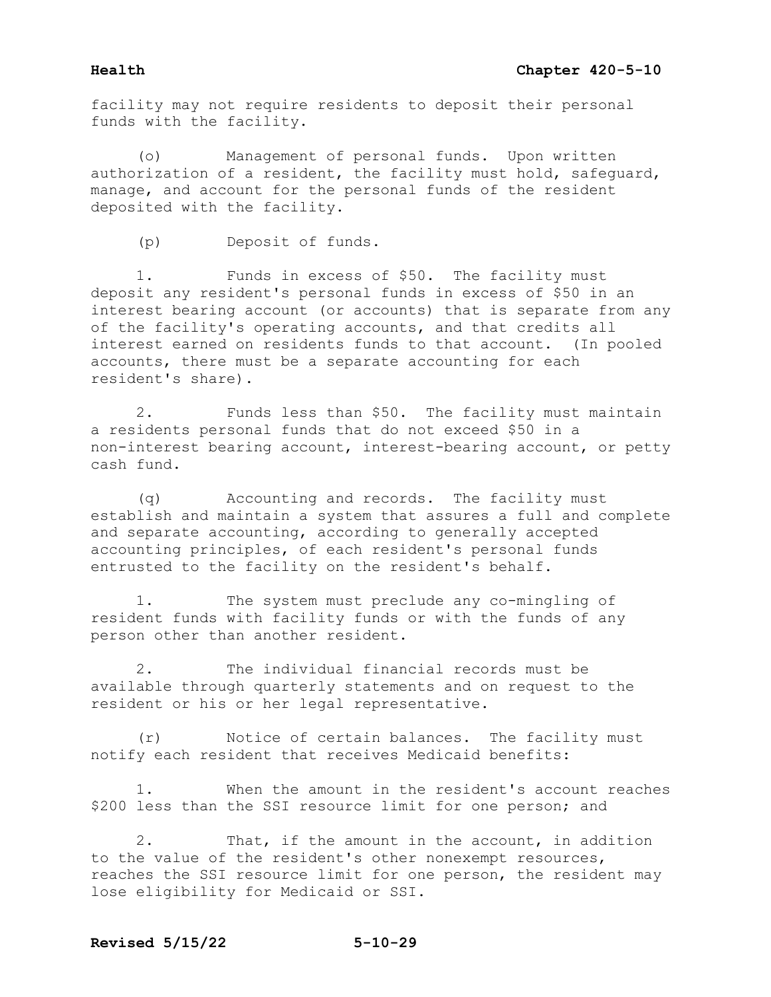facility may not require residents to deposit their personal funds with the facility.

(o) Management of personal funds. Upon written authorization of a resident, the facility must hold, safeguard, manage, and account for the personal funds of the resident deposited with the facility.

(p) Deposit of funds.

1. Funds in excess of \$50. The facility must deposit any resident's personal funds in excess of \$50 in an interest bearing account (or accounts) that is separate from any of the facility's operating accounts, and that credits all interest earned on residents funds to that account. (In pooled accounts, there must be a separate accounting for each resident's share).

2. Funds less than \$50. The facility must maintain a residents personal funds that do not exceed \$50 in a non-interest bearing account, interest-bearing account, or petty cash fund.

(q) Accounting and records. The facility must establish and maintain a system that assures a full and complete and separate accounting, according to generally accepted accounting principles, of each resident's personal funds entrusted to the facility on the resident's behalf.

1. The system must preclude any co-mingling of resident funds with facility funds or with the funds of any person other than another resident.

2. The individual financial records must be available through quarterly statements and on request to the resident or his or her legal representative.

(r) Notice of certain balances. The facility must notify each resident that receives Medicaid benefits:

1. When the amount in the resident's account reaches \$200 less than the SSI resource limit for one person; and

2. That, if the amount in the account, in addition to the value of the resident's other nonexempt resources, reaches the SSI resource limit for one person, the resident may lose eligibility for Medicaid or SSI.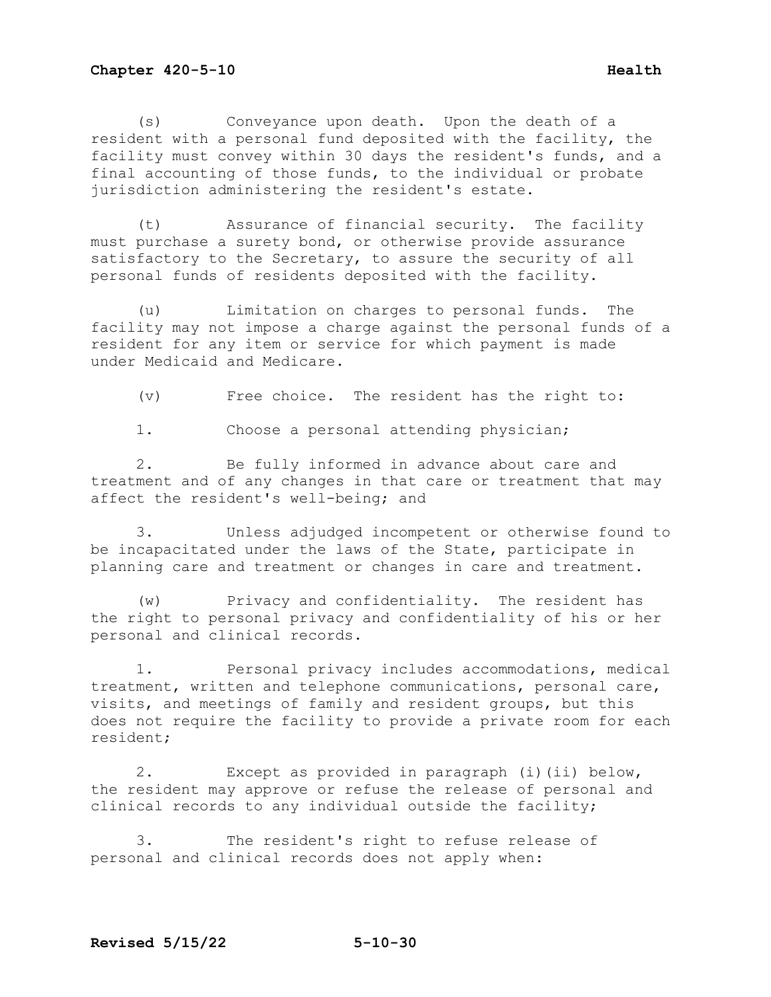(s) Conveyance upon death. Upon the death of a resident with a personal fund deposited with the facility, the facility must convey within 30 days the resident's funds, and a final accounting of those funds, to the individual or probate jurisdiction administering the resident's estate.

(t) Assurance of financial security. The facility must purchase a surety bond, or otherwise provide assurance satisfactory to the Secretary, to assure the security of all personal funds of residents deposited with the facility.

(u) Limitation on charges to personal funds. The facility may not impose a charge against the personal funds of a resident for any item or service for which payment is made under Medicaid and Medicare.

(v) Free choice. The resident has the right to:

1. Choose a personal attending physician;

2. Be fully informed in advance about care and treatment and of any changes in that care or treatment that may affect the resident's well-being; and

3. Unless adjudged incompetent or otherwise found to be incapacitated under the laws of the State, participate in planning care and treatment or changes in care and treatment.

(w) Privacy and confidentiality. The resident has the right to personal privacy and confidentiality of his or her personal and clinical records.

1. Personal privacy includes accommodations, medical treatment, written and telephone communications, personal care, visits, and meetings of family and resident groups, but this does not require the facility to provide a private room for each resident;

2. Except as provided in paragraph (i)(ii) below, the resident may approve or refuse the release of personal and clinical records to any individual outside the facility;

3. The resident's right to refuse release of personal and clinical records does not apply when: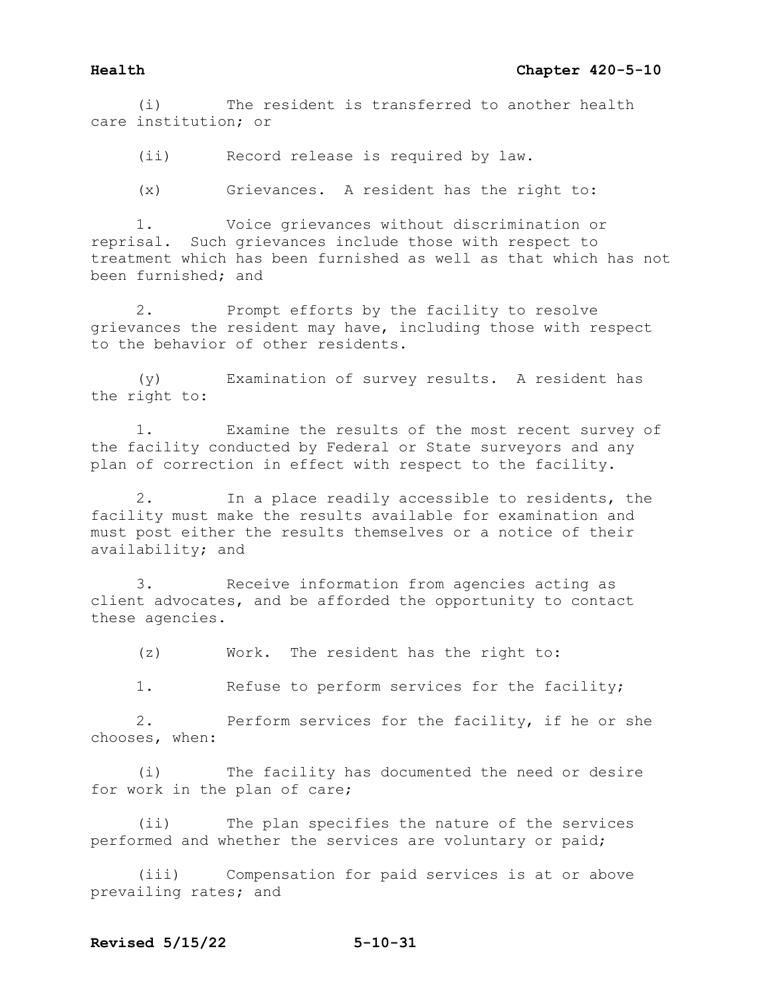(i) The resident is transferred to another health care institution; or

(ii) Record release is required by law.

(x) Grievances. A resident has the right to:

1. Voice grievances without discrimination or reprisal. Such grievances include those with respect to treatment which has been furnished as well as that which has not been furnished; and

2. Prompt efforts by the facility to resolve grievances the resident may have, including those with respect to the behavior of other residents.

(y) Examination of survey results. A resident has the right to:

1. Examine the results of the most recent survey of the facility conducted by Federal or State surveyors and any plan of correction in effect with respect to the facility.

2. In a place readily accessible to residents, the facility must make the results available for examination and must post either the results themselves or a notice of their availability; and

3. Receive information from agencies acting as client advocates, and be afforded the opportunity to contact these agencies.

(z) Work. The resident has the right to:

1. Refuse to perform services for the facility;

2. Perform services for the facility, if he or she chooses, when:

(i) The facility has documented the need or desire for work in the plan of care;

(ii) The plan specifies the nature of the services performed and whether the services are voluntary or paid;

(iii) Compensation for paid services is at or above prevailing rates; and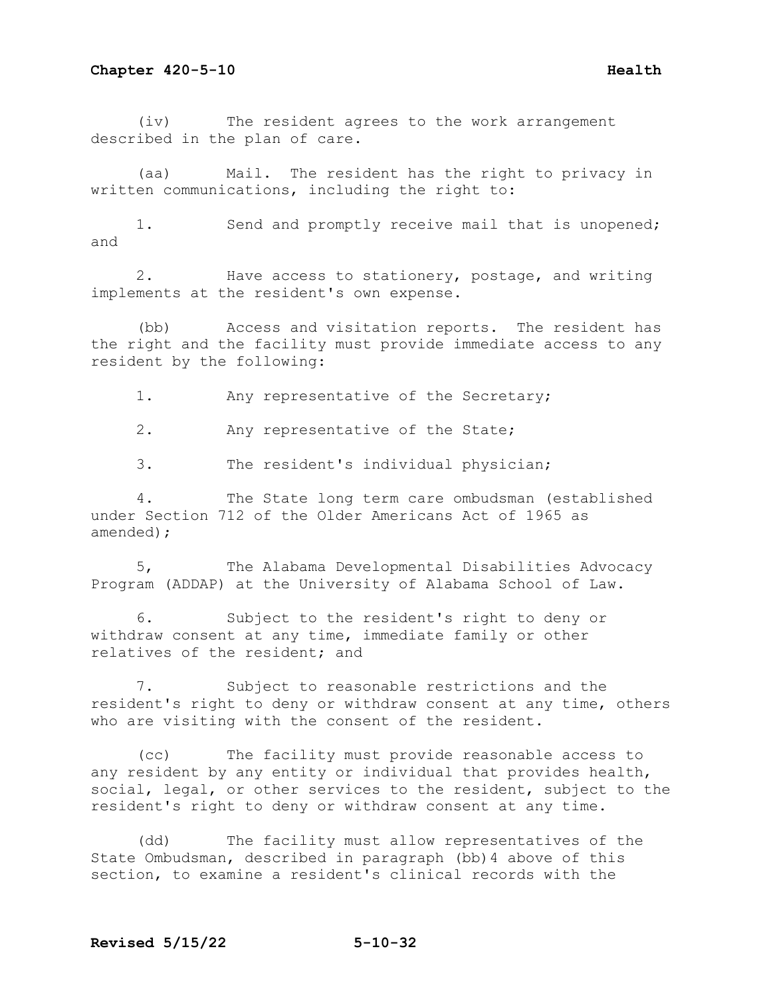(iv) The resident agrees to the work arrangement described in the plan of care.

(aa) Mail. The resident has the right to privacy in written communications, including the right to:

1. Send and promptly receive mail that is unopened; and

2. Have access to stationery, postage, and writing implements at the resident's own expense.

(bb) Access and visitation reports. The resident has the right and the facility must provide immediate access to any resident by the following:

1. Any representative of the Secretary;

2. Any representative of the State;

3. The resident's individual physician;

4. The State long term care ombudsman (established under Section 712 of the Older Americans Act of 1965 as amended);

5, The Alabama Developmental Disabilities Advocacy Program (ADDAP) at the University of Alabama School of Law.

6. Subject to the resident's right to deny or withdraw consent at any time, immediate family or other relatives of the resident; and

7. Subject to reasonable restrictions and the resident's right to deny or withdraw consent at any time, others who are visiting with the consent of the resident.

(cc) The facility must provide reasonable access to any resident by any entity or individual that provides health, social, legal, or other services to the resident, subject to the resident's right to deny or withdraw consent at any time.

(dd) The facility must allow representatives of the State Ombudsman, described in paragraph (bb)4 above of this section, to examine a resident's clinical records with the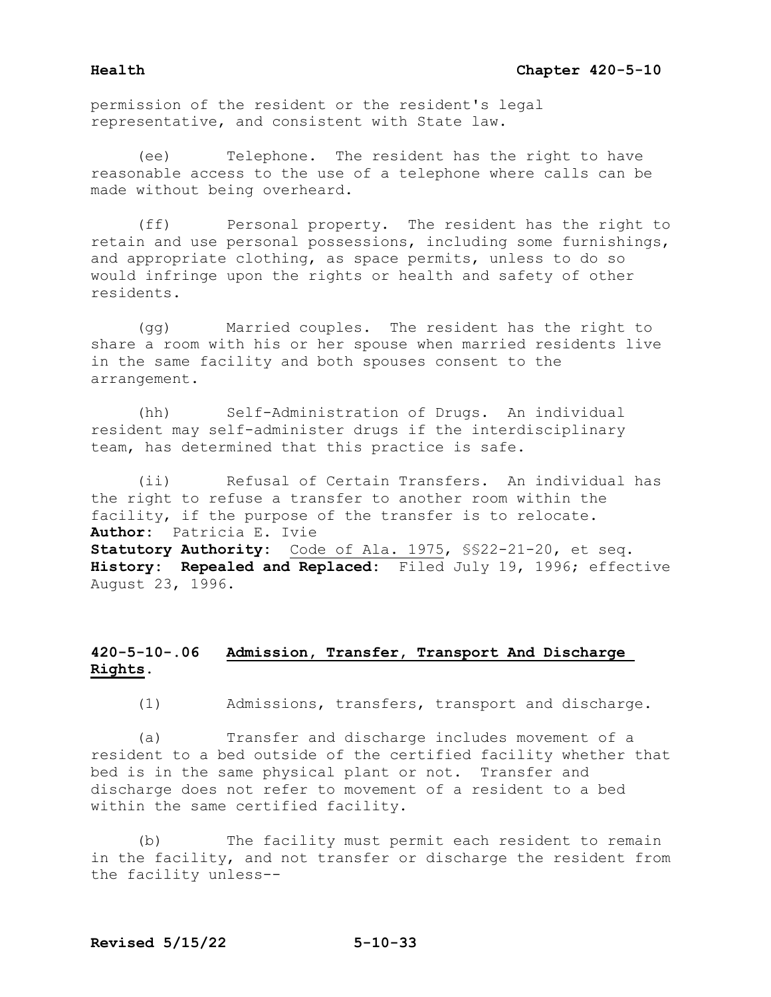permission of the resident or the resident's legal representative, and consistent with State law.

 (ee) Telephone. The resident has the right to have reasonable access to the use of a telephone where calls can be made without being overheard.

 (ff) Personal property. The resident has the right to retain and use personal possessions, including some furnishings, and appropriate clothing, as space permits, unless to do so would infringe upon the rights or health and safety of other residents.

 (gg) Married couples. The resident has the right to share a room with his or her spouse when married residents live in the same facility and both spouses consent to the arrangement.

 (hh) Self-Administration of Drugs. An individual resident may self-administer drugs if the interdisciplinary team, has determined that this practice is safe.

 (ii) Refusal of Certain Transfers. An individual has the right to refuse a transfer to another room within the facility, if the purpose of the transfer is to relocate. **Author:** Patricia E. Ivie **Statutory Authority:** Code of Ala. 1975, §§22-21-20, et seq. **History: Repealed and Replaced:** Filed July 19, 1996; effective August 23, 1996.

# **420-5-10-.06 Admission, Transfer, Transport And Discharge Rights.**

(1) Admissions, transfers, transport and discharge.

 (a) Transfer and discharge includes movement of a resident to a bed outside of the certified facility whether that bed is in the same physical plant or not. Transfer and discharge does not refer to movement of a resident to a bed within the same certified facility.

 (b) The facility must permit each resident to remain in the facility, and not transfer or discharge the resident from the facility unless--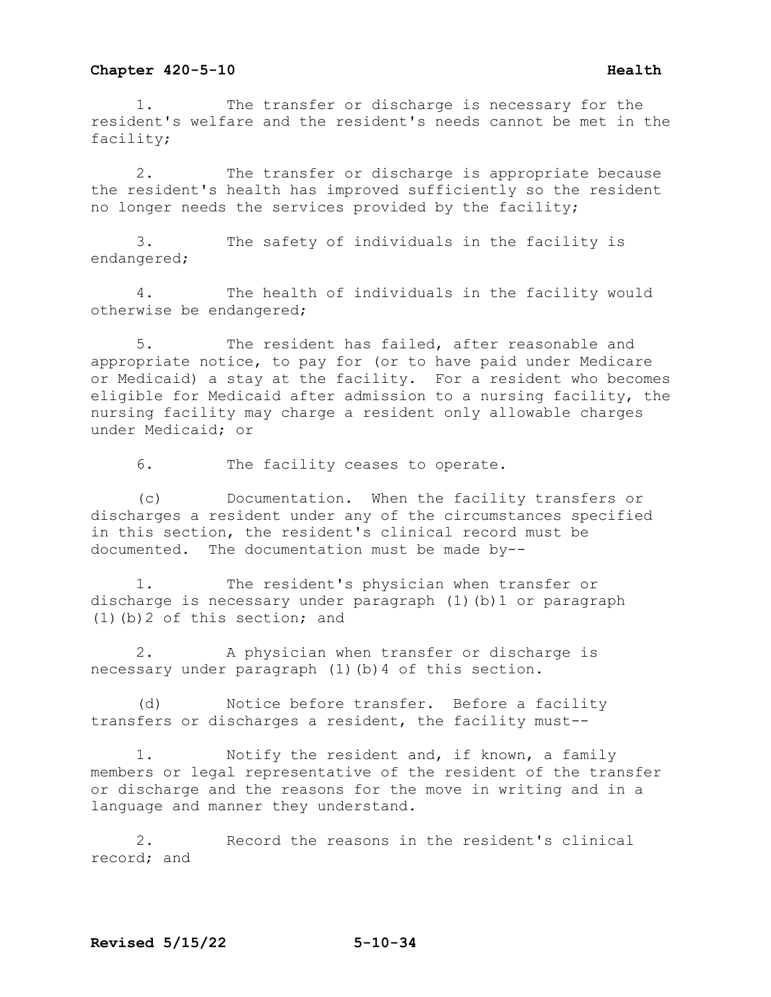1. The transfer or discharge is necessary for the resident's welfare and the resident's needs cannot be met in the facility;

2. The transfer or discharge is appropriate because the resident's health has improved sufficiently so the resident no longer needs the services provided by the facility;

3. The safety of individuals in the facility is endangered;

4. The health of individuals in the facility would otherwise be endangered;

5. The resident has failed, after reasonable and appropriate notice, to pay for (or to have paid under Medicare or Medicaid) a stay at the facility. For a resident who becomes eligible for Medicaid after admission to a nursing facility, the nursing facility may charge a resident only allowable charges under Medicaid; or

6. The facility ceases to operate.

(c) Documentation. When the facility transfers or discharges a resident under any of the circumstances specified in this section, the resident's clinical record must be documented. The documentation must be made by--

1. The resident's physician when transfer or discharge is necessary under paragraph (1)(b)1 or paragraph (1)(b)2 of this section; and

2. A physician when transfer or discharge is necessary under paragraph (1)(b)4 of this section.

(d) Notice before transfer. Before a facility transfers or discharges a resident, the facility must--

1. Notify the resident and, if known, a family members or legal representative of the resident of the transfer or discharge and the reasons for the move in writing and in a language and manner they understand.

2. Record the reasons in the resident's clinical record; and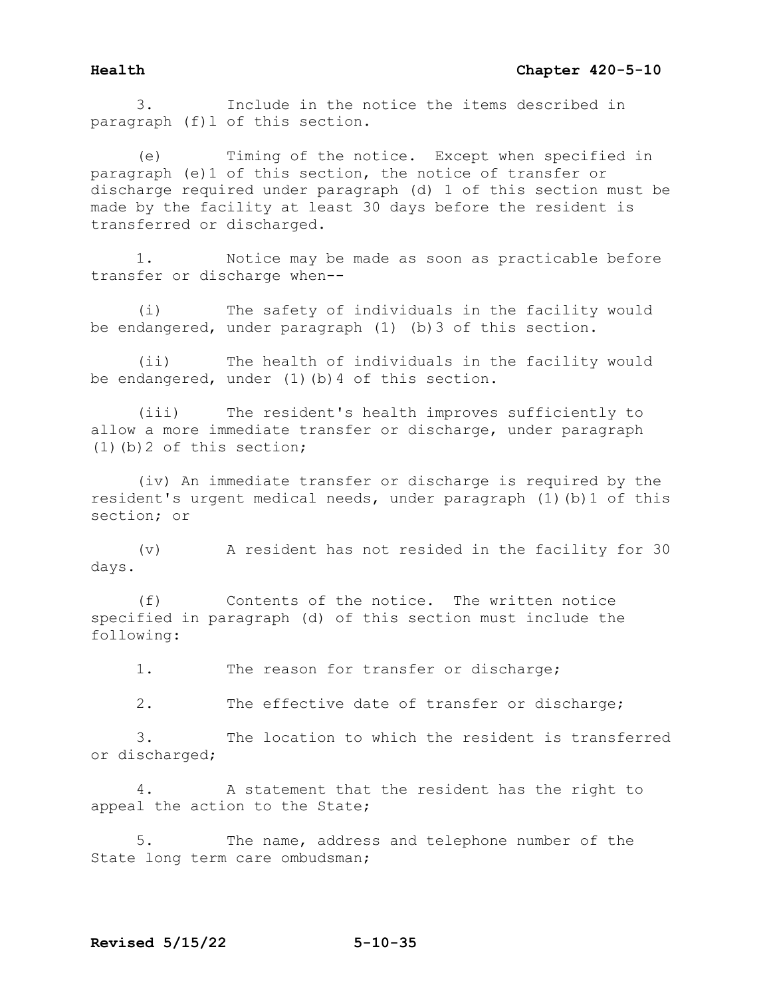3. Include in the notice the items described in paragraph (f)l of this section.

(e) Timing of the notice. Except when specified in paragraph (e)1 of this section, the notice of transfer or discharge required under paragraph (d) 1 of this section must be made by the facility at least 30 days before the resident is transferred or discharged.

1. Notice may be made as soon as practicable before transfer or discharge when--

(i) The safety of individuals in the facility would be endangered, under paragraph (1) (b)3 of this section.

(ii) The health of individuals in the facility would be endangered, under (1)(b) 4 of this section.

(iii) The resident's health improves sufficiently to allow a more immediate transfer or discharge, under paragraph (1)(b)2 of this section;

(iv) An immediate transfer or discharge is required by the resident's urgent medical needs, under paragraph (1)(b)1 of this section; or

(v) A resident has not resided in the facility for 30 days.

(f) Contents of the notice. The written notice specified in paragraph (d) of this section must include the following:

1. The reason for transfer or discharge;

2. The effective date of transfer or discharge;

3. The location to which the resident is transferred or discharged;

4. A statement that the resident has the right to appeal the action to the State;

5. The name, address and telephone number of the State long term care ombudsman;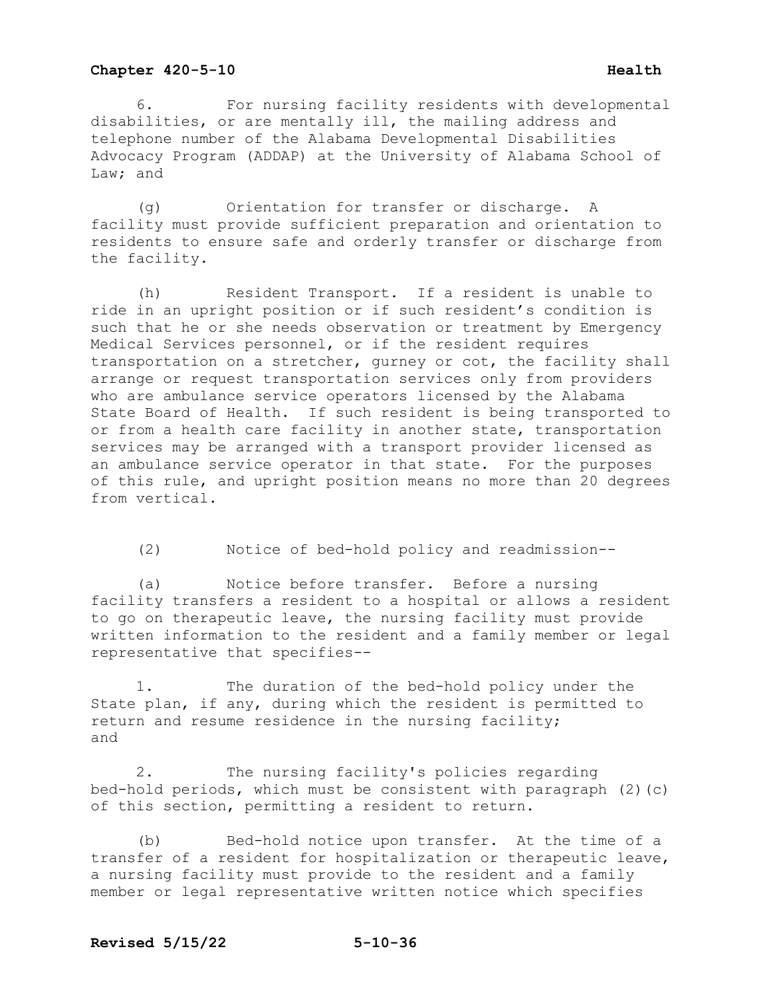6. For nursing facility residents with developmental disabilities, or are mentally ill, the mailing address and telephone number of the Alabama Developmental Disabilities Advocacy Program (ADDAP) at the University of Alabama School of Law; and

(g) Orientation for transfer or discharge. A facility must provide sufficient preparation and orientation to residents to ensure safe and orderly transfer or discharge from the facility.

(h) Resident Transport. If a resident is unable to ride in an upright position or if such resident's condition is such that he or she needs observation or treatment by Emergency Medical Services personnel, or if the resident requires transportation on a stretcher, gurney or cot, the facility shall arrange or request transportation services only from providers who are ambulance service operators licensed by the Alabama State Board of Health. If such resident is being transported to or from a health care facility in another state, transportation services may be arranged with a transport provider licensed as an ambulance service operator in that state. For the purposes of this rule, and upright position means no more than 20 degrees from vertical.

(2) Notice of bed-hold policy and readmission--

(a) Notice before transfer. Before a nursing facility transfers a resident to a hospital or allows a resident to go on therapeutic leave, the nursing facility must provide written information to the resident and a family member or legal representative that specifies--

1. The duration of the bed-hold policy under the State plan, if any, during which the resident is permitted to return and resume residence in the nursing facility; and

2. The nursing facility's policies regarding bed-hold periods, which must be consistent with paragraph (2)(c) of this section, permitting a resident to return.

(b) Bed-hold notice upon transfer. At the time of a transfer of a resident for hospitalization or therapeutic leave, a nursing facility must provide to the resident and a family member or legal representative written notice which specifies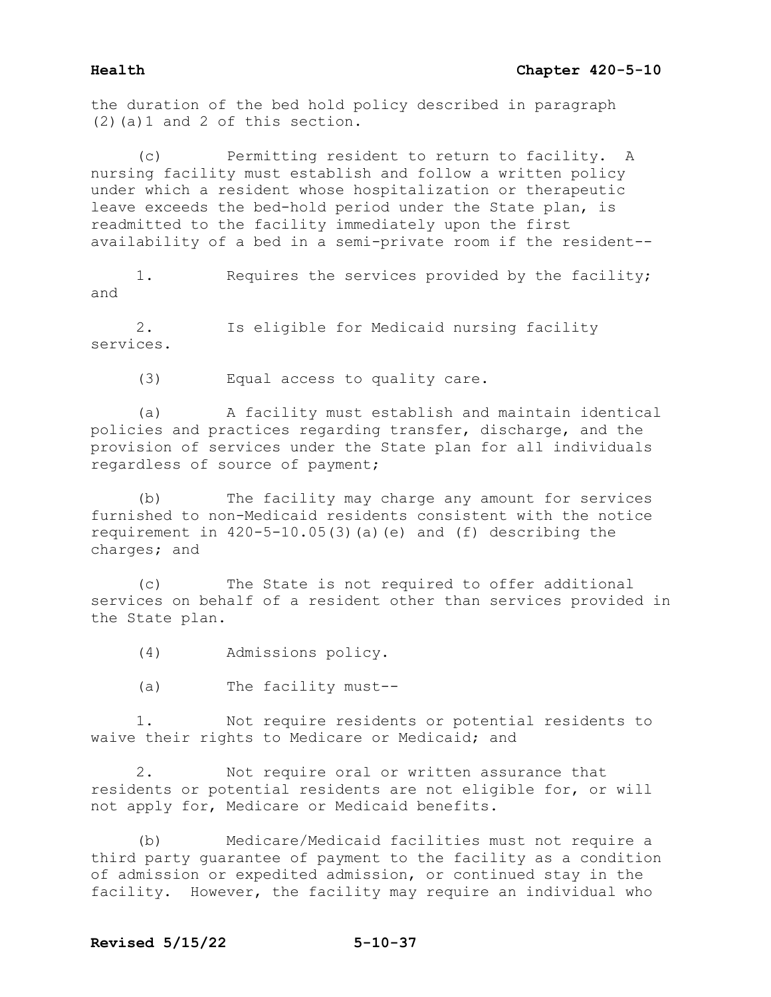the duration of the bed hold policy described in paragraph (2)(a)1 and 2 of this section.

(c) Permitting resident to return to facility. A nursing facility must establish and follow a written policy under which a resident whose hospitalization or therapeutic leave exceeds the bed-hold period under the State plan, is readmitted to the facility immediately upon the first availability of a bed in a semi-private room if the resident--

1. Requires the services provided by the facility; and

2. Is eligible for Medicaid nursing facility services.

(3) Equal access to quality care.

(a) A facility must establish and maintain identical policies and practices regarding transfer, discharge, and the provision of services under the State plan for all individuals regardless of source of payment;

(b) The facility may charge any amount for services furnished to non-Medicaid residents consistent with the notice requirement in 420-5-10.05(3)(a)(e) and (f) describing the charges; and

(c) The State is not required to offer additional services on behalf of a resident other than services provided in the State plan.

(4) Admissions policy.

(a) The facility must--

1. Not require residents or potential residents to waive their rights to Medicare or Medicaid; and

2. Not require oral or written assurance that residents or potential residents are not eligible for, or will not apply for, Medicare or Medicaid benefits.

(b) Medicare/Medicaid facilities must not require a third party guarantee of payment to the facility as a condition of admission or expedited admission, or continued stay in the facility. However, the facility may require an individual who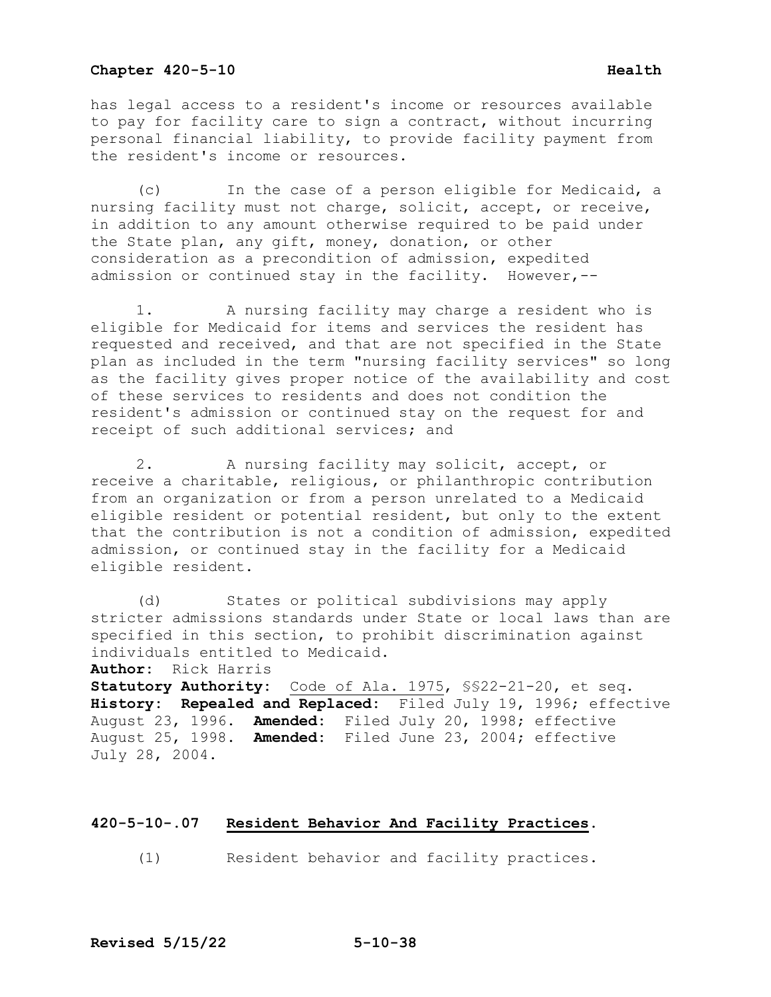## **Chapter 420-5-10 Health Health**

has legal access to a resident's income or resources available to pay for facility care to sign a contract, without incurring personal financial liability, to provide facility payment from the resident's income or resources.

 (c) In the case of a person eligible for Medicaid, a nursing facility must not charge, solicit, accept, or receive, in addition to any amount otherwise required to be paid under the State plan, any gift, money, donation, or other consideration as a precondition of admission, expedited admission or continued stay in the facility. However,--

 1. A nursing facility may charge a resident who is eligible for Medicaid for items and services the resident has requested and received, and that are not specified in the State plan as included in the term "nursing facility services" so long as the facility gives proper notice of the availability and cost of these services to residents and does not condition the resident's admission or continued stay on the request for and receipt of such additional services; and

 2. A nursing facility may solicit, accept, or receive a charitable, religious, or philanthropic contribution from an organization or from a person unrelated to a Medicaid eligible resident or potential resident, but only to the extent that the contribution is not a condition of admission, expedited admission, or continued stay in the facility for a Medicaid eligible resident.

 (d) States or political subdivisions may apply stricter admissions standards under State or local laws than are specified in this section, to prohibit discrimination against individuals entitled to Medicaid.

**Author:** Rick Harris

**Statutory Authority:** Code of Ala. 1975, §§22-21-20, et seq. **History: Repealed and Replaced:** Filed July 19, 1996; effective August 23, 1996. **Amended:** Filed July 20, 1998; effective August 25, 1998. **Amended:** Filed June 23, 2004; effective July 28, 2004.

## **420-5-10-.07 Resident Behavior And Facility Practices.**

(1) Resident behavior and facility practices.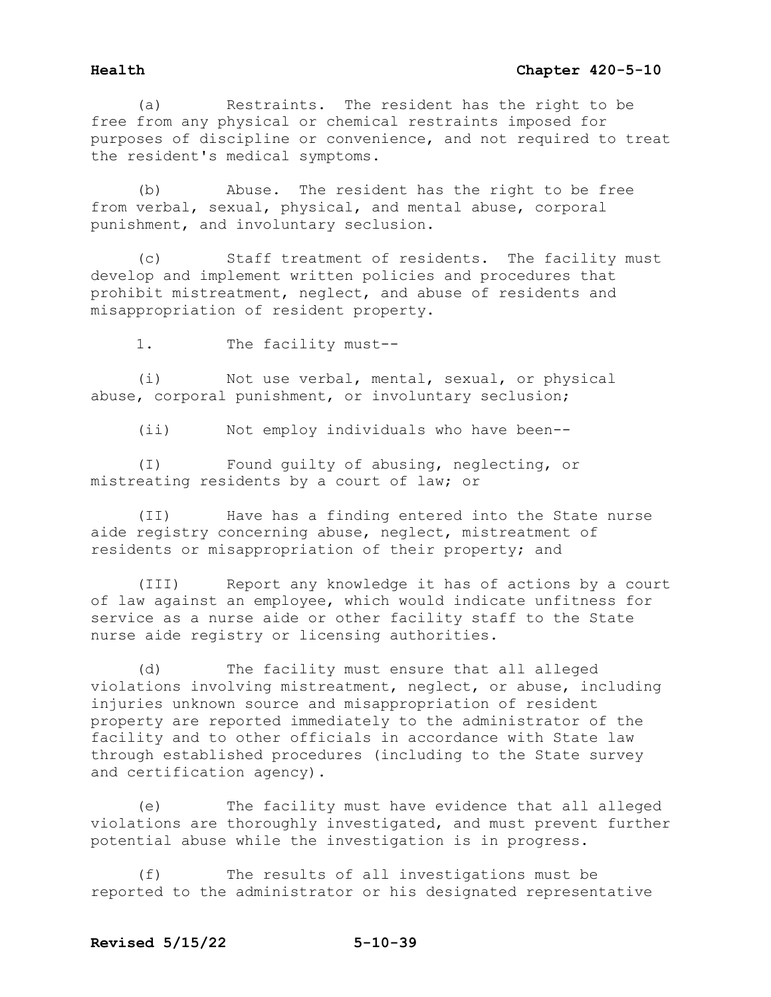(a) Restraints. The resident has the right to be free from any physical or chemical restraints imposed for purposes of discipline or convenience, and not required to treat the resident's medical symptoms.

(b) Abuse. The resident has the right to be free from verbal, sexual, physical, and mental abuse, corporal punishment, and involuntary seclusion.

(c) Staff treatment of residents. The facility must develop and implement written policies and procedures that prohibit mistreatment, neglect, and abuse of residents and misappropriation of resident property.

1. The facility must--

(i) Not use verbal, mental, sexual, or physical abuse, corporal punishment, or involuntary seclusion;

(ii) Not employ individuals who have been--

(I) Found guilty of abusing, neglecting, or mistreating residents by a court of law; or

(II) Have has a finding entered into the State nurse aide registry concerning abuse, neglect, mistreatment of residents or misappropriation of their property; and

(III) Report any knowledge it has of actions by a court of law against an employee, which would indicate unfitness for service as a nurse aide or other facility staff to the State nurse aide registry or licensing authorities.

(d) The facility must ensure that all alleged violations involving mistreatment, neglect, or abuse, including injuries unknown source and misappropriation of resident property are reported immediately to the administrator of the facility and to other officials in accordance with State law through established procedures (including to the State survey and certification agency).

(e) The facility must have evidence that all alleged violations are thoroughly investigated, and must prevent further potential abuse while the investigation is in progress.

(f) The results of all investigations must be reported to the administrator or his designated representative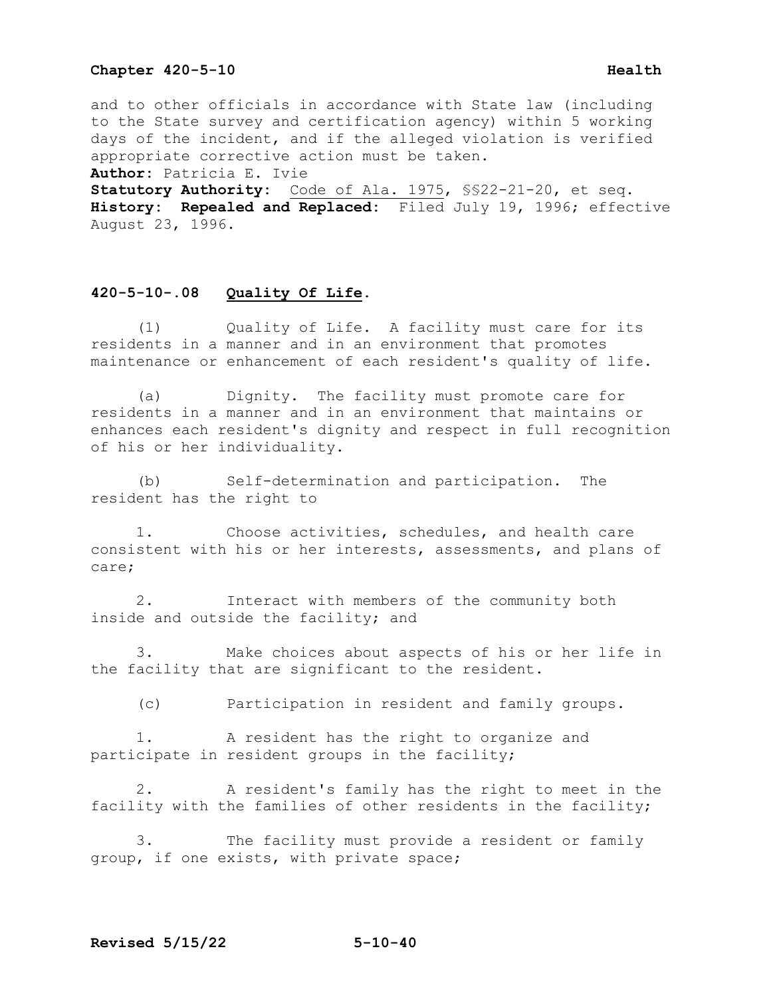## **Chapter 420-5-10 Health Health**

and to other officials in accordance with State law (including to the State survey and certification agency) within 5 working days of the incident, and if the alleged violation is verified appropriate corrective action must be taken. **Author:** Patricia E. Ivie

**Statutory Authority:** Code of Ala. 1975, §§22-21-20, et seq. **History: Repealed and Replaced:** Filed July 19, 1996; effective August 23, 1996.

### **420-5-10-.08 Quality Of Life.**

 (1) Quality of Life. A facility must care for its residents in a manner and in an environment that promotes maintenance or enhancement of each resident's quality of life.

 (a) Dignity. The facility must promote care for residents in a manner and in an environment that maintains or enhances each resident's dignity and respect in full recognition of his or her individuality.

 (b) Self-determination and participation. The resident has the right to

 1. Choose activities, schedules, and health care consistent with his or her interests, assessments, and plans of care;

 2. Interact with members of the community both inside and outside the facility; and

 3. Make choices about aspects of his or her life in the facility that are significant to the resident.

(c) Participation in resident and family groups.

 1. A resident has the right to organize and participate in resident groups in the facility;

 2. A resident's family has the right to meet in the facility with the families of other residents in the facility;

 3. The facility must provide a resident or family group, if one exists, with private space;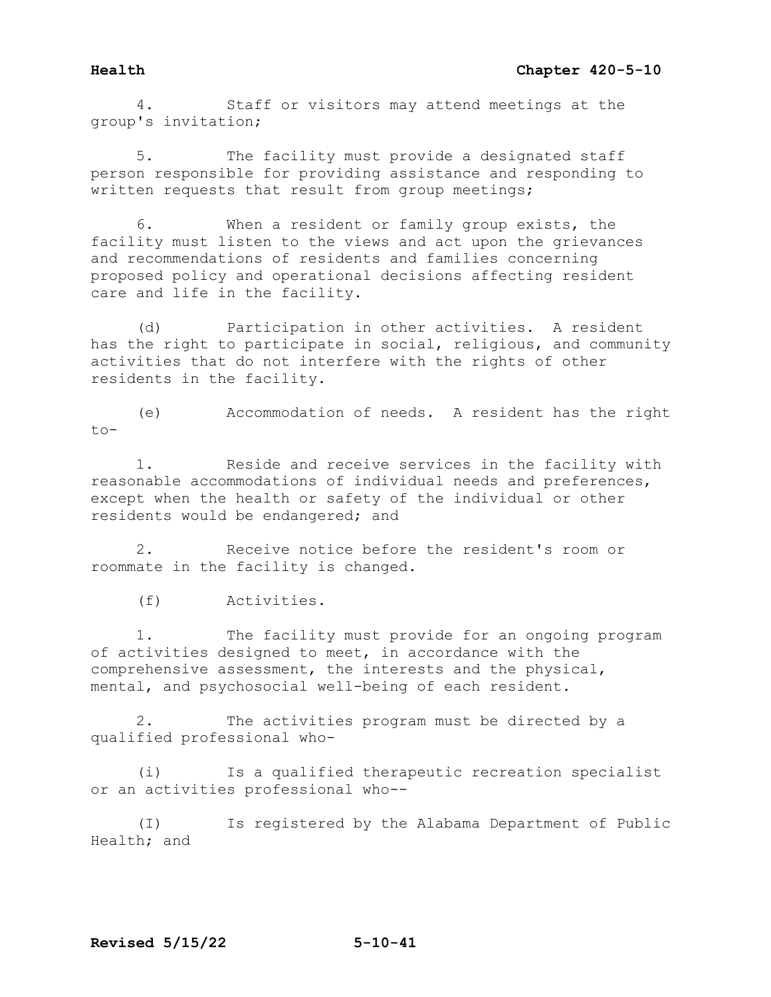4. Staff or visitors may attend meetings at the group's invitation;

5. The facility must provide a designated staff person responsible for providing assistance and responding to written requests that result from group meetings;

6. When a resident or family group exists, the facility must listen to the views and act upon the grievances and recommendations of residents and families concerning proposed policy and operational decisions affecting resident care and life in the facility.

(d) Participation in other activities. A resident has the right to participate in social, religious, and community activities that do not interfere with the rights of other residents in the facility.

(e) Accommodation of needs. A resident has the right  $t_0 -$ 

1. Reside and receive services in the facility with reasonable accommodations of individual needs and preferences, except when the health or safety of the individual or other residents would be endangered; and

2. Receive notice before the resident's room or roommate in the facility is changed.

(f) Activities.

1. The facility must provide for an ongoing program of activities designed to meet, in accordance with the comprehensive assessment, the interests and the physical, mental, and psychosocial well-being of each resident.

2. The activities program must be directed by a qualified professional who-

(i) Is a qualified therapeutic recreation specialist or an activities professional who--

(I) Is registered by the Alabama Department of Public Health; and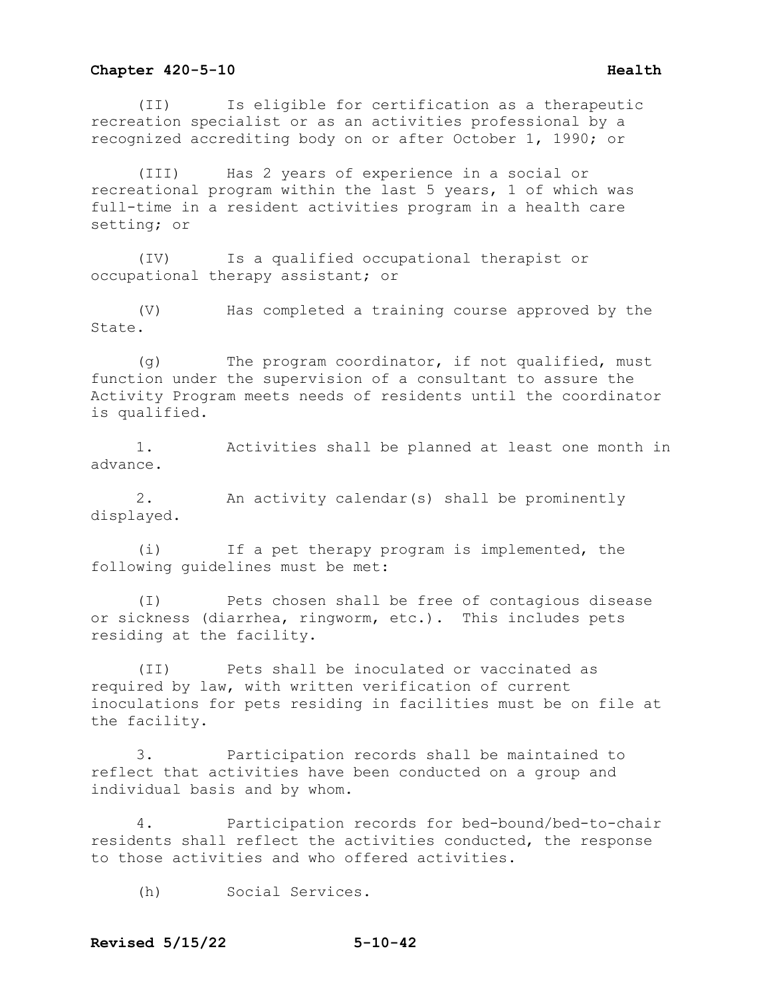(II) Is eligible for certification as a therapeutic recreation specialist or as an activities professional by a recognized accrediting body on or after October 1, 1990; or

(III) Has 2 years of experience in a social or recreational program within the last 5 years, 1 of which was full-time in a resident activities program in a health care setting; or

(IV) Is a qualified occupational therapist or occupational therapy assistant; or

(V) Has completed a training course approved by the State.

(g) The program coordinator, if not qualified, must function under the supervision of a consultant to assure the Activity Program meets needs of residents until the coordinator is qualified.

1. Activities shall be planned at least one month in advance.

2. An activity calendar(s) shall be prominently displayed.

(i) If a pet therapy program is implemented, the following guidelines must be met:

(I) Pets chosen shall be free of contagious disease or sickness (diarrhea, ringworm, etc.). This includes pets residing at the facility.

(II) Pets shall be inoculated or vaccinated as required by law, with written verification of current inoculations for pets residing in facilities must be on file at the facility.

3. Participation records shall be maintained to reflect that activities have been conducted on a group and individual basis and by whom.

4. Participation records for bed-bound/bed-to-chair residents shall reflect the activities conducted, the response to those activities and who offered activities.

(h) Social Services.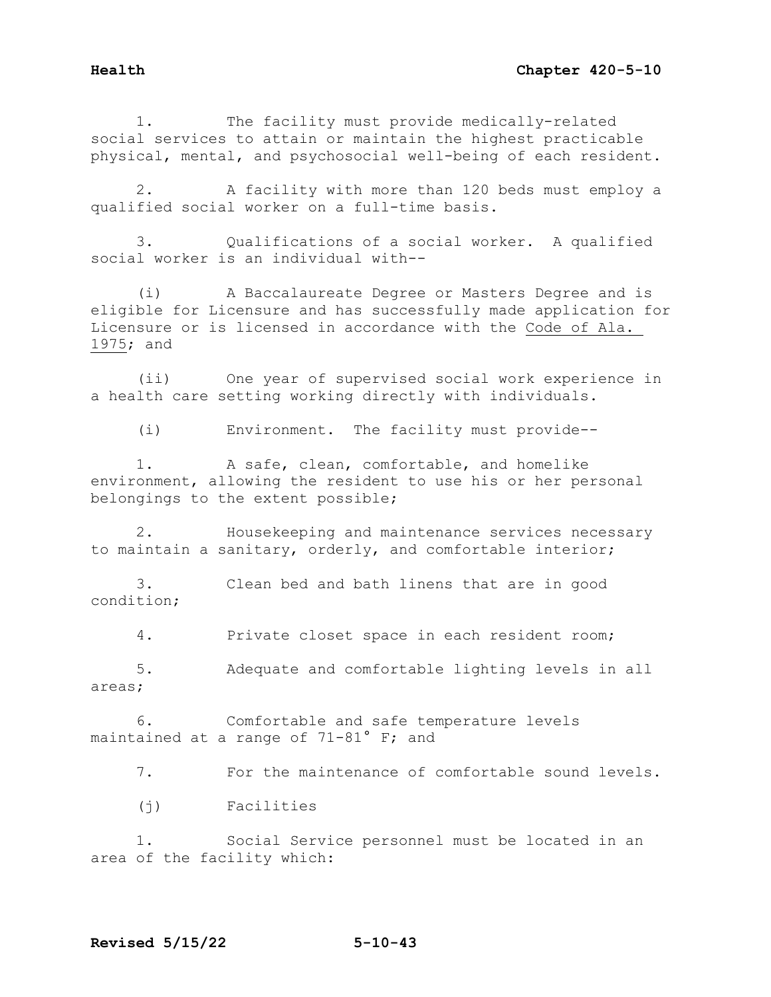1. The facility must provide medically-related social services to attain or maintain the highest practicable physical, mental, and psychosocial well-being of each resident.

 2. A facility with more than 120 beds must employ a qualified social worker on a full-time basis.

 3. Qualifications of a social worker. A qualified social worker is an individual with--

 (i) A Baccalaureate Degree or Masters Degree and is eligible for Licensure and has successfully made application for Licensure or is licensed in accordance with the Code of Ala. 1975; and

 (ii) One year of supervised social work experience in a health care setting working directly with individuals.

(i) Environment. The facility must provide--

 1. A safe, clean, comfortable, and homelike environment, allowing the resident to use his or her personal belongings to the extent possible;

 2. Housekeeping and maintenance services necessary to maintain a sanitary, orderly, and comfortable interior;

 3. Clean bed and bath linens that are in good condition;

4. Private closet space in each resident room;

 5. Adequate and comfortable lighting levels in all areas;

 6. Comfortable and safe temperature levels maintained at a range of 71-81° F; and

7. For the maintenance of comfortable sound levels.

(j) Facilities

 1. Social Service personnel must be located in an area of the facility which: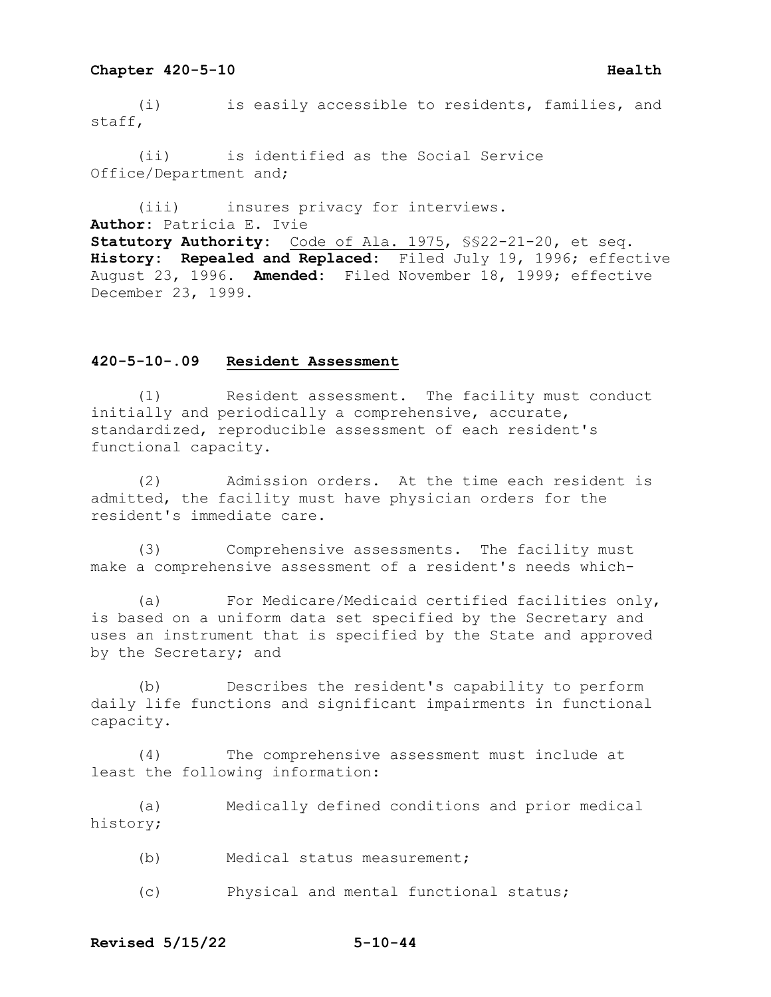## **Chapter 420-5-10 Health Health**

 (i) is easily accessible to residents, families, and staff,

 (ii) is identified as the Social Service Office/Department and;

 (iii) insures privacy for interviews. **Author:** Patricia E. Ivie **Statutory Authority:** Code of Ala. 1975, §§22-21-20, et seq. **History: Repealed and Replaced:** Filed July 19, 1996; effective August 23, 1996. **Amended:** Filed November 18, 1999; effective December 23, 1999.

## **420-5-10-.09 Resident Assessment**

 (1) Resident assessment. The facility must conduct initially and periodically a comprehensive, accurate, standardized, reproducible assessment of each resident's functional capacity.

 (2) Admission orders. At the time each resident is admitted, the facility must have physician orders for the resident's immediate care.

 (3) Comprehensive assessments. The facility must make a comprehensive assessment of a resident's needs which-

 (a) For Medicare/Medicaid certified facilities only, is based on a uniform data set specified by the Secretary and uses an instrument that is specified by the State and approved by the Secretary; and

 (b) Describes the resident's capability to perform daily life functions and significant impairments in functional capacity.

 (4) The comprehensive assessment must include at least the following information:

 (a) Medically defined conditions and prior medical history;

- (b) Medical status measurement;
- (c) Physical and mental functional status;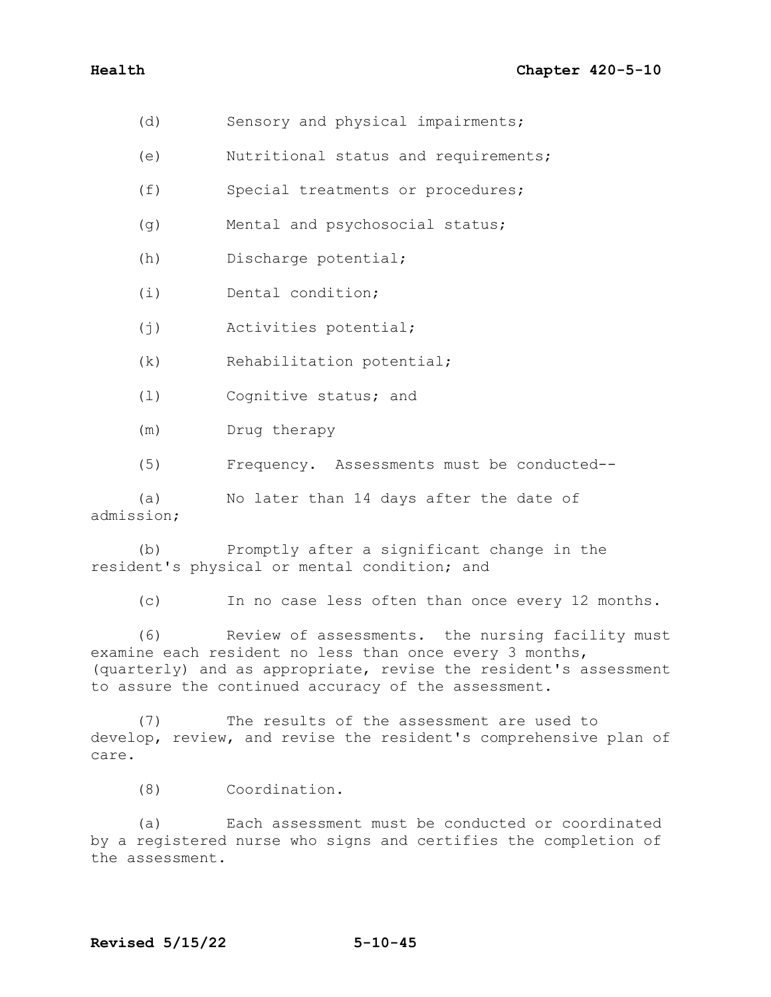- (d) Sensory and physical impairments;
- (e) Nutritional status and requirements;
- (f) Special treatments or procedures;
- (g) Mental and psychosocial status;
- (h) Discharge potential;
- (i) Dental condition;
- (j) Activities potential;
- (k) Rehabilitation potential;
- (l) Cognitive status; and
- (m) Drug therapy
- (5) Frequency. Assessments must be conducted--

(a) No later than 14 days after the date of admission;

(b) Promptly after a significant change in the resident's physical or mental condition; and

(c) In no case less often than once every 12 months.

(6) Review of assessments. the nursing facility must examine each resident no less than once every 3 months, (quarterly) and as appropriate, revise the resident's assessment to assure the continued accuracy of the assessment.

(7) The results of the assessment are used to develop, review, and revise the resident's comprehensive plan of care.

(8) Coordination.

(a) Each assessment must be conducted or coordinated by a registered nurse who signs and certifies the completion of the assessment.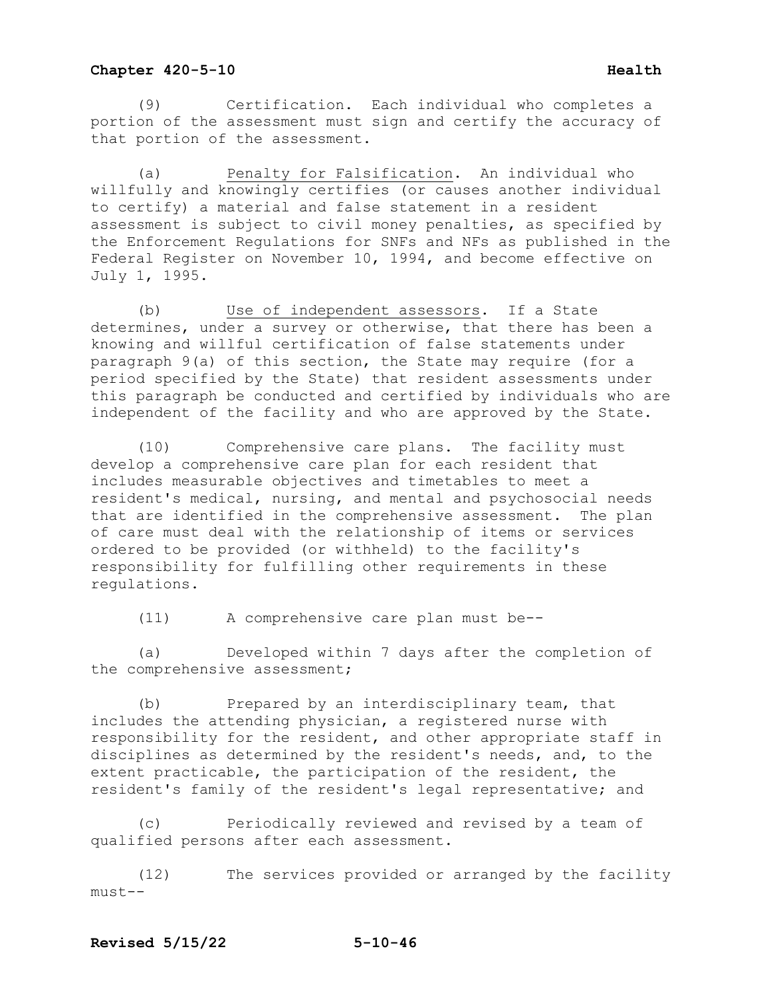## **Chapter 420-5-10 Health Health**

 (9) Certification. Each individual who completes a portion of the assessment must sign and certify the accuracy of that portion of the assessment.

 (a) Penalty for Falsification. An individual who willfully and knowingly certifies (or causes another individual to certify) a material and false statement in a resident assessment is subject to civil money penalties, as specified by the Enforcement Regulations for SNFs and NFs as published in the Federal Register on November 10, 1994, and become effective on July 1, 1995.

 (b) Use of independent assessors. If a State determines, under a survey or otherwise, that there has been a knowing and willful certification of false statements under paragraph 9(a) of this section, the State may require (for a period specified by the State) that resident assessments under this paragraph be conducted and certified by individuals who are independent of the facility and who are approved by the State.

 (10) Comprehensive care plans. The facility must develop a comprehensive care plan for each resident that includes measurable objectives and timetables to meet a resident's medical, nursing, and mental and psychosocial needs that are identified in the comprehensive assessment. The plan of care must deal with the relationship of items or services ordered to be provided (or withheld) to the facility's responsibility for fulfilling other requirements in these regulations.

(11) A comprehensive care plan must be--

 (a) Developed within 7 days after the completion of the comprehensive assessment;

 (b) Prepared by an interdisciplinary team, that includes the attending physician, a registered nurse with responsibility for the resident, and other appropriate staff in disciplines as determined by the resident's needs, and, to the extent practicable, the participation of the resident, the resident's family of the resident's legal representative; and

 (c) Periodically reviewed and revised by a team of qualified persons after each assessment.

 (12) The services provided or arranged by the facility must--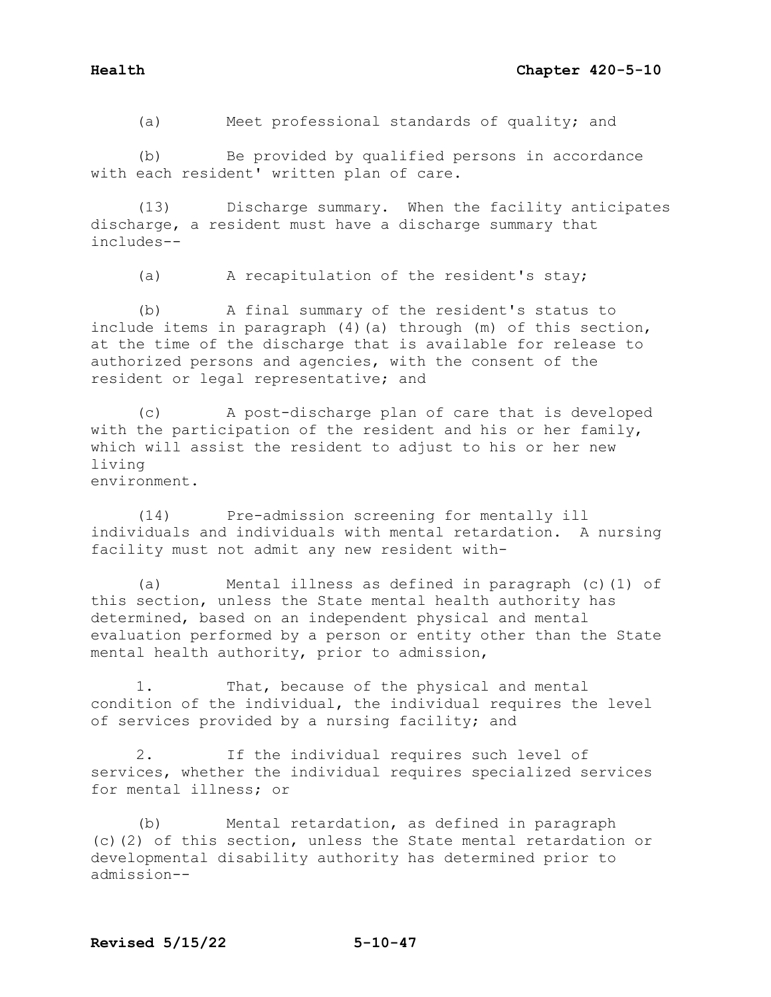(a) Meet professional standards of quality; and

(b) Be provided by qualified persons in accordance with each resident' written plan of care.

(13) Discharge summary. When the facility anticipates discharge, a resident must have a discharge summary that includes--

(a) A recapitulation of the resident's stay;

(b) A final summary of the resident's status to include items in paragraph (4)(a) through (m) of this section, at the time of the discharge that is available for release to authorized persons and agencies, with the consent of the resident or legal representative; and

(c) A post-discharge plan of care that is developed with the participation of the resident and his or her family, which will assist the resident to adjust to his or her new living environment.

(14) Pre-admission screening for mentally ill individuals and individuals with mental retardation. A nursing facility must not admit any new resident with-

(a) Mental illness as defined in paragraph (c)(1) of this section, unless the State mental health authority has determined, based on an independent physical and mental evaluation performed by a person or entity other than the State mental health authority, prior to admission,

1. That, because of the physical and mental condition of the individual, the individual requires the level of services provided by a nursing facility; and

2. If the individual requires such level of services, whether the individual requires specialized services for mental illness; or

(b) Mental retardation, as defined in paragraph (c)(2) of this section, unless the State mental retardation or developmental disability authority has determined prior to admission--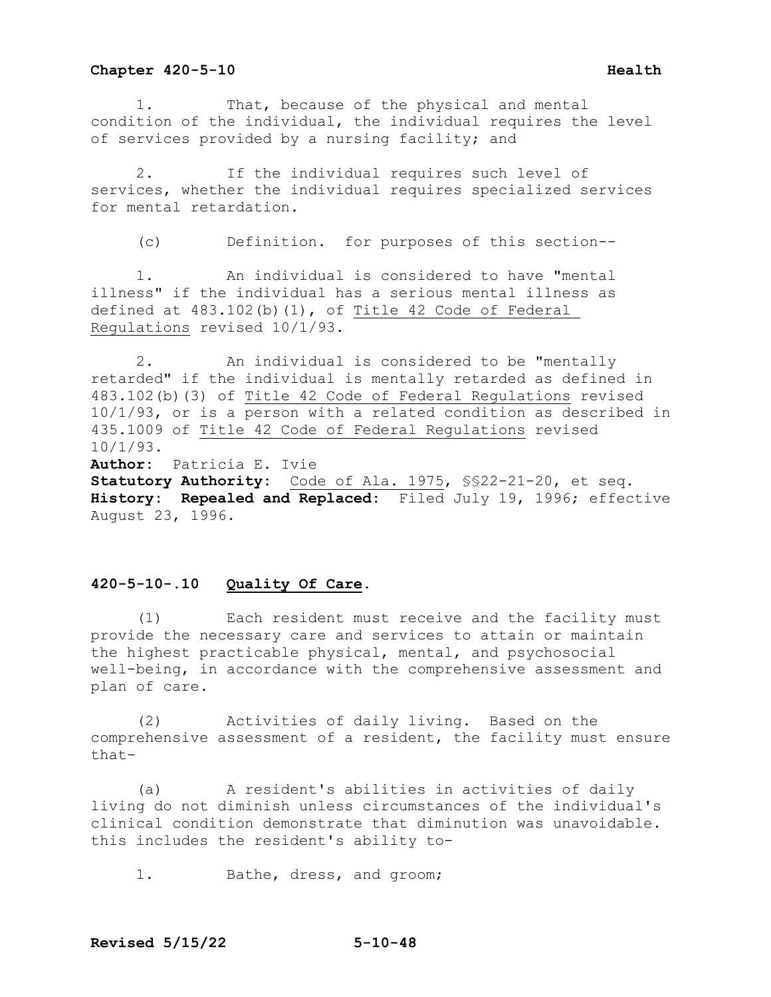1. That, because of the physical and mental condition of the individual, the individual requires the level of services provided by a nursing facility; and

 2. If the individual requires such level of services, whether the individual requires specialized services for mental retardation.

(c) Definition. for purposes of this section--

 1. An individual is considered to have "mental illness" if the individual has a serious mental illness as defined at  $483.102(b)(1)$ , of Title 42 Code of Federal Regulations revised 10/1/93.

 2. An individual is considered to be "mentally retarded" if the individual is mentally retarded as defined in 483.102(b)(3) of Title 42 Code of Federal Regulations revised 10/1/93, or is a person with a related condition as described in 435.1009 of Title 42 Code of Federal Regulations revised 10/1/93. **Author:** Patricia E. Ivie **Statutory Authority:** Code of Ala. 1975, §§22-21-20, et seq. **History: Repealed and Replaced:** Filed July 19, 1996; effective August 23, 1996.

### **420-5-10-.10 Quality Of Care.**

 (1) Each resident must receive and the facility must provide the necessary care and services to attain or maintain the highest practicable physical, mental, and psychosocial well-being, in accordance with the comprehensive assessment and plan of care.

 (2) Activities of daily living. Based on the comprehensive assessment of a resident, the facility must ensure that-

 (a) A resident's abilities in activities of daily living do not diminish unless circumstances of the individual's clinical condition demonstrate that diminution was unavoidable. this includes the resident's ability to-

1. Bathe, dress, and groom;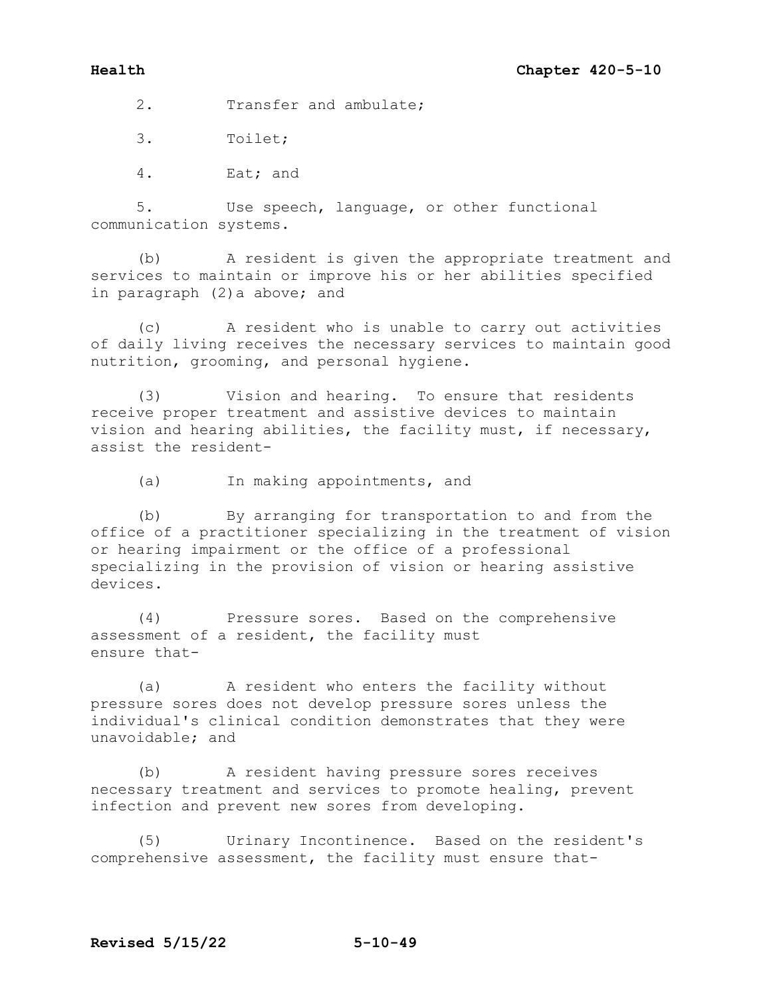2. Transfer and ambulate;

3. Toilet;

4. Eat; and

5. Use speech, language, or other functional communication systems.

(b) A resident is given the appropriate treatment and services to maintain or improve his or her abilities specified in paragraph (2)a above; and

(c) A resident who is unable to carry out activities of daily living receives the necessary services to maintain good nutrition, grooming, and personal hygiene.

(3) Vision and hearing. To ensure that residents receive proper treatment and assistive devices to maintain vision and hearing abilities, the facility must, if necessary, assist the resident-

(a) In making appointments, and

(b) By arranging for transportation to and from the office of a practitioner specializing in the treatment of vision or hearing impairment or the office of a professional specializing in the provision of vision or hearing assistive devices.

(4) Pressure sores. Based on the comprehensive assessment of a resident, the facility must ensure that-

(a) A resident who enters the facility without pressure sores does not develop pressure sores unless the individual's clinical condition demonstrates that they were unavoidable; and

(b) A resident having pressure sores receives necessary treatment and services to promote healing, prevent infection and prevent new sores from developing.

(5) Urinary Incontinence. Based on the resident's comprehensive assessment, the facility must ensure that-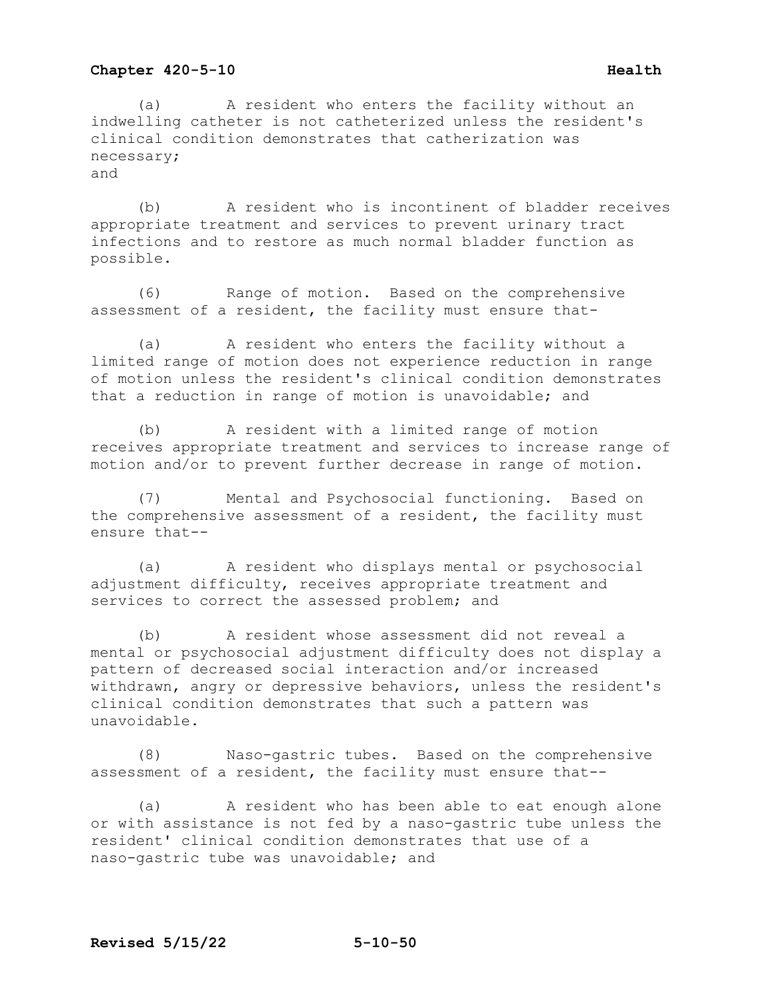(a) A resident who enters the facility without an indwelling catheter is not catheterized unless the resident's clinical condition demonstrates that catherization was necessary; and

(b) A resident who is incontinent of bladder receives appropriate treatment and services to prevent urinary tract infections and to restore as much normal bladder function as possible.

(6) Range of motion. Based on the comprehensive assessment of a resident, the facility must ensure that-

(a) A resident who enters the facility without a limited range of motion does not experience reduction in range of motion unless the resident's clinical condition demonstrates that a reduction in range of motion is unavoidable; and

(b) A resident with a limited range of motion receives appropriate treatment and services to increase range of motion and/or to prevent further decrease in range of motion.

(7) Mental and Psychosocial functioning. Based on the comprehensive assessment of a resident, the facility must ensure that--

(a) A resident who displays mental or psychosocial adjustment difficulty, receives appropriate treatment and services to correct the assessed problem; and

(b) A resident whose assessment did not reveal a mental or psychosocial adjustment difficulty does not display a pattern of decreased social interaction and/or increased withdrawn, angry or depressive behaviors, unless the resident's clinical condition demonstrates that such a pattern was unavoidable.

(8) Naso-gastric tubes. Based on the comprehensive assessment of a resident, the facility must ensure that--

(a) A resident who has been able to eat enough alone or with assistance is not fed by a naso-gastric tube unless the resident' clinical condition demonstrates that use of a naso-gastric tube was unavoidable; and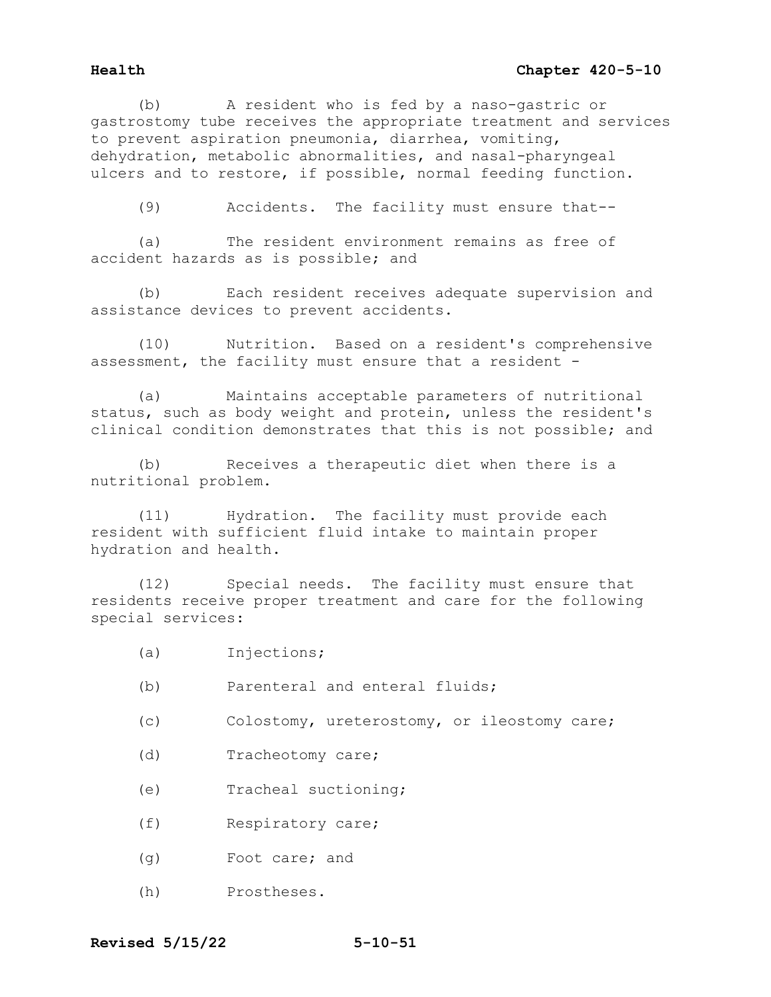(b) A resident who is fed by a naso-gastric or gastrostomy tube receives the appropriate treatment and services to prevent aspiration pneumonia, diarrhea, vomiting, dehydration, metabolic abnormalities, and nasal-pharyngeal ulcers and to restore, if possible, normal feeding function.

(9) Accidents. The facility must ensure that--

(a) The resident environment remains as free of accident hazards as is possible; and

(b) Each resident receives adequate supervision and assistance devices to prevent accidents.

(10) Nutrition. Based on a resident's comprehensive assessment, the facility must ensure that a resident -

(a) Maintains acceptable parameters of nutritional status, such as body weight and protein, unless the resident's clinical condition demonstrates that this is not possible; and

(b) Receives a therapeutic diet when there is a nutritional problem.

(11) Hydration. The facility must provide each resident with sufficient fluid intake to maintain proper hydration and health.

(12) Special needs. The facility must ensure that residents receive proper treatment and care for the following special services:

- (a) Injections;
- (b) Parenteral and enteral fluids;
- (c) Colostomy, ureterostomy, or ileostomy care;
- (d) Tracheotomy care;
- (e) Tracheal suctioning;
- (f) Respiratory care;
- (g) Foot care; and
- (h) Prostheses.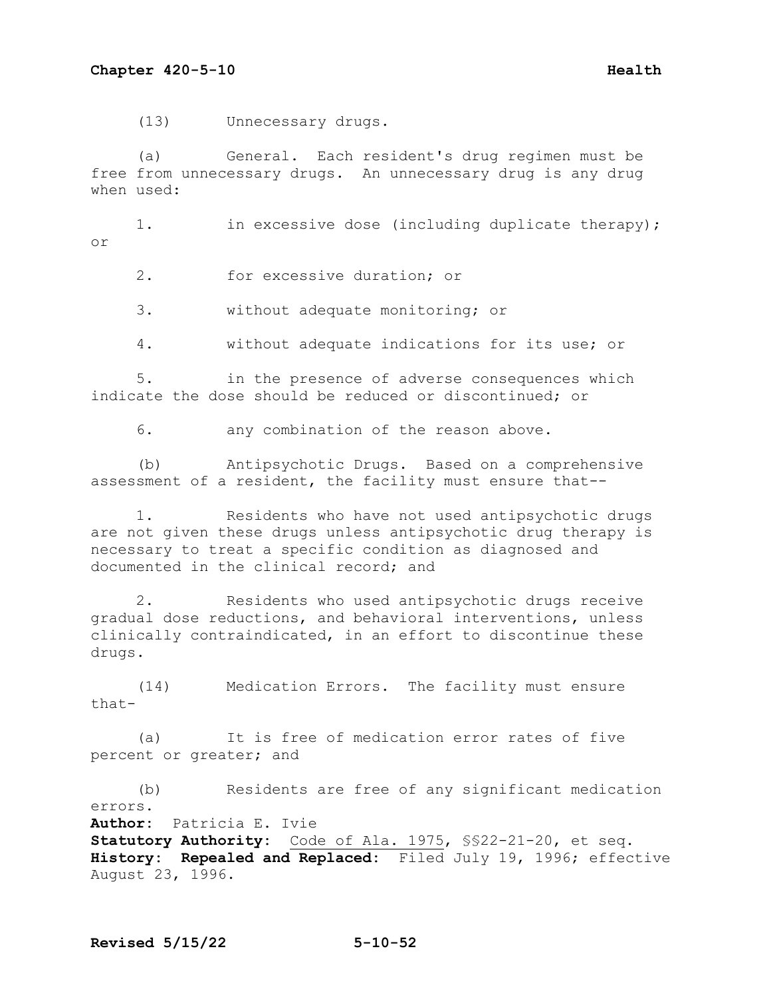(13) Unnecessary drugs.

 (a) General. Each resident's drug regimen must be free from unnecessary drugs. An unnecessary drug is any drug when used:

1. in excessive dose (including duplicate therapy); or

2. for excessive duration; or

3. without adequate monitoring; or

4. without adequate indications for its use; or

 5. in the presence of adverse consequences which indicate the dose should be reduced or discontinued; or

6. any combination of the reason above.

 (b) Antipsychotic Drugs. Based on a comprehensive assessment of a resident, the facility must ensure that--

 1. Residents who have not used antipsychotic drugs are not given these drugs unless antipsychotic drug therapy is necessary to treat a specific condition as diagnosed and documented in the clinical record; and

 2. Residents who used antipsychotic drugs receive gradual dose reductions, and behavioral interventions, unless clinically contraindicated, in an effort to discontinue these drugs.

 (14) Medication Errors. The facility must ensure that-

 (a) It is free of medication error rates of five percent or greater; and

 (b) Residents are free of any significant medication errors. **Author:** Patricia E. Ivie **Statutory Authority:** Code of Ala. 1975, §§22-21-20, et seq. **History: Repealed and Replaced:** Filed July 19, 1996; effective August 23, 1996.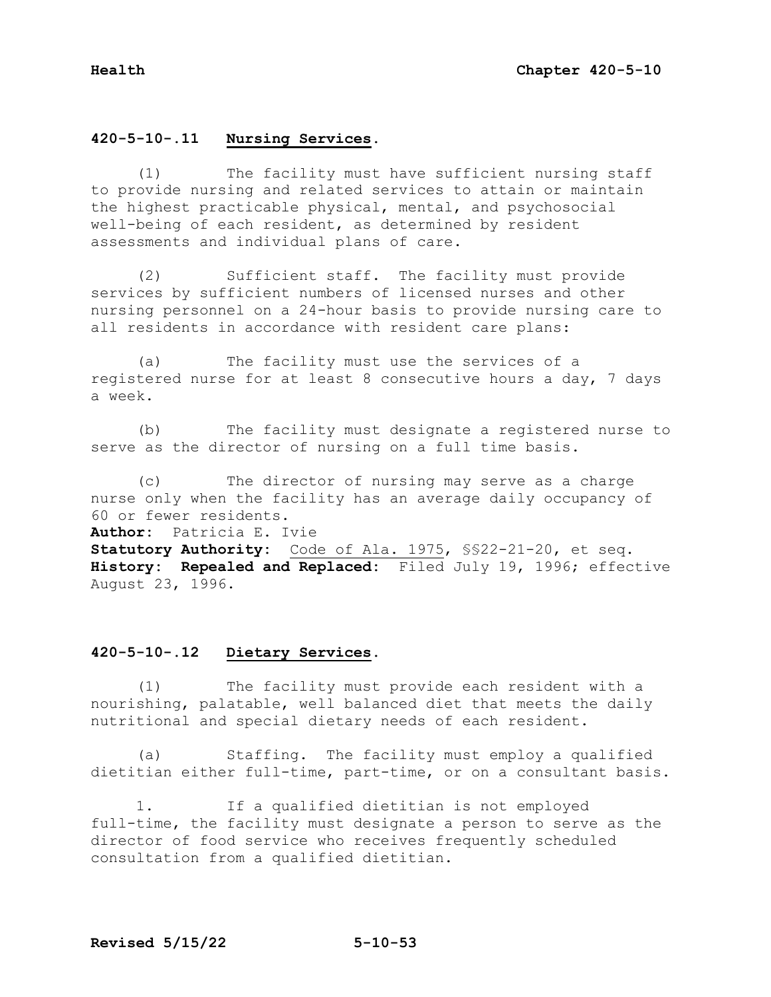# **420-5-10-.11 Nursing Services.**

(1) The facility must have sufficient nursing staff to provide nursing and related services to attain or maintain the highest practicable physical, mental, and psychosocial well-being of each resident, as determined by resident assessments and individual plans of care.

 (2) Sufficient staff. The facility must provide services by sufficient numbers of licensed nurses and other nursing personnel on a 24-hour basis to provide nursing care to all residents in accordance with resident care plans:

 (a) The facility must use the services of a registered nurse for at least 8 consecutive hours a day, 7 days a week.

 (b) The facility must designate a registered nurse to serve as the director of nursing on a full time basis.

 (c) The director of nursing may serve as a charge nurse only when the facility has an average daily occupancy of 60 or fewer residents.

**Author:** Patricia E. Ivie

**Statutory Authority:** Code of Ala. 1975, §§22-21-20, et seq. **History: Repealed and Replaced:** Filed July 19, 1996; effective August 23, 1996.

# **420-5-10-.12 Dietary Services.**

 (1) The facility must provide each resident with a nourishing, palatable, well balanced diet that meets the daily nutritional and special dietary needs of each resident.

 (a) Staffing. The facility must employ a qualified dietitian either full-time, part-time, or on a consultant basis.

 1. If a qualified dietitian is not employed full-time, the facility must designate a person to serve as the director of food service who receives frequently scheduled consultation from a qualified dietitian.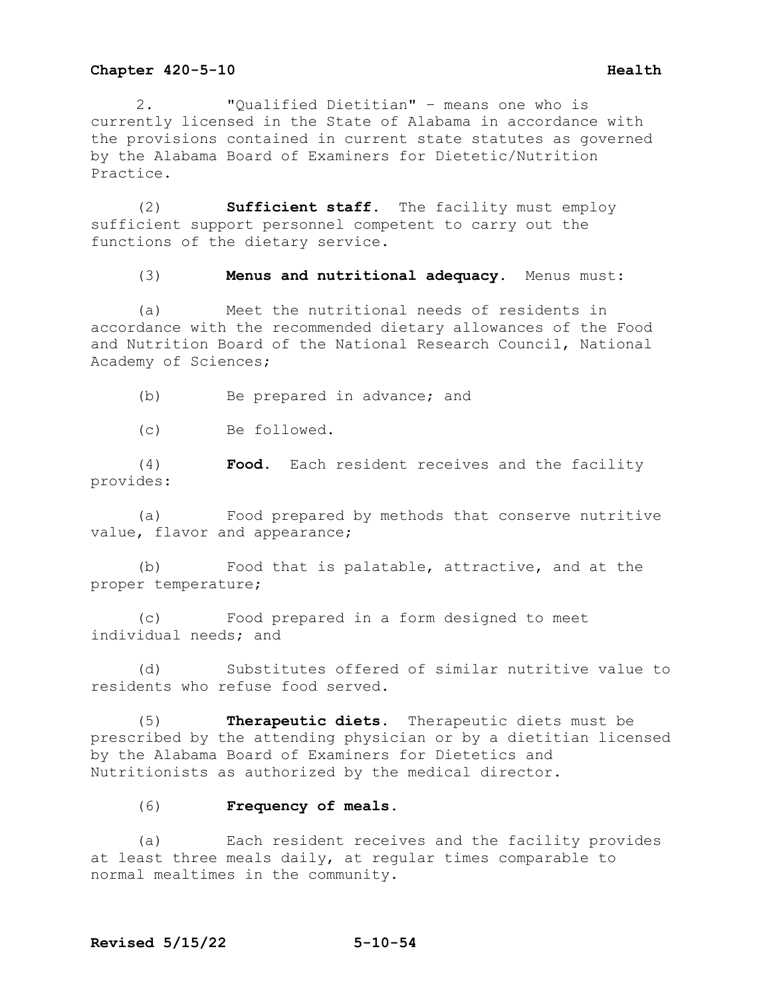2. "Qualified Dietitian" – means one who is currently licensed in the State of Alabama in accordance with the provisions contained in current state statutes as governed by the Alabama Board of Examiners for Dietetic/Nutrition Practice.

(2) **Sufficient staff.** The facility must employ sufficient support personnel competent to carry out the functions of the dietary service.

(3) **Menus and nutritional adequacy.** Menus must:

(a) Meet the nutritional needs of residents in accordance with the recommended dietary allowances of the Food and Nutrition Board of the National Research Council, National Academy of Sciences;

(b) Be prepared in advance; and

(c) Be followed.

(4) **Food.** Each resident receives and the facility provides:

(a) Food prepared by methods that conserve nutritive value, flavor and appearance;

(b) Food that is palatable, attractive, and at the proper temperature;

(c) Food prepared in a form designed to meet individual needs; and

(d) Substitutes offered of similar nutritive value to residents who refuse food served.

(5) **Therapeutic diets.** Therapeutic diets must be prescribed by the attending physician or by a dietitian licensed by the Alabama Board of Examiners for Dietetics and Nutritionists as authorized by the medical director**.**

## (6) **Frequency of meals.**

(a) Each resident receives and the facility provides at least three meals daily, at regular times comparable to normal mealtimes in the community.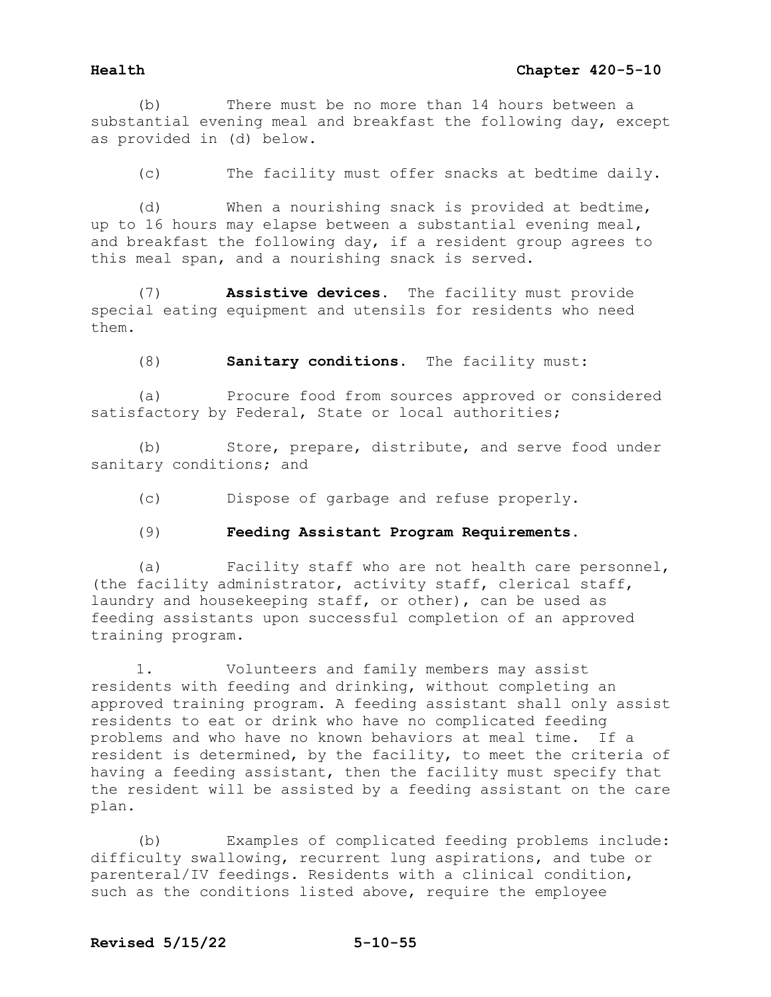(b) There must be no more than 14 hours between a substantial evening meal and breakfast the following day, except as provided in (d) below.

(c) The facility must offer snacks at bedtime daily.

(d) When a nourishing snack is provided at bedtime, up to 16 hours may elapse between a substantial evening meal, and breakfast the following day, if a resident group agrees to this meal span, and a nourishing snack is served.

(7) **Assistive devices.** The facility must provide special eating equipment and utensils for residents who need them.

(8) **Sanitary conditions.** The facility must:

(a) Procure food from sources approved or considered satisfactory by Federal, State or local authorities;

(b) Store, prepare, distribute, and serve food under sanitary conditions; and

(c) Dispose of garbage and refuse properly.

## (9) **Feeding Assistant Program Requirements.**

(a) Facility staff who are not health care personnel, (the facility administrator, activity staff, clerical staff, laundry and housekeeping staff, or other), can be used as feeding assistants upon successful completion of an approved training program.

1. Volunteers and family members may assist residents with feeding and drinking, without completing an approved training program. A feeding assistant shall only assist residents to eat or drink who have no complicated feeding problems and who have no known behaviors at meal time. If a resident is determined, by the facility, to meet the criteria of having a feeding assistant, then the facility must specify that the resident will be assisted by a feeding assistant on the care plan.

(b) Examples of complicated feeding problems include: difficulty swallowing, recurrent lung aspirations, and tube or parenteral/IV feedings. Residents with a clinical condition, such as the conditions listed above, require the employee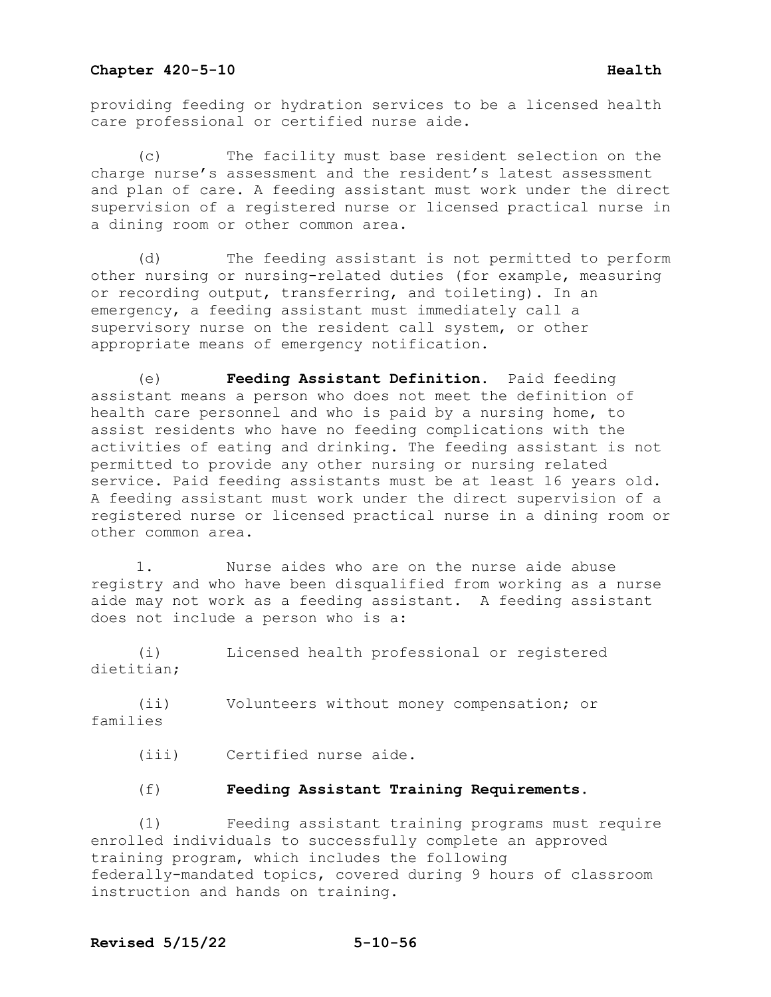providing feeding or hydration services to be a licensed health care professional or certified nurse aide.

The facility must base resident selection on the charge nurse's assessment and the resident's latest assessment and plan of care. A feeding assistant must work under the direct supervision of a registered nurse or licensed practical nurse in a dining room or other common area.

 (d) The feeding assistant is not permitted to perform other nursing or nursing-related duties (for example, measuring or recording output, transferring, and toileting). In an emergency, a feeding assistant must immediately call a supervisory nurse on the resident call system, or other appropriate means of emergency notification.

(e) **Feeding Assistant Definition.** Paid feeding assistant means a person who does not meet the definition of health care personnel and who is paid by a nursing home, to assist residents who have no feeding complications with the activities of eating and drinking. The feeding assistant is not permitted to provide any other nursing or nursing related service. Paid feeding assistants must be at least 16 years old. A feeding assistant must work under the direct supervision of a registered nurse or licensed practical nurse in a dining room or other common area.

 1. Nurse aides who are on the nurse aide abuse registry and who have been disqualified from working as a nurse aide may not work as a feeding assistant. A feeding assistant does not include a person who is a:

 (i) Licensed health professional or registered dietitian;

 (ii) Volunteers without money compensation; or families

- (iii) Certified nurse aide.
- (f) **Feeding Assistant Training Requirements.**

 (1) Feeding assistant training programs must require enrolled individuals to successfully complete an approved training program, which includes the following federally-mandated topics, covered during 9 hours of classroom instruction and hands on training.

# **Revised 5/15/22 5-10-56**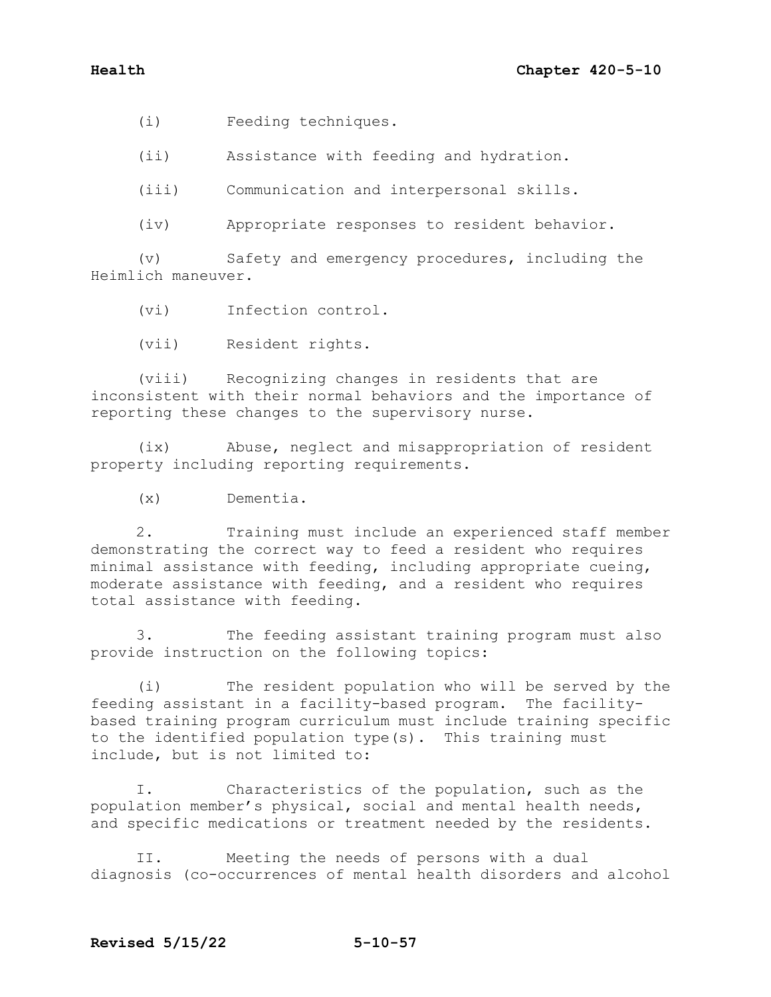(i) Feeding techniques.

(ii) Assistance with feeding and hydration.

(iii) Communication and interpersonal skills.

(iv) Appropriate responses to resident behavior.

 (v) Safety and emergency procedures, including the Heimlich maneuver.

(vi) Infection control.

(vii) Resident rights.

 (viii) Recognizing changes in residents that are inconsistent with their normal behaviors and the importance of reporting these changes to the supervisory nurse.

 (ix) Abuse, neglect and misappropriation of resident property including reporting requirements.

(x) Dementia.

 2. Training must include an experienced staff member demonstrating the correct way to feed a resident who requires minimal assistance with feeding, including appropriate cueing, moderate assistance with feeding, and a resident who requires total assistance with feeding.

 3. The feeding assistant training program must also provide instruction on the following topics:

 (i) The resident population who will be served by the feeding assistant in a facility-based program. The facilitybased training program curriculum must include training specific to the identified population type(s). This training must include, but is not limited to:

 I. Characteristics of the population, such as the population member's physical, social and mental health needs, and specific medications or treatment needed by the residents.

 II. Meeting the needs of persons with a dual diagnosis (co-occurrences of mental health disorders and alcohol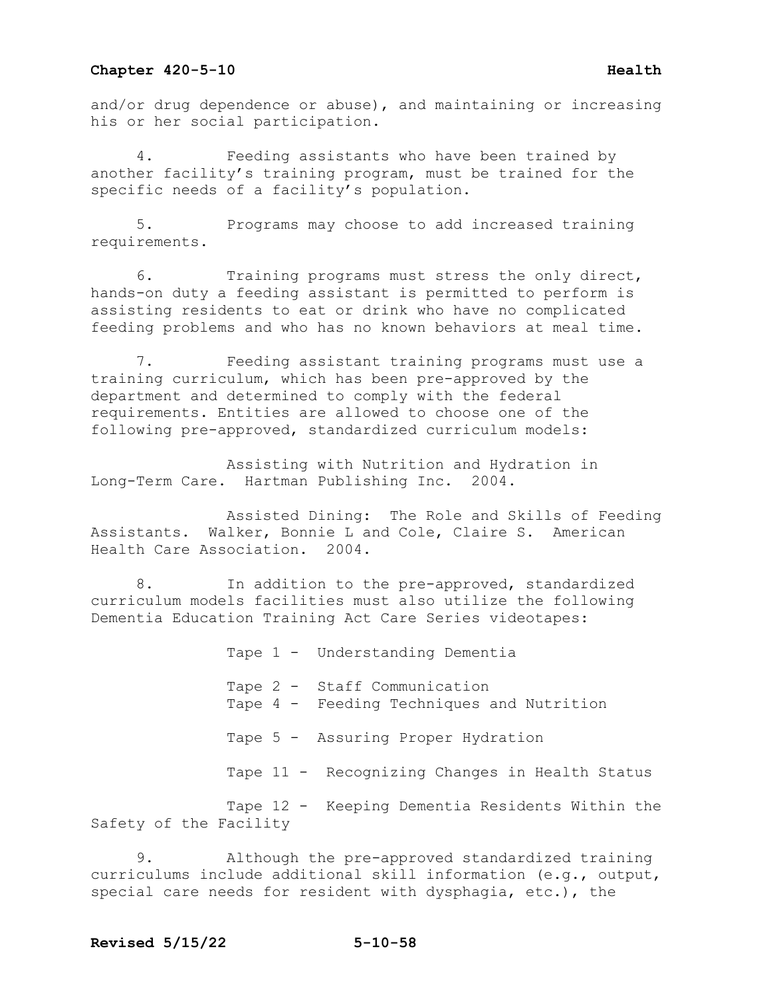and/or drug dependence or abuse), and maintaining or increasing his or her social participation.

Feeding assistants who have been trained by another facility's training program, must be trained for the specific needs of a facility's population.

 5. Programs may choose to add increased training requirements.

 6. Training programs must stress the only direct, hands-on duty a feeding assistant is permitted to perform is assisting residents to eat or drink who have no complicated feeding problems and who has no known behaviors at meal time.

 7. Feeding assistant training programs must use a training curriculum, which has been pre-approved by the department and determined to comply with the federal requirements. Entities are allowed to choose one of the following pre-approved, standardized curriculum models:

 Assisting with Nutrition and Hydration in Long-Term Care. Hartman Publishing Inc. 2004.

 Assisted Dining: The Role and Skills of Feeding Assistants. Walker, Bonnie L and Cole, Claire S. American Health Care Association. 2004.

 8. In addition to the pre-approved, standardized curriculum models facilities must also utilize the following Dementia Education Training Act Care Series videotapes:

 Tape 1 - Understanding Dementia Tape 2 - Staff Communication Tape 4 - Feeding Techniques and Nutrition Tape 5 - Assuring Proper Hydration Tape 11 - Recognizing Changes in Health Status Tape 12 - Keeping Dementia Residents Within the Safety of the Facility

 9. Although the pre-approved standardized training curriculums include additional skill information (e.g., output, special care needs for resident with dysphagia, etc.), the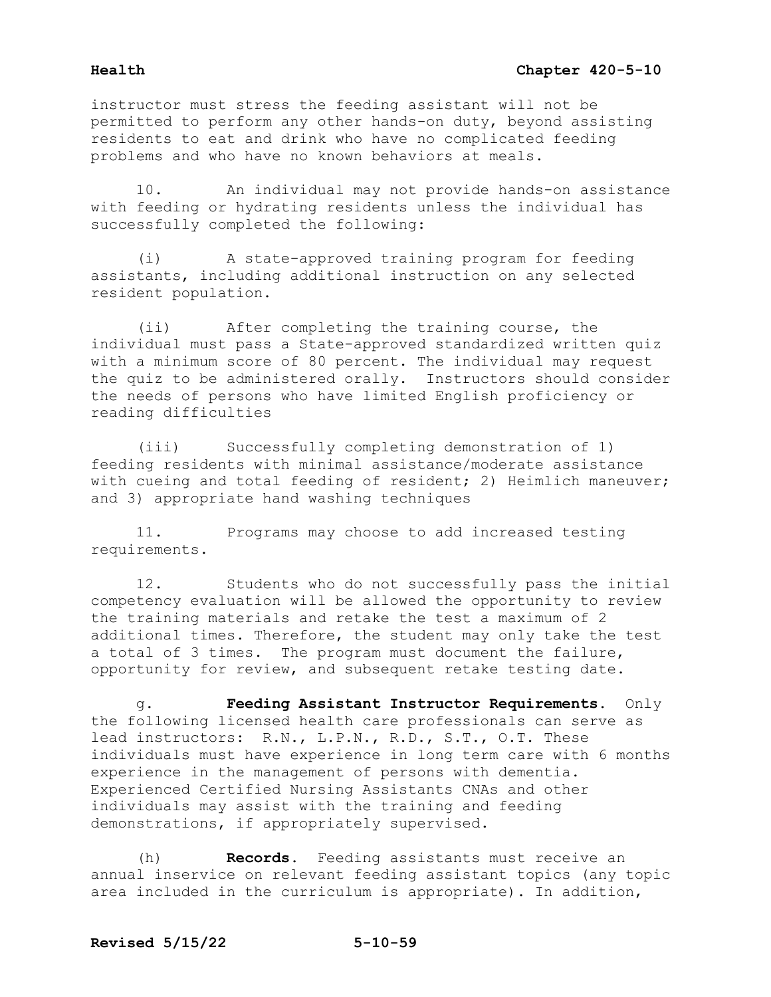instructor must stress the feeding assistant will not be permitted to perform any other hands-on duty, beyond assisting residents to eat and drink who have no complicated feeding problems and who have no known behaviors at meals.

 10. An individual may not provide hands-on assistance with feeding or hydrating residents unless the individual has successfully completed the following:

 (i) A state-approved training program for feeding assistants, including additional instruction on any selected resident population.

 (ii) After completing the training course, the individual must pass a State-approved standardized written quiz with a minimum score of 80 percent. The individual may request the quiz to be administered orally. Instructors should consider the needs of persons who have limited English proficiency or reading difficulties

 (iii) Successfully completing demonstration of 1) feeding residents with minimal assistance/moderate assistance with cueing and total feeding of resident; 2) Heimlich maneuver; and 3) appropriate hand washing techniques

 11. Programs may choose to add increased testing requirements.

 12. Students who do not successfully pass the initial competency evaluation will be allowed the opportunity to review the training materials and retake the test a maximum of 2 additional times. Therefore, the student may only take the test a total of 3 times. The program must document the failure, opportunity for review, and subsequent retake testing date.

g. **Feeding Assistant Instructor Requirements.** Only the following licensed health care professionals can serve as lead instructors: R.N., L.P.N., R.D., S.T., O.T. These individuals must have experience in long term care with 6 months experience in the management of persons with dementia. Experienced Certified Nursing Assistants CNAs and other individuals may assist with the training and feeding demonstrations, if appropriately supervised.

 (h) **Records.** Feeding assistants must receive an annual inservice on relevant feeding assistant topics (any topic area included in the curriculum is appropriate). In addition,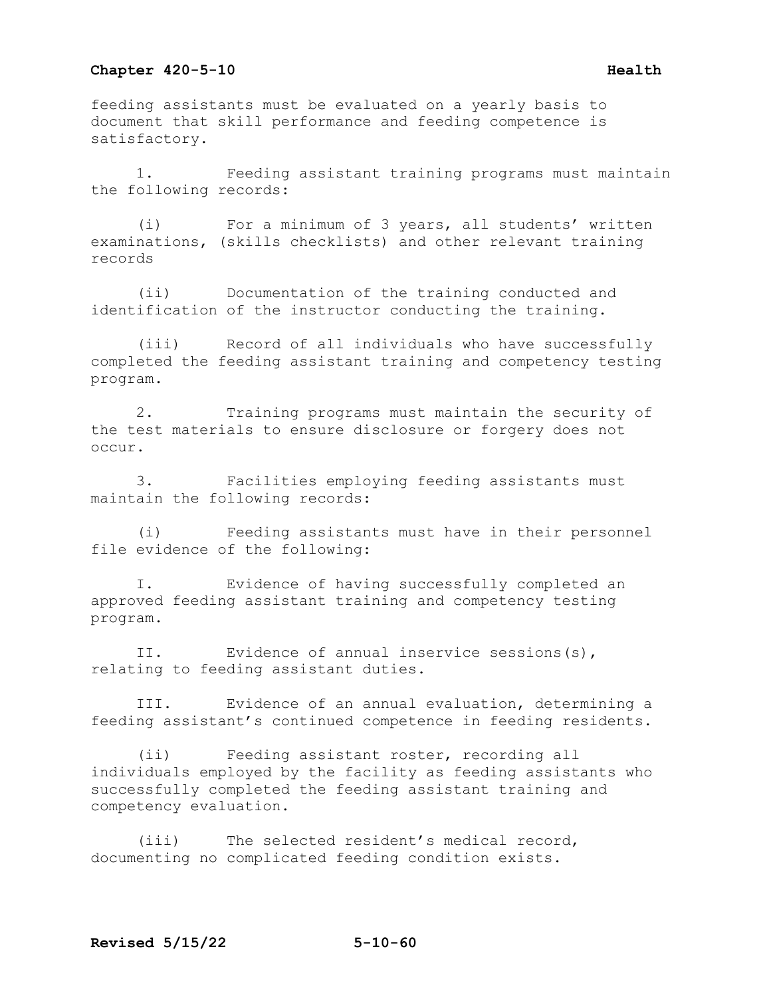feeding assistants must be evaluated on a yearly basis to document that skill performance and feeding competence is satisfactory.

1. Feeding assistant training programs must maintain the following records:

(i) For a minimum of 3 years, all students' written examinations, (skills checklists) and other relevant training records

(ii) Documentation of the training conducted and identification of the instructor conducting the training.

(iii) Record of all individuals who have successfully completed the feeding assistant training and competency testing program.

2. Training programs must maintain the security of the test materials to ensure disclosure or forgery does not occur.

3. Facilities employing feeding assistants must maintain the following records:

(i) Feeding assistants must have in their personnel file evidence of the following:

I. Evidence of having successfully completed an approved feeding assistant training and competency testing program.

II. Evidence of annual inservice sessions(s), relating to feeding assistant duties.

III. Evidence of an annual evaluation, determining a feeding assistant's continued competence in feeding residents.

(ii) Feeding assistant roster, recording all individuals employed by the facility as feeding assistants who successfully completed the feeding assistant training and competency evaluation.

(iii) The selected resident's medical record, documenting no complicated feeding condition exists.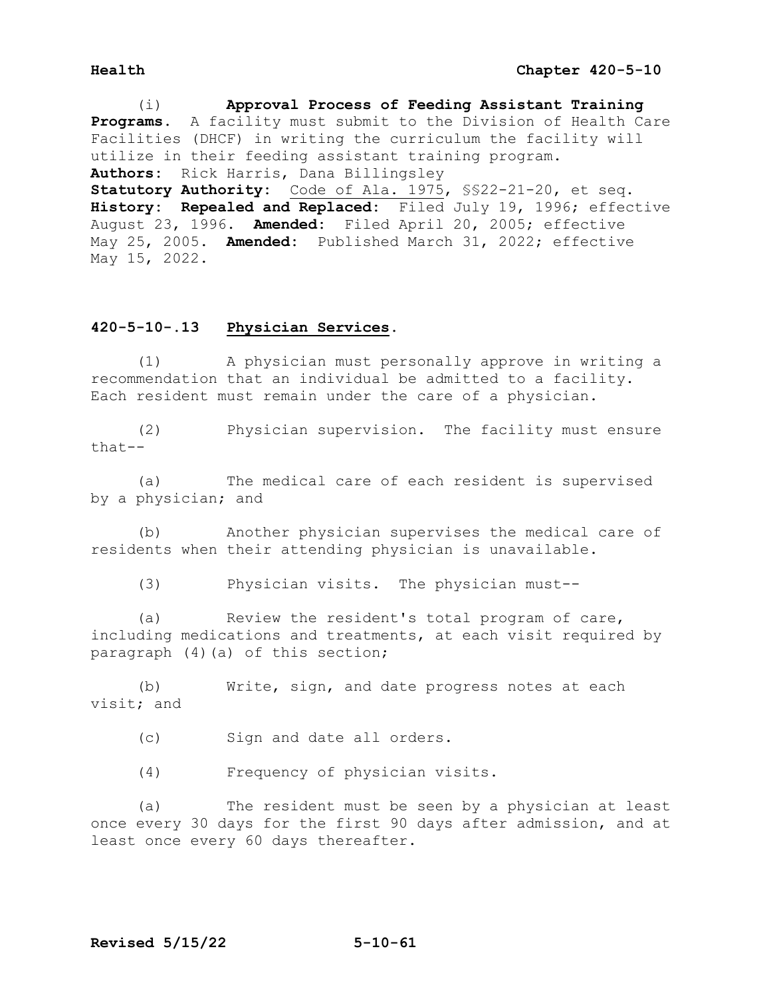(i) **Approval Process of Feeding Assistant Training Programs.** A facility must submit to the Division of Health Care Facilities (DHCF) in writing the curriculum the facility will utilize in their feeding assistant training program. **Authors:** Rick Harris, Dana Billingsley **Statutory Authority:** Code of Ala. 1975, §§22-21-20, et seq. **History: Repealed and Replaced:** Filed July 19, 1996; effective August 23, 1996. **Amended:** Filed April 20, 2005; effective May 25, 2005. **Amended:** Published March 31, 2022; effective May 15, 2022.

# **420-5-10-.13 Physician Services.**

 (1) A physician must personally approve in writing a recommendation that an individual be admitted to a facility. Each resident must remain under the care of a physician.

 (2) Physician supervision. The facility must ensure that--

 (a) The medical care of each resident is supervised by a physician; and

 (b) Another physician supervises the medical care of residents when their attending physician is unavailable.

(3) Physician visits. The physician must--

 (a) Review the resident's total program of care, including medications and treatments, at each visit required by paragraph (4)(a) of this section;

 (b) Write, sign, and date progress notes at each visit; and

(c) Sign and date all orders.

(4) Frequency of physician visits.

 (a) The resident must be seen by a physician at least once every 30 days for the first 90 days after admission, and at least once every 60 days thereafter.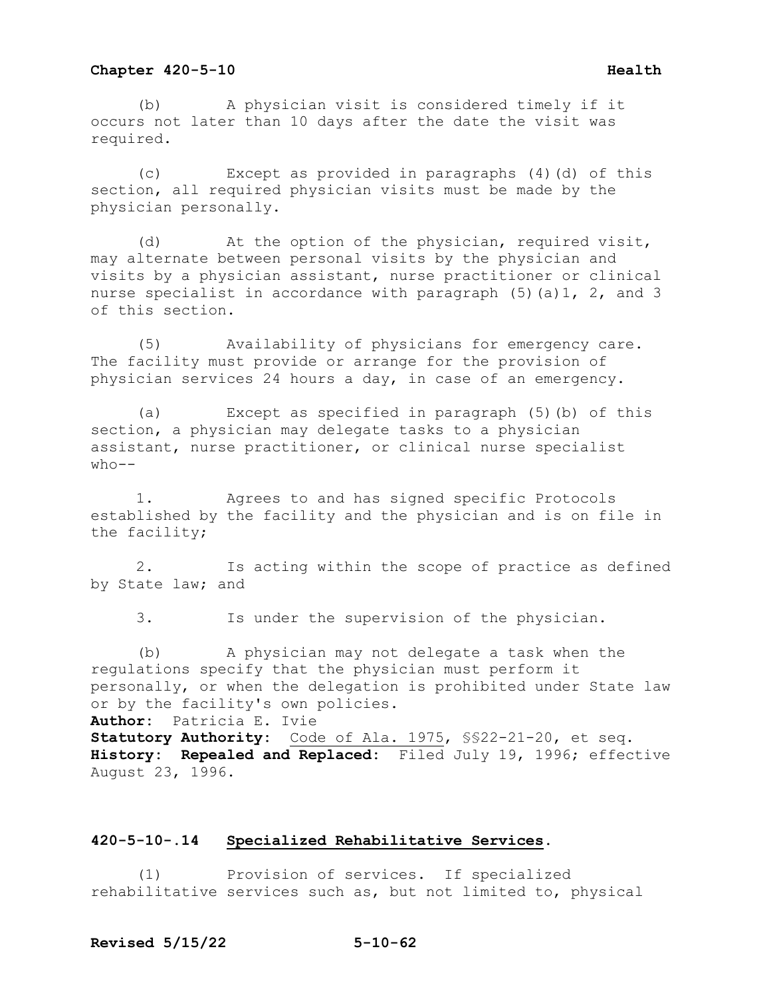## **Chapter 420-5-10 Health Health**

 (b) A physician visit is considered timely if it occurs not later than 10 days after the date the visit was required.

 (c) Except as provided in paragraphs (4)(d) of this section, all required physician visits must be made by the physician personally.

 (d) At the option of the physician, required visit, may alternate between personal visits by the physician and visits by a physician assistant, nurse practitioner or clinical nurse specialist in accordance with paragraph (5)(a)1, 2, and 3 of this section.

 (5) Availability of physicians for emergency care. The facility must provide or arrange for the provision of physician services 24 hours a day, in case of an emergency.

 (a) Except as specified in paragraph (5)(b) of this section, a physician may delegate tasks to a physician assistant, nurse practitioner, or clinical nurse specialist  $who--$ 

 1. Agrees to and has signed specific Protocols established by the facility and the physician and is on file in the facility;

 2. Is acting within the scope of practice as defined by State law; and

3. Is under the supervision of the physician.

 (b) A physician may not delegate a task when the regulations specify that the physician must perform it personally, or when the delegation is prohibited under State law or by the facility's own policies. **Author:** Patricia E. Ivie **Statutory Authority:** Code of Ala. 1975, §§22-21-20, et seq. **History: Repealed and Replaced:** Filed July 19, 1996; effective August 23, 1996.

# **420-5-10-.14 Specialized Rehabilitative Services.**

 (1) Provision of services. If specialized rehabilitative services such as, but not limited to, physical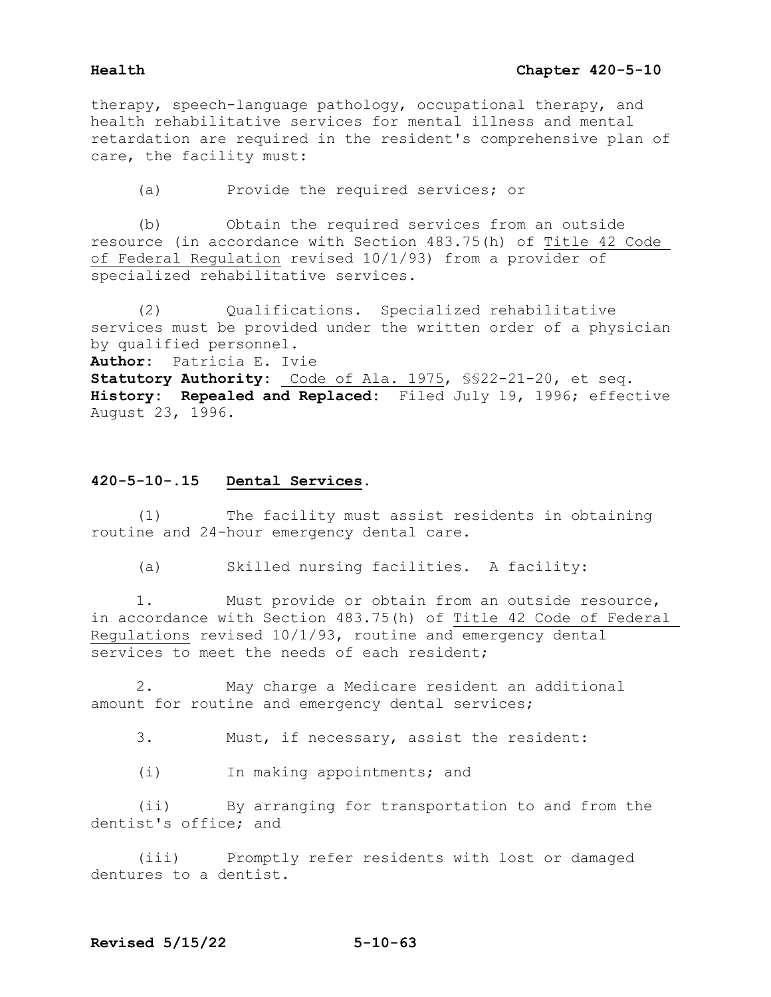therapy, speech-language pathology, occupational therapy, and health rehabilitative services for mental illness and mental retardation are required in the resident's comprehensive plan of care, the facility must:

(a) Provide the required services; or

 (b) Obtain the required services from an outside resource (in accordance with Section 483.75(h) of Title 42 Code of Federal Regulation revised 10/1/93) from a provider of specialized rehabilitative services.

 (2) Qualifications. Specialized rehabilitative services must be provided under the written order of a physician by qualified personnel.

**Author:** Patricia E. Ivie

**Statutory Authority:** Code of Ala. 1975, §§22-21-20, et seq. **History: Repealed and Replaced:** Filed July 19, 1996; effective August 23, 1996.

# **420-5-10-.15 Dental Services.**

 (1) The facility must assist residents in obtaining routine and 24-hour emergency dental care.

(a) Skilled nursing facilities. A facility:

 1. Must provide or obtain from an outside resource, in accordance with Section 483.75(h) of Title 42 Code of Federal Regulations revised 10/1/93, routine and emergency dental services to meet the needs of each resident;

 2. May charge a Medicare resident an additional amount for routine and emergency dental services;

3. Must, if necessary, assist the resident:

(i) In making appointments; and

 (ii) By arranging for transportation to and from the dentist's office; and

 (iii) Promptly refer residents with lost or damaged dentures to a dentist.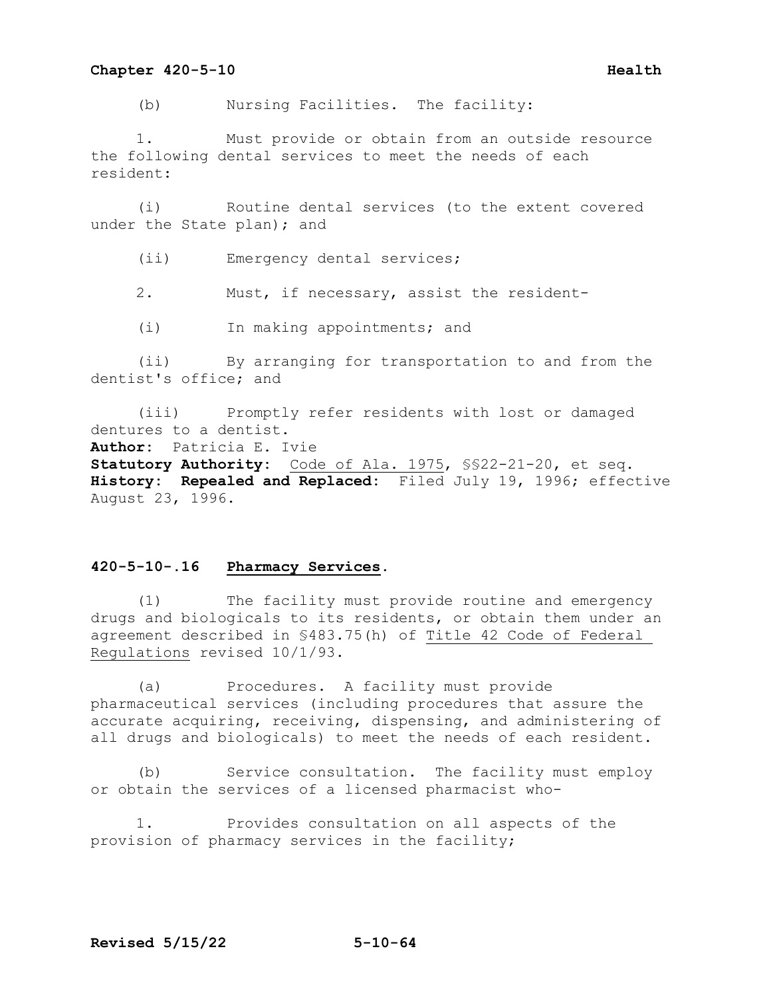## **Chapter 420-5-10 Health Health**

(b) Nursing Facilities. The facility:

 1. Must provide or obtain from an outside resource the following dental services to meet the needs of each resident:

 (i) Routine dental services (to the extent covered under the State plan); and

(ii) Emergency dental services;

2. Must, if necessary, assist the resident-

(i) In making appointments; and

 (ii) By arranging for transportation to and from the dentist's office; and

 (iii) Promptly refer residents with lost or damaged dentures to a dentist. **Author:** Patricia E. Ivie **Statutory Authority:** Code of Ala. 1975, §§22-21-20, et seq. **History: Repealed and Replaced:** Filed July 19, 1996; effective August 23, 1996.

# **420-5-10-.16 Pharmacy Services.**

 (1) The facility must provide routine and emergency drugs and biologicals to its residents, or obtain them under an agreement described in §483.75(h) of Title 42 Code of Federal Regulations revised 10/1/93.

 (a) Procedures. A facility must provide pharmaceutical services (including procedures that assure the accurate acquiring, receiving, dispensing, and administering of all drugs and biologicals) to meet the needs of each resident.

 (b) Service consultation. The facility must employ or obtain the services of a licensed pharmacist who-

 1. Provides consultation on all aspects of the provision of pharmacy services in the facility;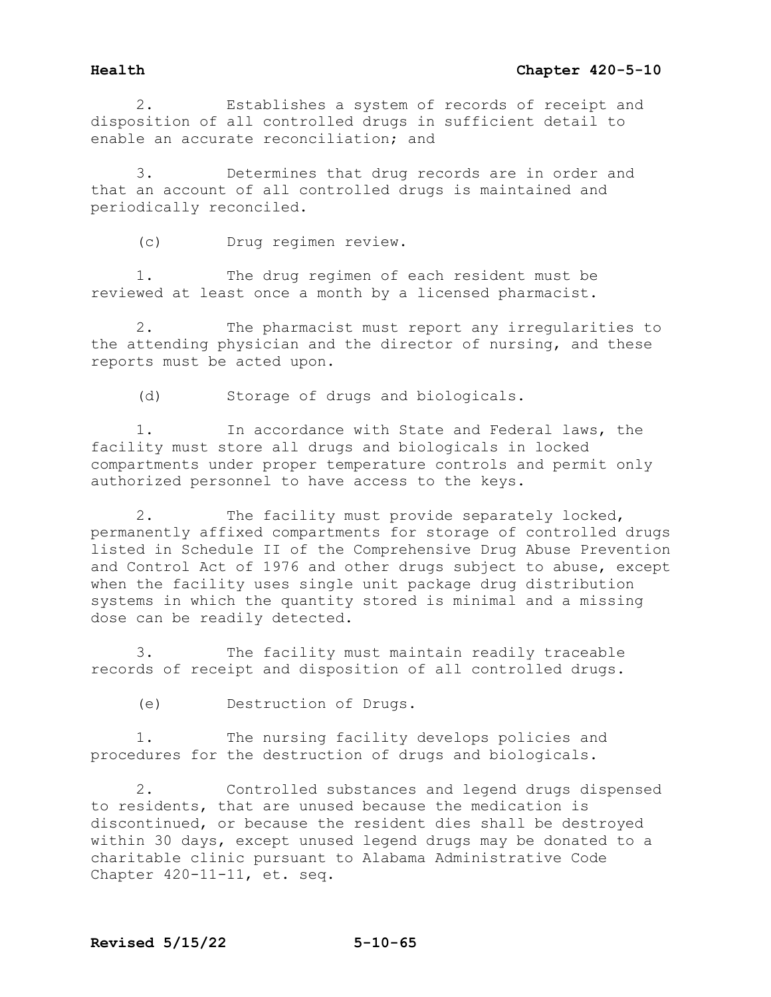2. Establishes a system of records of receipt and disposition of all controlled drugs in sufficient detail to enable an accurate reconciliation; and

3. Determines that drug records are in order and that an account of all controlled drugs is maintained and periodically reconciled.

(c) Drug regimen review.

1. The drug regimen of each resident must be reviewed at least once a month by a licensed pharmacist.

2. The pharmacist must report any irregularities to the attending physician and the director of nursing, and these reports must be acted upon.

(d) Storage of drugs and biologicals.

1. In accordance with State and Federal laws, the facility must store all drugs and biologicals in locked compartments under proper temperature controls and permit only authorized personnel to have access to the keys.

2. The facility must provide separately locked, permanently affixed compartments for storage of controlled drugs listed in Schedule II of the Comprehensive Drug Abuse Prevention and Control Act of 1976 and other drugs subject to abuse, except when the facility uses single unit package drug distribution systems in which the quantity stored is minimal and a missing dose can be readily detected.

3. The facility must maintain readily traceable records of receipt and disposition of all controlled drugs.

(e) Destruction of Drugs.

1. The nursing facility develops policies and procedures for the destruction of drugs and biologicals.

2. Controlled substances and legend drugs dispensed to residents, that are unused because the medication is discontinued, or because the resident dies shall be destroyed within 30 days, except unused legend drugs may be donated to a charitable clinic pursuant to Alabama Administrative Code Chapter 420-11-11, et. seq.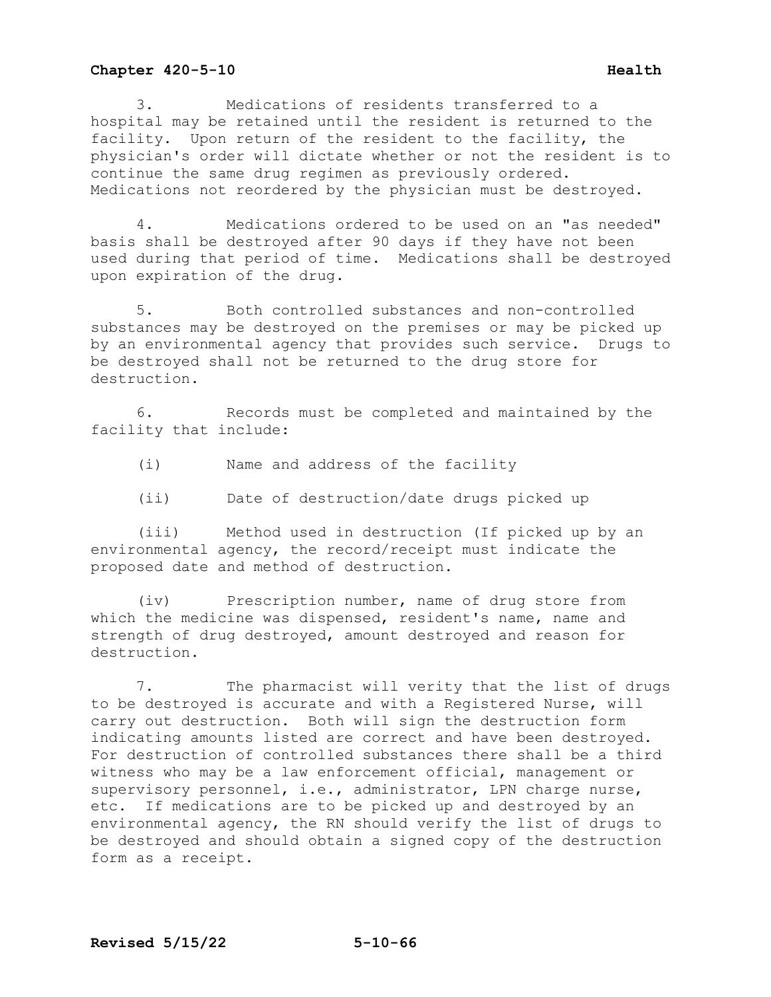3. Medications of residents transferred to a hospital may be retained until the resident is returned to the facility. Upon return of the resident to the facility, the physician's order will dictate whether or not the resident is to continue the same drug regimen as previously ordered. Medications not reordered by the physician must be destroyed.

4. Medications ordered to be used on an "as needed" basis shall be destroyed after 90 days if they have not been used during that period of time. Medications shall be destroyed upon expiration of the drug.

5. Both controlled substances and non-controlled substances may be destroyed on the premises or may be picked up by an environmental agency that provides such service. Drugs to be destroyed shall not be returned to the drug store for destruction.

6. Records must be completed and maintained by the facility that include:

- (i) Name and address of the facility
- (ii) Date of destruction/date drugs picked up

(iii) Method used in destruction (If picked up by an environmental agency, the record/receipt must indicate the proposed date and method of destruction.

(iv) Prescription number, name of drug store from which the medicine was dispensed, resident's name, name and strength of drug destroyed, amount destroyed and reason for destruction.

7. The pharmacist will verity that the list of drugs to be destroyed is accurate and with a Registered Nurse, will carry out destruction. Both will sign the destruction form indicating amounts listed are correct and have been destroyed. For destruction of controlled substances there shall be a third witness who may be a law enforcement official, management or supervisory personnel, i.e., administrator, LPN charge nurse, etc. If medications are to be picked up and destroyed by an environmental agency, the RN should verify the list of drugs to be destroyed and should obtain a signed copy of the destruction form as a receipt.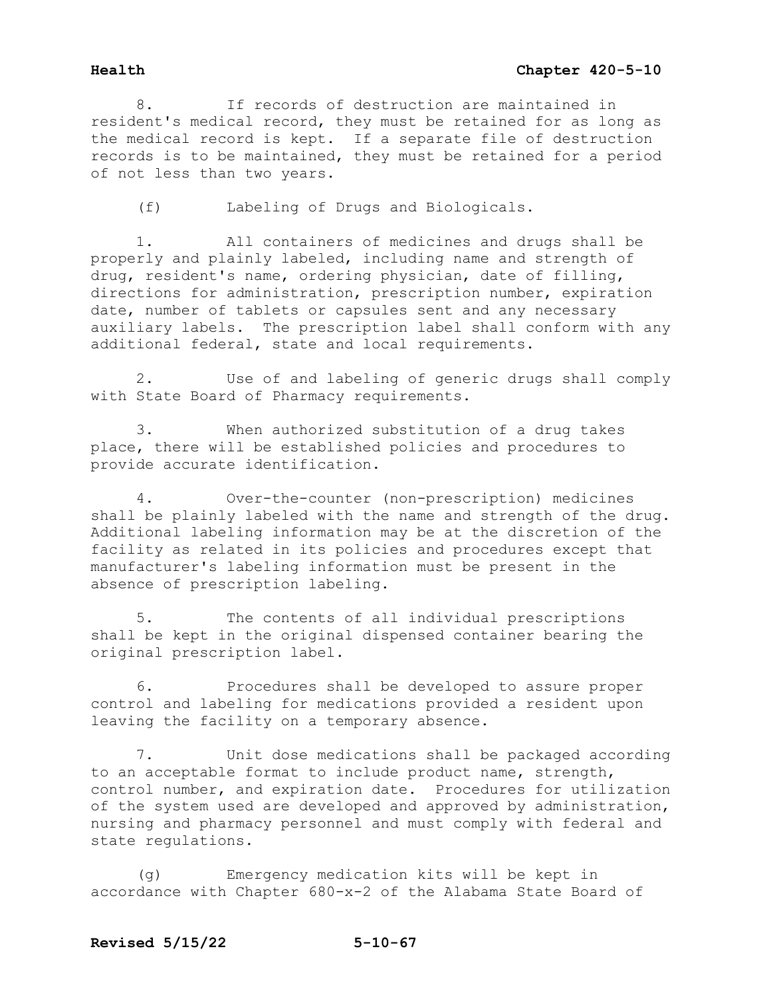8. If records of destruction are maintained in resident's medical record, they must be retained for as long as the medical record is kept. If a separate file of destruction records is to be maintained, they must be retained for a period of not less than two years.

(f) Labeling of Drugs and Biologicals.

1. All containers of medicines and drugs shall be properly and plainly labeled, including name and strength of drug, resident's name, ordering physician, date of filling, directions for administration, prescription number, expiration date, number of tablets or capsules sent and any necessary auxiliary labels. The prescription label shall conform with any additional federal, state and local requirements.

2. Use of and labeling of generic drugs shall comply with State Board of Pharmacy requirements.

3. When authorized substitution of a drug takes place, there will be established policies and procedures to provide accurate identification.

4. Over-the-counter (non-prescription) medicines shall be plainly labeled with the name and strength of the drug. Additional labeling information may be at the discretion of the facility as related in its policies and procedures except that manufacturer's labeling information must be present in the absence of prescription labeling.

5. The contents of all individual prescriptions shall be kept in the original dispensed container bearing the original prescription label.

6. Procedures shall be developed to assure proper control and labeling for medications provided a resident upon leaving the facility on a temporary absence.

7. Unit dose medications shall be packaged according to an acceptable format to include product name, strength, control number, and expiration date. Procedures for utilization of the system used are developed and approved by administration, nursing and pharmacy personnel and must comply with federal and state regulations.

(g) Emergency medication kits will be kept in accordance with Chapter 680-x-2 of the Alabama State Board of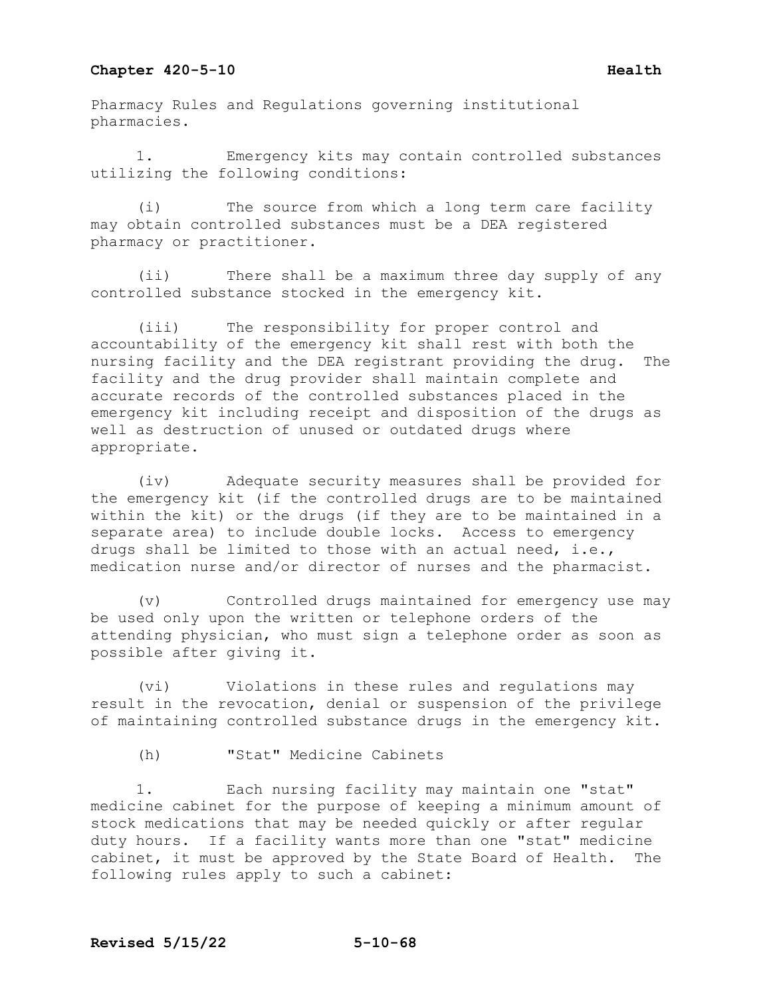Pharmacy Rules and Regulations governing institutional pharmacies.

1. Emergency kits may contain controlled substances utilizing the following conditions:

(i) The source from which a long term care facility may obtain controlled substances must be a DEA registered pharmacy or practitioner.

(ii) There shall be a maximum three day supply of any controlled substance stocked in the emergency kit.

(iii) The responsibility for proper control and accountability of the emergency kit shall rest with both the nursing facility and the DEA registrant providing the drug. The facility and the drug provider shall maintain complete and accurate records of the controlled substances placed in the emergency kit including receipt and disposition of the drugs as well as destruction of unused or outdated drugs where appropriate.

(iv) Adequate security measures shall be provided for the emergency kit (if the controlled drugs are to be maintained within the kit) or the drugs (if they are to be maintained in a separate area) to include double locks. Access to emergency drugs shall be limited to those with an actual need, i.e., medication nurse and/or director of nurses and the pharmacist.

(v) Controlled drugs maintained for emergency use may be used only upon the written or telephone orders of the attending physician, who must sign a telephone order as soon as possible after giving it.

(vi) Violations in these rules and regulations may result in the revocation, denial or suspension of the privilege of maintaining controlled substance drugs in the emergency kit.

(h) "Stat" Medicine Cabinets

1. Each nursing facility may maintain one "stat" medicine cabinet for the purpose of keeping a minimum amount of stock medications that may be needed quickly or after regular duty hours. If a facility wants more than one "stat" medicine<br>cabinet, it must be approved by the State Board of Health. The cabinet, it must be approved by the State Board of Health. following rules apply to such a cabinet: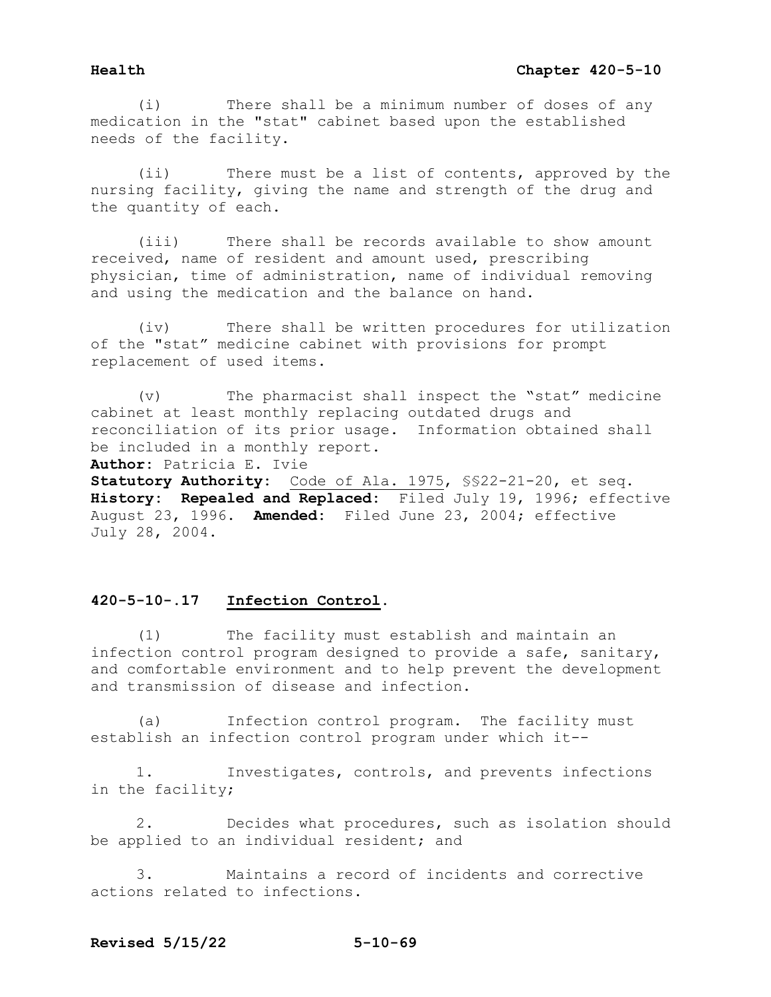(i) There shall be a minimum number of doses of any medication in the "stat" cabinet based upon the established needs of the facility.

 (ii) There must be a list of contents, approved by the nursing facility, giving the name and strength of the drug and the quantity of each.

 (iii) There shall be records available to show amount received, name of resident and amount used, prescribing physician, time of administration, name of individual removing and using the medication and the balance on hand.

 (iv) There shall be written procedures for utilization of the "stat" medicine cabinet with provisions for prompt replacement of used items.

 (v) The pharmacist shall inspect the "stat" medicine cabinet at least monthly replacing outdated drugs and reconciliation of its prior usage. Information obtained shall be included in a monthly report.

**Author:** Patricia E. Ivie

**Statutory Authority:** Code of Ala. 1975, §§22-21-20, et seq. **History: Repealed and Replaced:** Filed July 19, 1996; effective August 23, 1996. **Amended:** Filed June 23, 2004; effective July 28, 2004.

# **420-5-10-.17 Infection Control.**

 (1) The facility must establish and maintain an infection control program designed to provide a safe, sanitary, and comfortable environment and to help prevent the development and transmission of disease and infection.

 (a) Infection control program. The facility must establish an infection control program under which it--

 1. Investigates, controls, and prevents infections in the facility;

 2. Decides what procedures, such as isolation should be applied to an individual resident; and

 3. Maintains a record of incidents and corrective actions related to infections.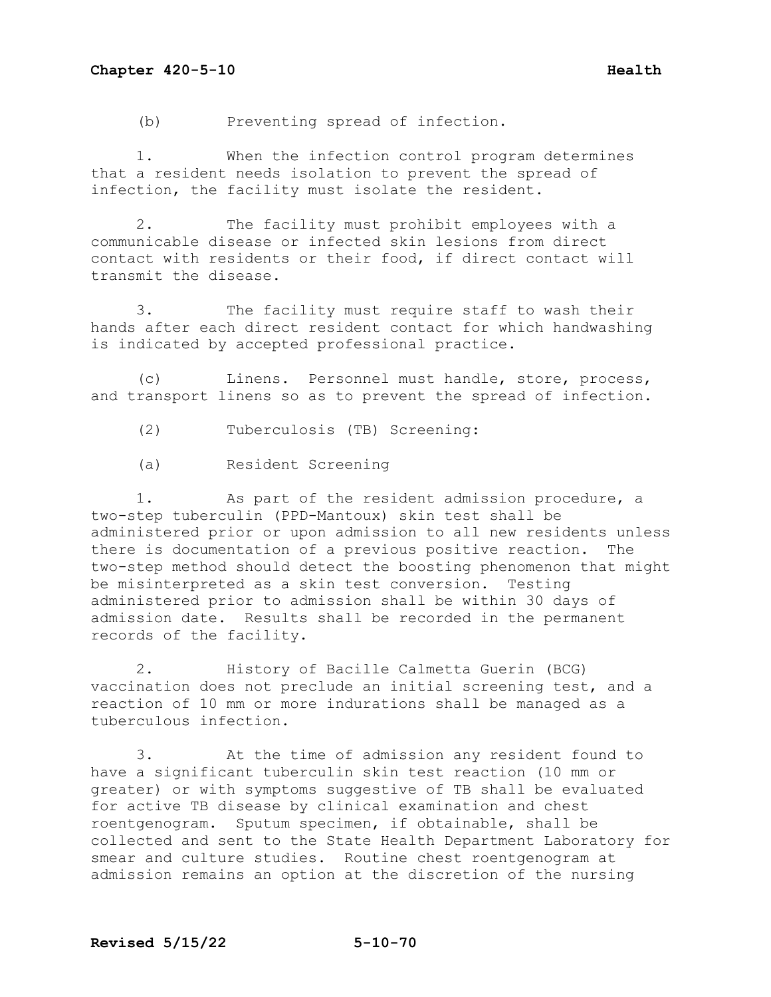(b) Preventing spread of infection.

1. When the infection control program determines that a resident needs isolation to prevent the spread of infection, the facility must isolate the resident.

2. The facility must prohibit employees with a communicable disease or infected skin lesions from direct contact with residents or their food, if direct contact will transmit the disease.

3. The facility must require staff to wash their hands after each direct resident contact for which handwashing is indicated by accepted professional practice.

(c) Linens. Personnel must handle, store, process, and transport linens so as to prevent the spread of infection.

(2) Tuberculosis (TB) Screening:

(a) Resident Screening

1. As part of the resident admission procedure, a two-step tuberculin (PPD-Mantoux) skin test shall be administered prior or upon admission to all new residents unless there is documentation of a previous positive reaction. The two-step method should detect the boosting phenomenon that might be misinterpreted as a skin test conversion. Testing administered prior to admission shall be within 30 days of admission date. Results shall be recorded in the permanent records of the facility.

2. History of Bacille Calmetta Guerin (BCG) vaccination does not preclude an initial screening test, and a reaction of 10 mm or more indurations shall be managed as a tuberculous infection.

3. At the time of admission any resident found to have a significant tuberculin skin test reaction (10 mm or greater) or with symptoms suggestive of TB shall be evaluated for active TB disease by clinical examination and chest roentgenogram. Sputum specimen, if obtainable, shall be collected and sent to the State Health Department Laboratory for smear and culture studies. Routine chest roentgenogram at admission remains an option at the discretion of the nursing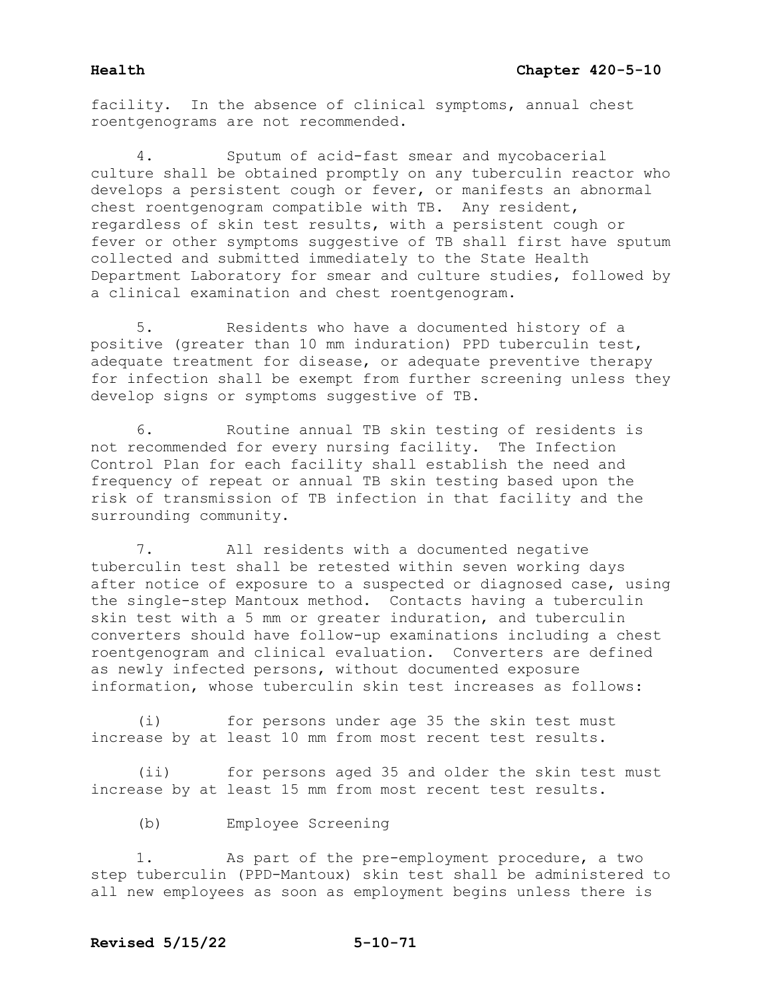facility. In the absence of clinical symptoms, annual chest roentgenograms are not recommended.

Sputum of acid-fast smear and mycobacerial culture shall be obtained promptly on any tuberculin reactor who develops a persistent cough or fever, or manifests an abnormal chest roentgenogram compatible with TB. Any resident, regardless of skin test results, with a persistent cough or fever or other symptoms suggestive of TB shall first have sputum collected and submitted immediately to the State Health Department Laboratory for smear and culture studies, followed by a clinical examination and chest roentgenogram.

5. Residents who have a documented history of a positive (greater than 10 mm induration) PPD tuberculin test, adequate treatment for disease, or adequate preventive therapy for infection shall be exempt from further screening unless they develop signs or symptoms suggestive of TB.

6. Routine annual TB skin testing of residents is not recommended for every nursing facility. The Infection Control Plan for each facility shall establish the need and frequency of repeat or annual TB skin testing based upon the risk of transmission of TB infection in that facility and the surrounding community.

7. All residents with a documented negative tuberculin test shall be retested within seven working days after notice of exposure to a suspected or diagnosed case, using the single-step Mantoux method. Contacts having a tuberculin skin test with a 5 mm or greater induration, and tuberculin converters should have follow-up examinations including a chest roentgenogram and clinical evaluation. Converters are defined as newly infected persons, without documented exposure information, whose tuberculin skin test increases as follows:

(i) for persons under age 35 the skin test must increase by at least 10 mm from most recent test results.

(ii) for persons aged 35 and older the skin test must increase by at least 15 mm from most recent test results.

(b) Employee Screening

1. As part of the pre-employment procedure, a two step tuberculin (PPD-Mantoux) skin test shall be administered to all new employees as soon as employment begins unless there is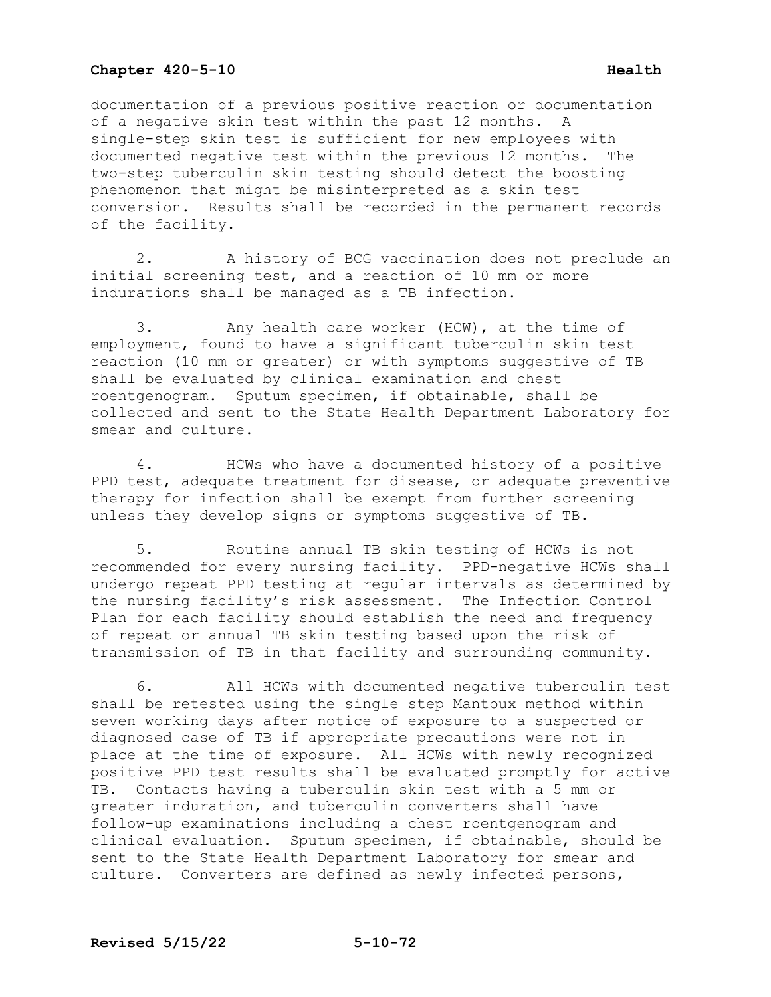documentation of a previous positive reaction or documentation of a negative skin test within the past 12 months. A single-step skin test is sufficient for new employees with documented negative test within the previous 12 months. The two-step tuberculin skin testing should detect the boosting phenomenon that might be misinterpreted as a skin test conversion. Results shall be recorded in the permanent records of the facility.

2. A history of BCG vaccination does not preclude an initial screening test, and a reaction of 10 mm or more indurations shall be managed as a TB infection.

3. Any health care worker (HCW), at the time of employment, found to have a significant tuberculin skin test reaction (10 mm or greater) or with symptoms suggestive of TB shall be evaluated by clinical examination and chest roentgenogram. Sputum specimen, if obtainable, shall be collected and sent to the State Health Department Laboratory for smear and culture.

4. HCWs who have a documented history of a positive PPD test, adequate treatment for disease, or adequate preventive therapy for infection shall be exempt from further screening unless they develop signs or symptoms suggestive of TB.

5. Routine annual TB skin testing of HCWs is not recommended for every nursing facility. PPD-negative HCWs shall undergo repeat PPD testing at regular intervals as determined by the nursing facility's risk assessment. The Infection Control Plan for each facility should establish the need and frequency of repeat or annual TB skin testing based upon the risk of transmission of TB in that facility and surrounding community.

6. All HCWs with documented negative tuberculin test shall be retested using the single step Mantoux method within seven working days after notice of exposure to a suspected or diagnosed case of TB if appropriate precautions were not in place at the time of exposure. All HCWs with newly recognized positive PPD test results shall be evaluated promptly for active TB. Contacts having a tuberculin skin test with a 5 mm or greater induration, and tuberculin converters shall have follow-up examinations including a chest roentgenogram and clinical evaluation. Sputum specimen, if obtainable, should be sent to the State Health Department Laboratory for smear and culture. Converters are defined as newly infected persons,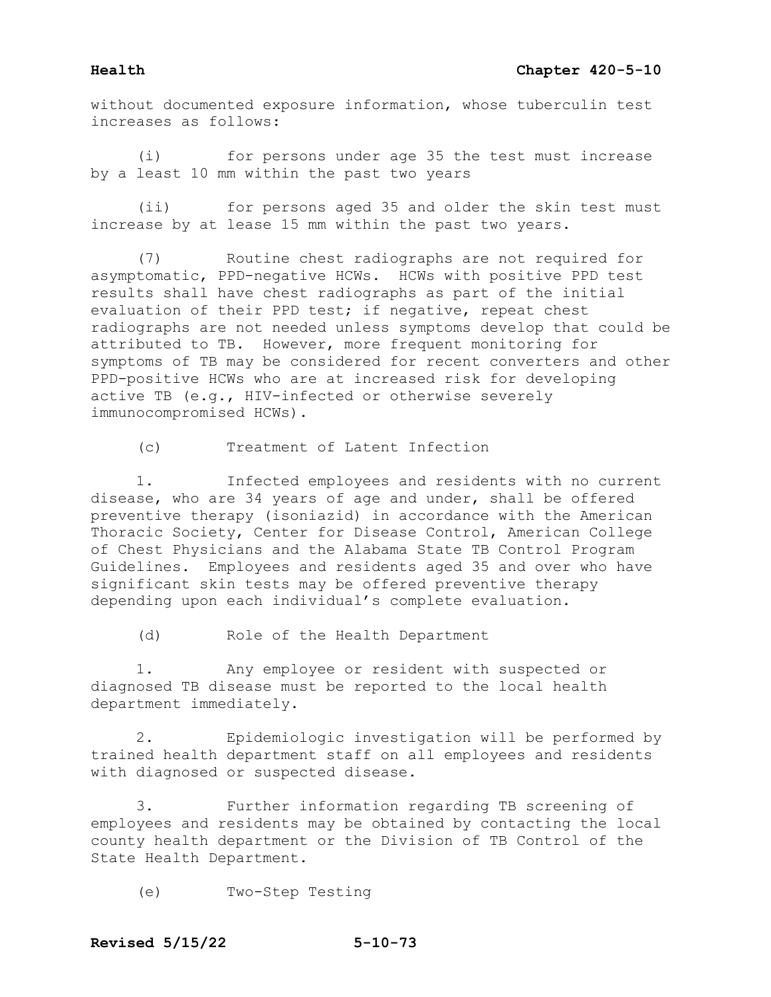without documented exposure information, whose tuberculin test increases as follows:

(i) for persons under age 35 the test must increase by a least 10 mm within the past two years

(ii) for persons aged 35 and older the skin test must increase by at lease 15 mm within the past two years.

(7) Routine chest radiographs are not required for asymptomatic, PPD-negative HCWs. HCWs with positive PPD test results shall have chest radiographs as part of the initial evaluation of their PPD test; if negative, repeat chest radiographs are not needed unless symptoms develop that could be attributed to TB. However, more frequent monitoring for symptoms of TB may be considered for recent converters and other PPD-positive HCWs who are at increased risk for developing active TB (e.g., HIV-infected or otherwise severely immunocompromised HCWs).

(c) Treatment of Latent Infection

1. Infected employees and residents with no current disease, who are 34 years of age and under, shall be offered preventive therapy (isoniazid) in accordance with the American Thoracic Society, Center for Disease Control, American College of Chest Physicians and the Alabama State TB Control Program Guidelines. Employees and residents aged 35 and over who have significant skin tests may be offered preventive therapy depending upon each individual's complete evaluation.

(d) Role of the Health Department

1. Any employee or resident with suspected or diagnosed TB disease must be reported to the local health department immediately.

2. Epidemiologic investigation will be performed by trained health department staff on all employees and residents with diagnosed or suspected disease.

3. Further information regarding TB screening of employees and residents may be obtained by contacting the local county health department or the Division of TB Control of the State Health Department.

(e) Two-Step Testing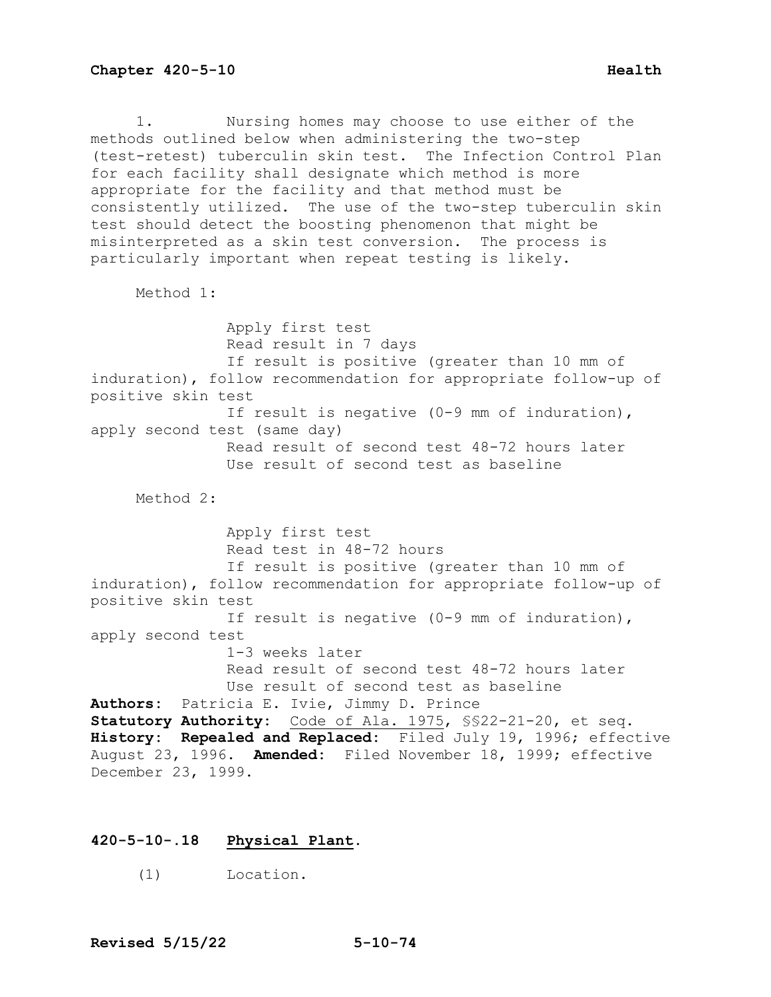1. Nursing homes may choose to use either of the methods outlined below when administering the two-step (test-retest) tuberculin skin test. The Infection Control Plan for each facility shall designate which method is more appropriate for the facility and that method must be

consistently utilized. The use of the two-step tuberculin skin test should detect the boosting phenomenon that might be misinterpreted as a skin test conversion. The process is particularly important when repeat testing is likely.

Method 1:

 Apply first test Read result in 7 days If result is positive (greater than 10 mm of induration), follow recommendation for appropriate follow-up of positive skin test If result is negative (0-9 mm of induration), apply second test (same day) Read result of second test 48-72 hours later Use result of second test as baseline Method 2: Apply first test Read test in 48-72 hours If result is positive (greater than 10 mm of induration), follow recommendation for appropriate follow-up of positive skin test If result is negative (0-9 mm of induration), apply second test 1-3 weeks later Read result of second test 48-72 hours later Use result of second test as baseline **Authors:** Patricia E. Ivie, Jimmy D. Prince **Statutory Authority:** Code of Ala. 1975, §§22-21-20, et seq. **History: Repealed and Replaced:** Filed July 19, 1996; effective August 23, 1996. **Amended:** Filed November 18, 1999; effective December 23, 1999.

# **420-5-10-.18 Physical Plant.**

(1) Location.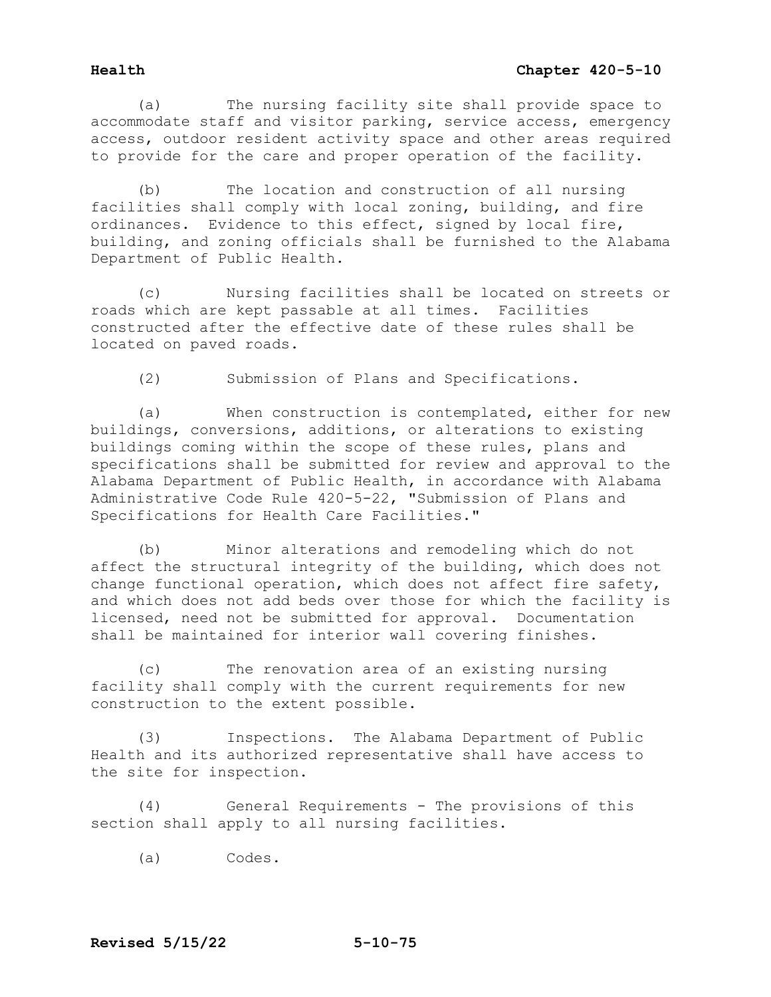(a) The nursing facility site shall provide space to accommodate staff and visitor parking, service access, emergency access, outdoor resident activity space and other areas required to provide for the care and proper operation of the facility.

(b) The location and construction of all nursing facilities shall comply with local zoning, building, and fire ordinances. Evidence to this effect, signed by local fire, building, and zoning officials shall be furnished to the Alabama Department of Public Health.

(c) Nursing facilities shall be located on streets or roads which are kept passable at all times. Facilities constructed after the effective date of these rules shall be located on paved roads.

(2) Submission of Plans and Specifications.

(a) When construction is contemplated, either for new buildings, conversions, additions, or alterations to existing buildings coming within the scope of these rules, plans and specifications shall be submitted for review and approval to the Alabama Department of Public Health, in accordance with Alabama Administrative Code Rule 420-5-22, "Submission of Plans and Specifications for Health Care Facilities."

(b) Minor alterations and remodeling which do not affect the structural integrity of the building, which does not change functional operation, which does not affect fire safety, and which does not add beds over those for which the facility is licensed, need not be submitted for approval. Documentation shall be maintained for interior wall covering finishes.

(c) The renovation area of an existing nursing facility shall comply with the current requirements for new construction to the extent possible.

(3) Inspections. The Alabama Department of Public Health and its authorized representative shall have access to the site for inspection.

(4) General Requirements - The provisions of this section shall apply to all nursing facilities.

(a) Codes.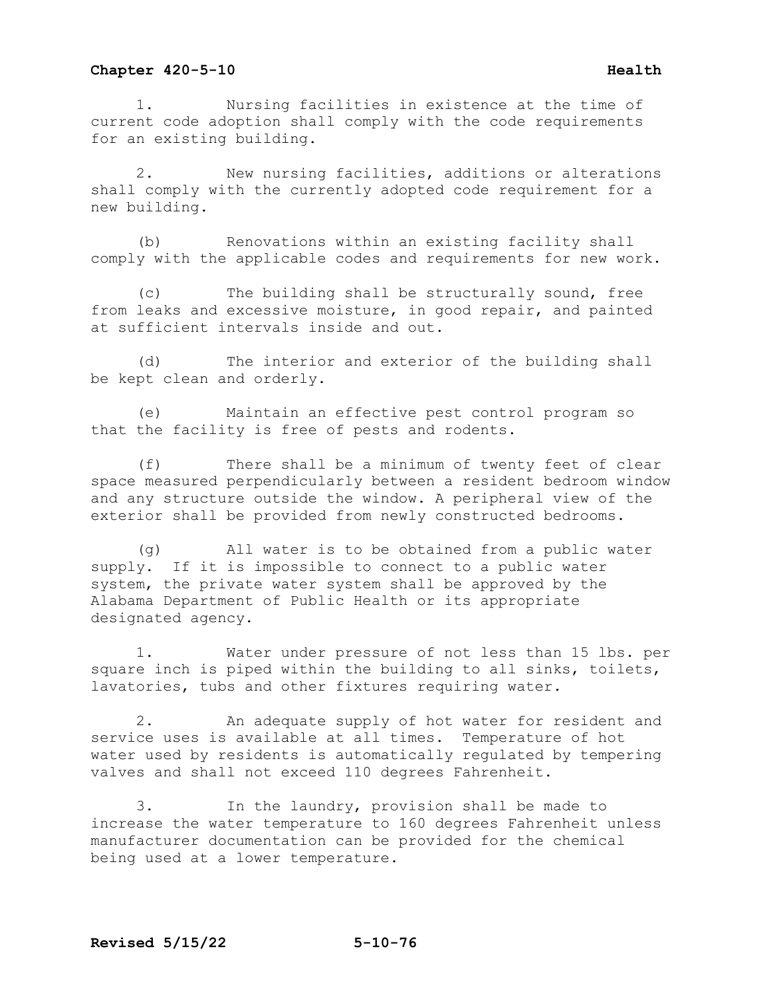1. Nursing facilities in existence at the time of current code adoption shall comply with the code requirements for an existing building.

2. New nursing facilities, additions or alterations shall comply with the currently adopted code requirement for a new building.

(b) Renovations within an existing facility shall comply with the applicable codes and requirements for new work.

(c) The building shall be structurally sound, free from leaks and excessive moisture, in good repair, and painted at sufficient intervals inside and out.

(d) The interior and exterior of the building shall be kept clean and orderly.

(e) Maintain an effective pest control program so that the facility is free of pests and rodents.

(f) There shall be a minimum of twenty feet of clear space measured perpendicularly between a resident bedroom window and any structure outside the window. A peripheral view of the exterior shall be provided from newly constructed bedrooms.

(g) All water is to be obtained from a public water supply. If it is impossible to connect to a public water system, the private water system shall be approved by the Alabama Department of Public Health or its appropriate designated agency.

1. Water under pressure of not less than 15 lbs. per square inch is piped within the building to all sinks, toilets, lavatories, tubs and other fixtures requiring water.

2. An adequate supply of hot water for resident and service uses is available at all times. Temperature of hot water used by residents is automatically regulated by tempering valves and shall not exceed 110 degrees Fahrenheit.

3. In the laundry, provision shall be made to increase the water temperature to 160 degrees Fahrenheit unless manufacturer documentation can be provided for the chemical being used at a lower temperature.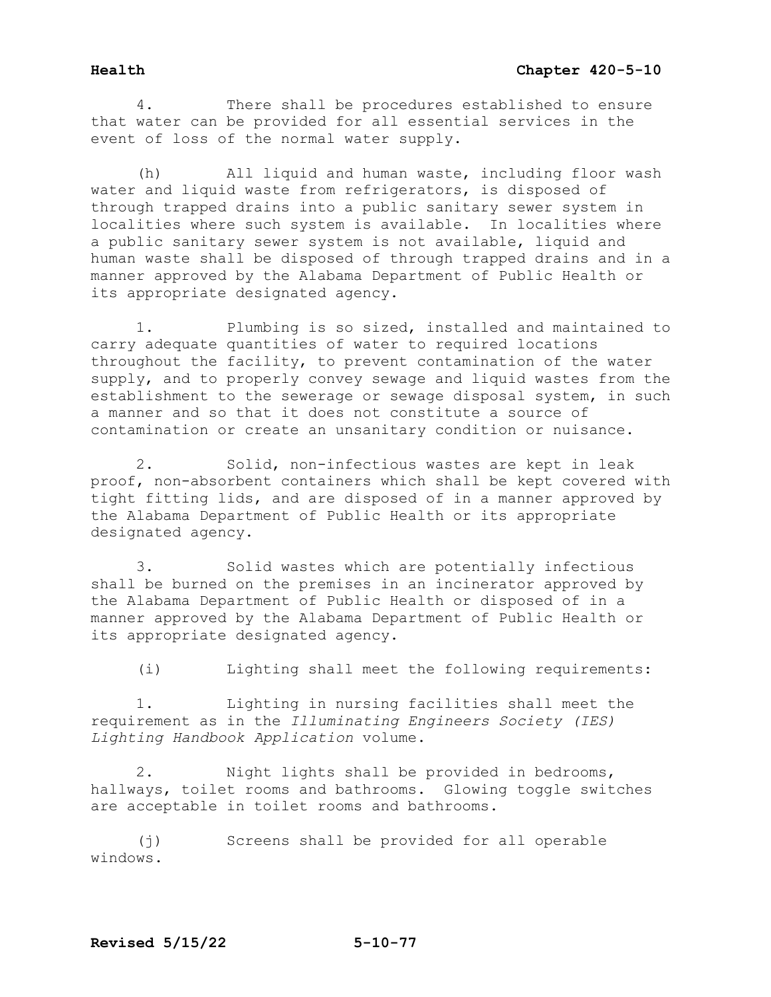4. There shall be procedures established to ensure that water can be provided for all essential services in the event of loss of the normal water supply.

(h) All liquid and human waste, including floor wash water and liquid waste from refrigerators, is disposed of through trapped drains into a public sanitary sewer system in localities where such system is available. In localities where a public sanitary sewer system is not available, liquid and human waste shall be disposed of through trapped drains and in a manner approved by the Alabama Department of Public Health or its appropriate designated agency.

1. Plumbing is so sized, installed and maintained to carry adequate quantities of water to required locations throughout the facility, to prevent contamination of the water supply, and to properly convey sewage and liquid wastes from the establishment to the sewerage or sewage disposal system, in such a manner and so that it does not constitute a source of contamination or create an unsanitary condition or nuisance.

2. Solid, non-infectious wastes are kept in leak proof, non-absorbent containers which shall be kept covered with tight fitting lids, and are disposed of in a manner approved by the Alabama Department of Public Health or its appropriate designated agency.

3. Solid wastes which are potentially infectious shall be burned on the premises in an incinerator approved by the Alabama Department of Public Health or disposed of in a manner approved by the Alabama Department of Public Health or its appropriate designated agency.

(i) Lighting shall meet the following requirements:

1. Lighting in nursing facilities shall meet the requirement as in the *Illuminating Engineers Society (IES) Lighting Handbook Application* volume.

2. Night lights shall be provided in bedrooms, hallways, toilet rooms and bathrooms. Glowing toggle switches are acceptable in toilet rooms and bathrooms.

(j) Screens shall be provided for all operable windows.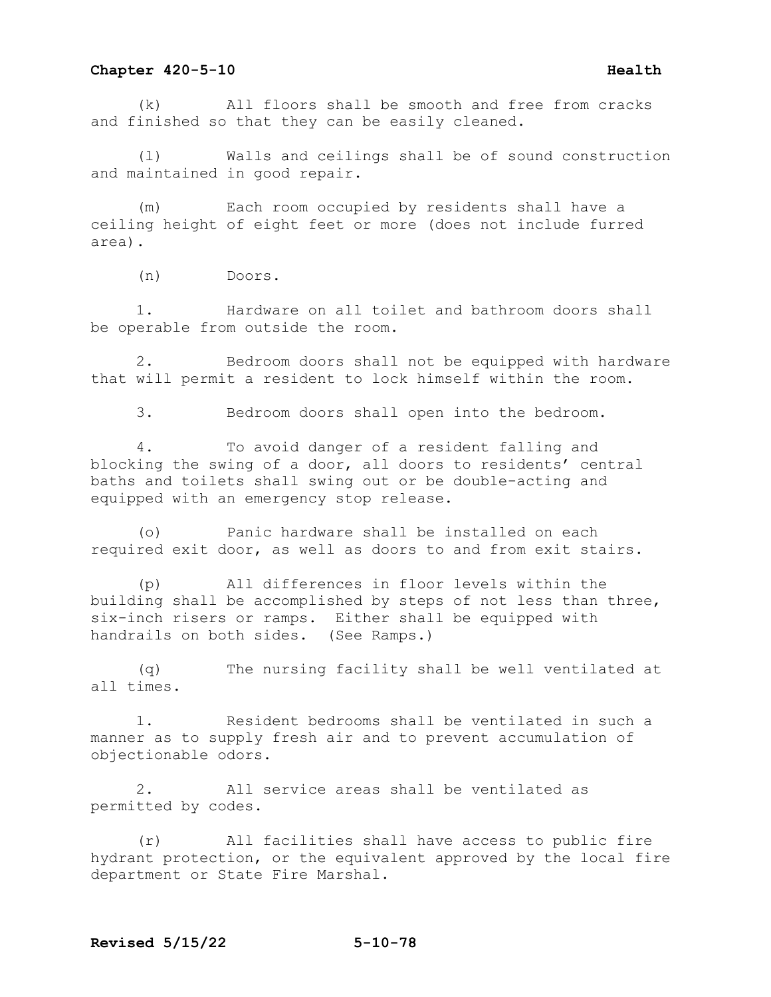(k) All floors shall be smooth and free from cracks and finished so that they can be easily cleaned.

Walls and ceilings shall be of sound construction and maintained in good repair.

(m) Each room occupied by residents shall have a ceiling height of eight feet or more (does not include furred area).

(n) Doors.

1. Hardware on all toilet and bathroom doors shall be operable from outside the room.

2. Bedroom doors shall not be equipped with hardware that will permit a resident to lock himself within the room.

3. Bedroom doors shall open into the bedroom.

4. To avoid danger of a resident falling and blocking the swing of a door, all doors to residents' central baths and toilets shall swing out or be double-acting and equipped with an emergency stop release.

(o) Panic hardware shall be installed on each required exit door, as well as doors to and from exit stairs.

(p) All differences in floor levels within the building shall be accomplished by steps of not less than three, six-inch risers or ramps. Either shall be equipped with handrails on both sides. (See Ramps.)

(q) The nursing facility shall be well ventilated at all times.

1. Resident bedrooms shall be ventilated in such a manner as to supply fresh air and to prevent accumulation of objectionable odors.

2. All service areas shall be ventilated as permitted by codes.

(r) All facilities shall have access to public fire hydrant protection, or the equivalent approved by the local fire department or State Fire Marshal.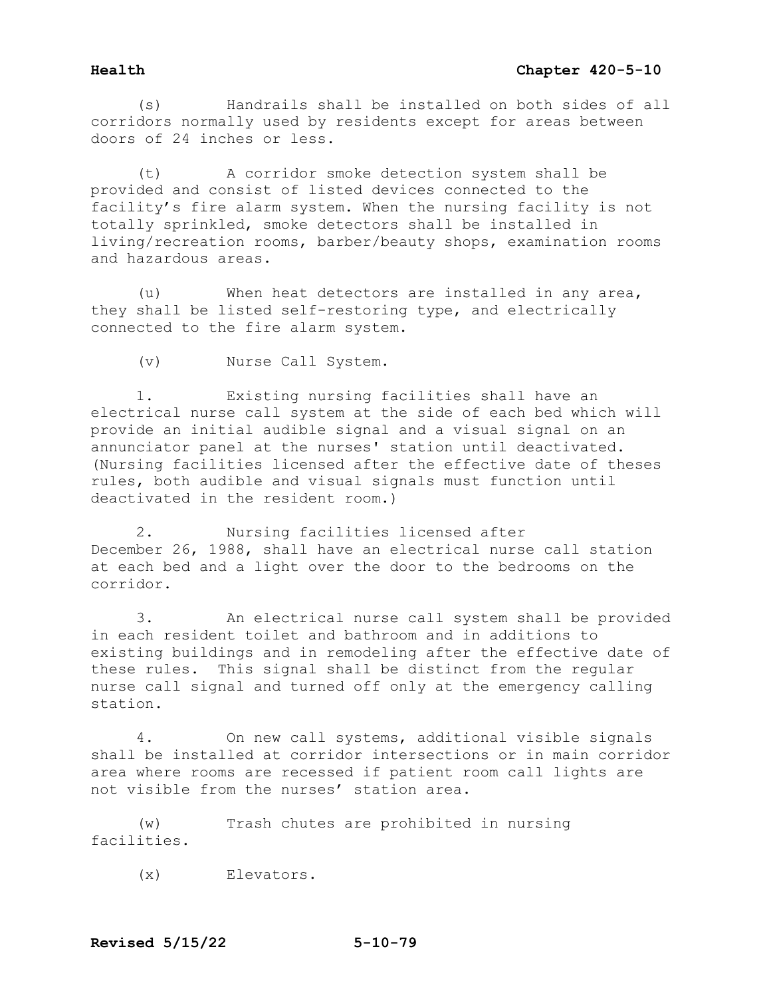(s) Handrails shall be installed on both sides of all corridors normally used by residents except for areas between doors of 24 inches or less.

(t) A corridor smoke detection system shall be provided and consist of listed devices connected to the facility's fire alarm system. When the nursing facility is not totally sprinkled, smoke detectors shall be installed in living/recreation rooms, barber/beauty shops, examination rooms and hazardous areas.

(u) When heat detectors are installed in any area, they shall be listed self-restoring type, and electrically connected to the fire alarm system.

(v) Nurse Call System.

1. Existing nursing facilities shall have an electrical nurse call system at the side of each bed which will provide an initial audible signal and a visual signal on an annunciator panel at the nurses' station until deactivated. (Nursing facilities licensed after the effective date of theses rules, both audible and visual signals must function until deactivated in the resident room.)

2. Nursing facilities licensed after December 26, 1988, shall have an electrical nurse call station at each bed and a light over the door to the bedrooms on the corridor.

3. An electrical nurse call system shall be provided in each resident toilet and bathroom and in additions to existing buildings and in remodeling after the effective date of these rules. This signal shall be distinct from the regular nurse call signal and turned off only at the emergency calling station.

4. On new call systems, additional visible signals shall be installed at corridor intersections or in main corridor area where rooms are recessed if patient room call lights are not visible from the nurses' station area.

(w) Trash chutes are prohibited in nursing facilities.

(x) Elevators.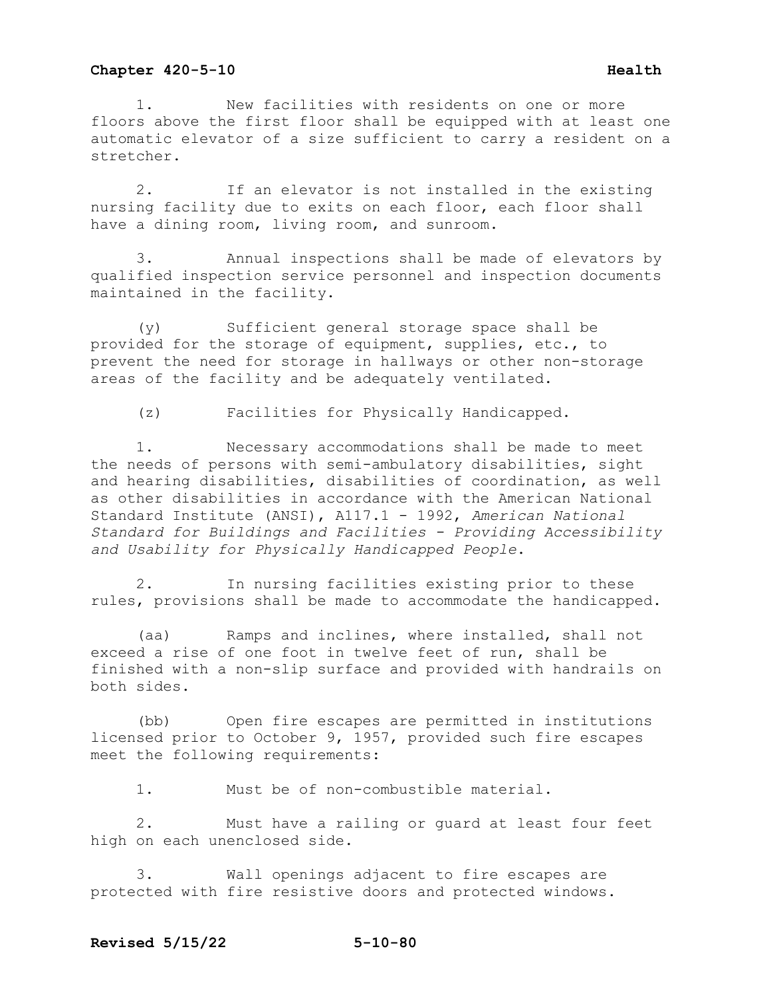1. New facilities with residents on one or more floors above the first floor shall be equipped with at least one automatic elevator of a size sufficient to carry a resident on a stretcher.

2. If an elevator is not installed in the existing nursing facility due to exits on each floor, each floor shall have a dining room, living room, and sunroom.

3. Annual inspections shall be made of elevators by qualified inspection service personnel and inspection documents maintained in the facility.

(y) Sufficient general storage space shall be provided for the storage of equipment, supplies, etc., to prevent the need for storage in hallways or other non-storage areas of the facility and be adequately ventilated.

(z) Facilities for Physically Handicapped.

1. Necessary accommodations shall be made to meet the needs of persons with semi-ambulatory disabilities, sight and hearing disabilities, disabilities of coordination, as well as other disabilities in accordance with the American National Standard Institute (ANSI), A117.1 - 1992, *American National Standard for Buildings and Facilities - Providing Accessibility and Usability for Physically Handicapped People*.

2. In nursing facilities existing prior to these rules, provisions shall be made to accommodate the handicapped.

(aa) Ramps and inclines, where installed, shall not exceed a rise of one foot in twelve feet of run, shall be finished with a non-slip surface and provided with handrails on both sides.

(bb) Open fire escapes are permitted in institutions licensed prior to October 9, 1957, provided such fire escapes meet the following requirements:

1. Must be of non-combustible material.

2. Must have a railing or guard at least four feet high on each unenclosed side.

3. Wall openings adjacent to fire escapes are protected with fire resistive doors and protected windows.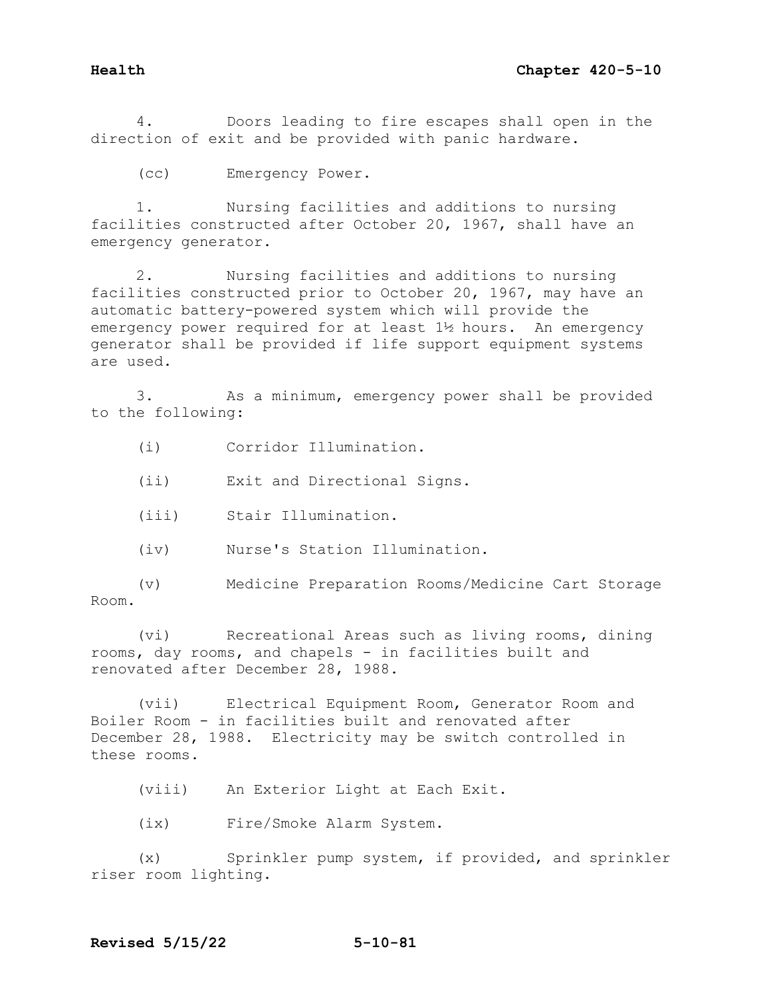4. Doors leading to fire escapes shall open in the direction of exit and be provided with panic hardware.

(cc) Emergency Power.

1. Nursing facilities and additions to nursing facilities constructed after October 20, 1967, shall have an emergency generator.

2. Nursing facilities and additions to nursing facilities constructed prior to October 20, 1967, may have an automatic battery-powered system which will provide the emergency power required for at least 1½ hours. An emergency generator shall be provided if life support equipment systems are used.

3. As a minimum, emergency power shall be provided to the following:

- (i) Corridor Illumination.
- (ii) Exit and Directional Signs.
- (iii) Stair Illumination.
- (iv) Nurse's Station Illumination.

(v) Medicine Preparation Rooms/Medicine Cart Storage Room.

(vi) Recreational Areas such as living rooms, dining rooms, day rooms, and chapels - in facilities built and renovated after December 28, 1988.

(vii) Electrical Equipment Room, Generator Room and Boiler Room - in facilities built and renovated after December 28, 1988. Electricity may be switch controlled in these rooms.

(viii) An Exterior Light at Each Exit.

(ix) Fire/Smoke Alarm System.

(x) Sprinkler pump system, if provided, and sprinkler riser room lighting.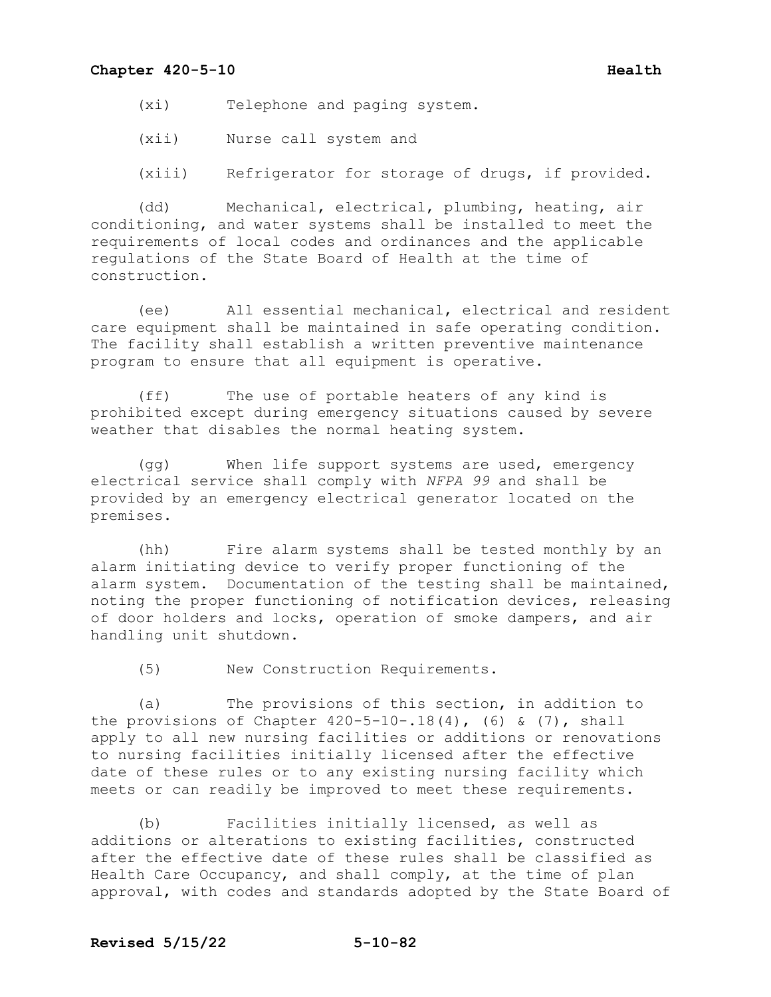(xi) Telephone and paging system.

(xii) Nurse call system and

(xiii) Refrigerator for storage of drugs, if provided.

(dd) Mechanical, electrical, plumbing, heating, air conditioning, and water systems shall be installed to meet the requirements of local codes and ordinances and the applicable regulations of the State Board of Health at the time of construction.

(ee) All essential mechanical, electrical and resident care equipment shall be maintained in safe operating condition. The facility shall establish a written preventive maintenance program to ensure that all equipment is operative.

(ff) The use of portable heaters of any kind is prohibited except during emergency situations caused by severe weather that disables the normal heating system.

(gg) When life support systems are used, emergency electrical service shall comply with *NFPA 99* and shall be provided by an emergency electrical generator located on the premises.

(hh) Fire alarm systems shall be tested monthly by an alarm initiating device to verify proper functioning of the alarm system. Documentation of the testing shall be maintained, noting the proper functioning of notification devices, releasing of door holders and locks, operation of smoke dampers, and air handling unit shutdown.

(5) New Construction Requirements.

(a) The provisions of this section, in addition to the provisions of Chapter  $420 - 5 - 10 - 0.18(4)$ , (6) & (7), shall apply to all new nursing facilities or additions or renovations to nursing facilities initially licensed after the effective date of these rules or to any existing nursing facility which meets or can readily be improved to meet these requirements.

(b) Facilities initially licensed, as well as additions or alterations to existing facilities, constructed after the effective date of these rules shall be classified as Health Care Occupancy, and shall comply, at the time of plan approval, with codes and standards adopted by the State Board of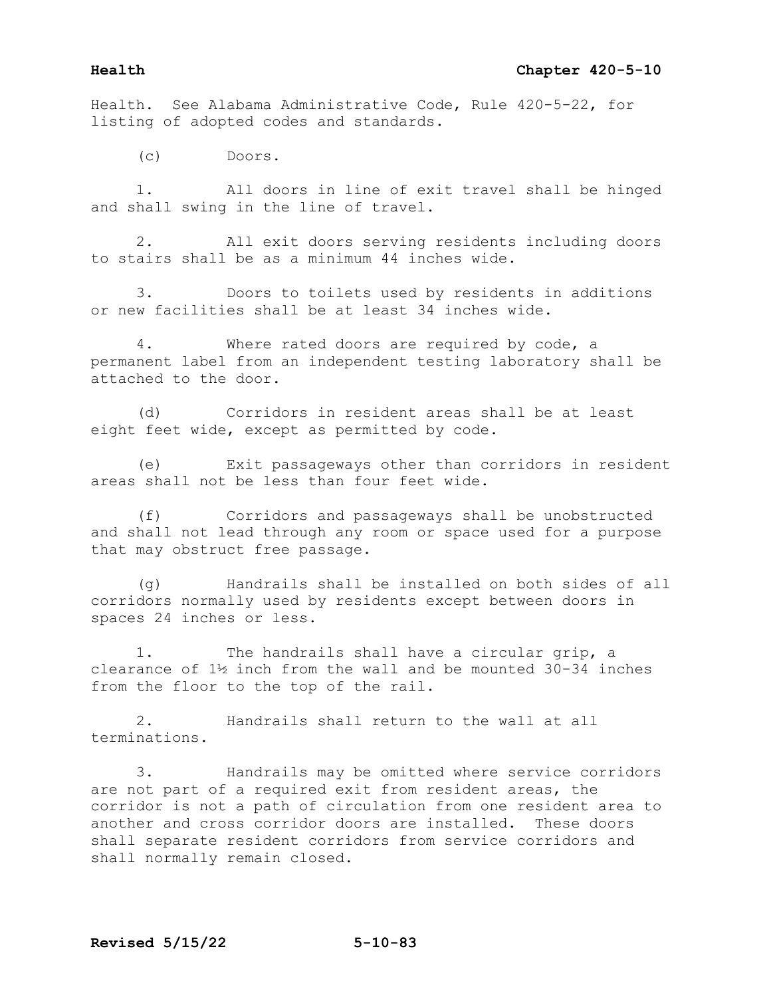Health. See Alabama Administrative Code, Rule 420-5-22, for listing of adopted codes and standards.

(c) Doors.

1. All doors in line of exit travel shall be hinged and shall swing in the line of travel.

2. All exit doors serving residents including doors to stairs shall be as a minimum 44 inches wide.

3. Doors to toilets used by residents in additions or new facilities shall be at least 34 inches wide.

4. Where rated doors are required by code, a permanent label from an independent testing laboratory shall be attached to the door.

(d) Corridors in resident areas shall be at least eight feet wide, except as permitted by code.

(e) Exit passageways other than corridors in resident areas shall not be less than four feet wide.

(f) Corridors and passageways shall be unobstructed and shall not lead through any room or space used for a purpose that may obstruct free passage.

(g) Handrails shall be installed on both sides of all corridors normally used by residents except between doors in spaces 24 inches or less.

1. The handrails shall have a circular grip, a clearance of 1½ inch from the wall and be mounted 30-34 inches from the floor to the top of the rail.

2. Handrails shall return to the wall at all terminations.

3. Handrails may be omitted where service corridors are not part of a required exit from resident areas, the corridor is not a path of circulation from one resident area to another and cross corridor doors are installed. These doors shall separate resident corridors from service corridors and shall normally remain closed.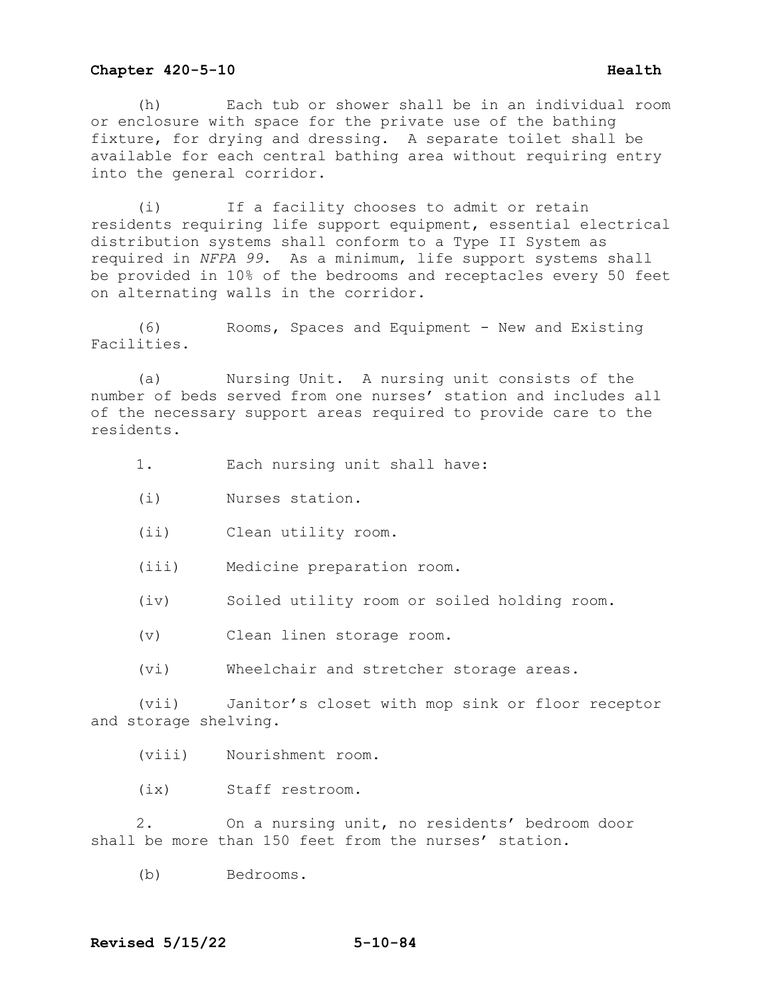(h) Each tub or shower shall be in an individual room or enclosure with space for the private use of the bathing fixture, for drying and dressing. A separate toilet shall be available for each central bathing area without requiring entry into the general corridor.

(i) If a facility chooses to admit or retain residents requiring life support equipment, essential electrical distribution systems shall conform to a Type II System as required in *NFPA 99*. As a minimum, life support systems shall be provided in 10% of the bedrooms and receptacles every 50 feet on alternating walls in the corridor.

(6) Rooms, Spaces and Equipment - New and Existing Facilities.

(a) Nursing Unit. A nursing unit consists of the number of beds served from one nurses' station and includes all of the necessary support areas required to provide care to the residents.

1. Each nursing unit shall have:

- (i) Nurses station.
- (ii) Clean utility room.
- (iii) Medicine preparation room.
- (iv) Soiled utility room or soiled holding room.
- (v) Clean linen storage room.
- (vi) Wheelchair and stretcher storage areas.

(vii) Janitor's closet with mop sink or floor receptor and storage shelving.

(viii) Nourishment room.

(ix) Staff restroom.

2. On a nursing unit, no residents' bedroom door shall be more than 150 feet from the nurses' station.

(b) Bedrooms.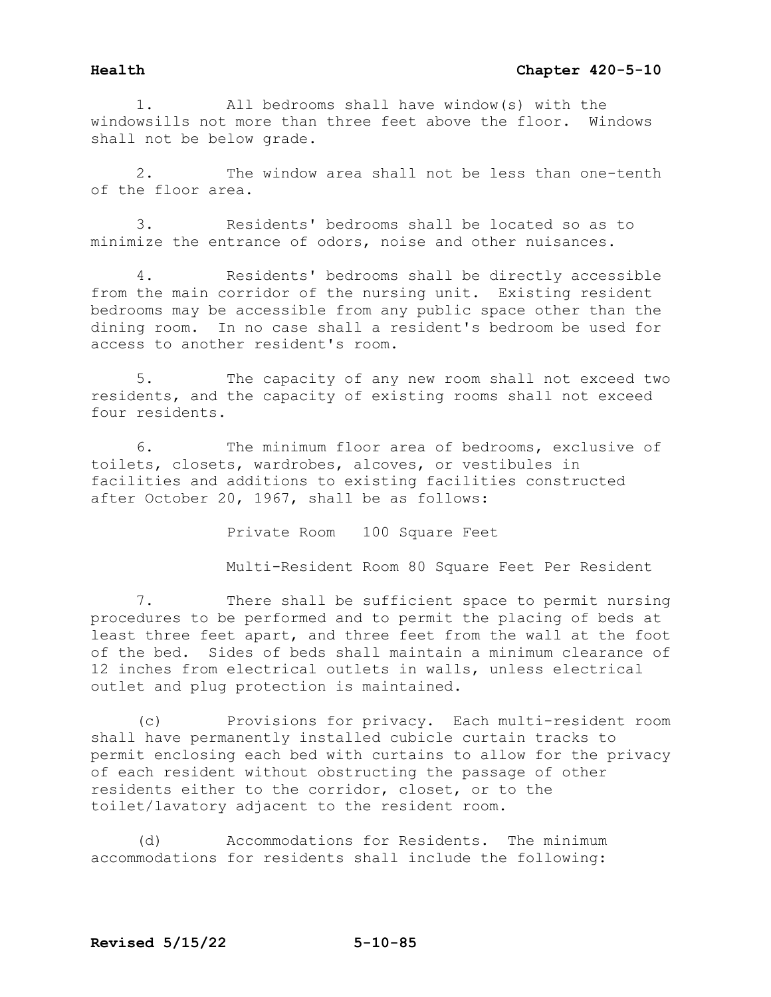1. All bedrooms shall have window(s) with the windowsills not more than three feet above the floor. Windows shall not be below grade.

2. The window area shall not be less than one-tenth of the floor area.

3. Residents' bedrooms shall be located so as to minimize the entrance of odors, noise and other nuisances.

4. Residents' bedrooms shall be directly accessible from the main corridor of the nursing unit. Existing resident bedrooms may be accessible from any public space other than the dining room. In no case shall a resident's bedroom be used for access to another resident's room.

5. The capacity of any new room shall not exceed two residents, and the capacity of existing rooms shall not exceed four residents.

6. The minimum floor area of bedrooms, exclusive of toilets, closets, wardrobes, alcoves, or vestibules in facilities and additions to existing facilities constructed after October 20, 1967, shall be as follows:

> Private Room 100 Square Feet Multi-Resident Room 80 Square Feet Per Resident

7. There shall be sufficient space to permit nursing procedures to be performed and to permit the placing of beds at least three feet apart, and three feet from the wall at the foot of the bed. Sides of beds shall maintain a minimum clearance of 12 inches from electrical outlets in walls, unless electrical outlet and plug protection is maintained.

(c) Provisions for privacy. Each multi-resident room shall have permanently installed cubicle curtain tracks to permit enclosing each bed with curtains to allow for the privacy of each resident without obstructing the passage of other residents either to the corridor, closet, or to the toilet/lavatory adjacent to the resident room.

(d) Accommodations for Residents. The minimum accommodations for residents shall include the following: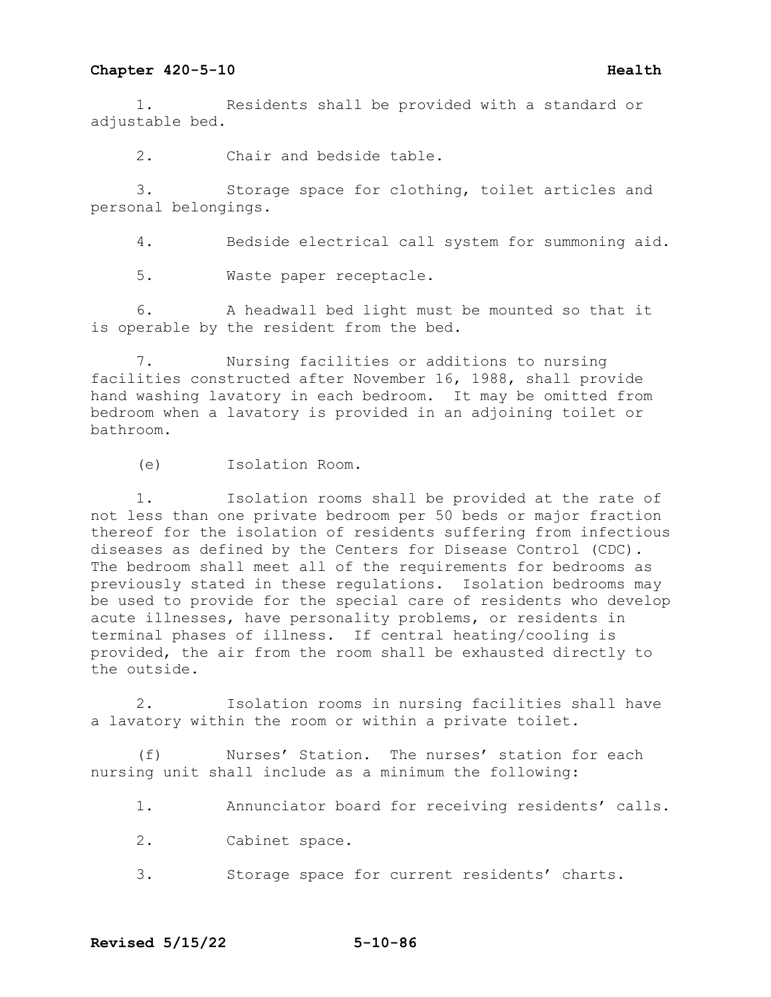1. Residents shall be provided with a standard or adjustable bed.

2. Chair and bedside table.

3. Storage space for clothing, toilet articles and personal belongings.

4. Bedside electrical call system for summoning aid.

5. Waste paper receptacle.

6. A headwall bed light must be mounted so that it is operable by the resident from the bed.

7. Nursing facilities or additions to nursing facilities constructed after November 16, 1988, shall provide hand washing lavatory in each bedroom. It may be omitted from bedroom when a lavatory is provided in an adjoining toilet or bathroom.

(e) Isolation Room.

1. Isolation rooms shall be provided at the rate of not less than one private bedroom per 50 beds or major fraction thereof for the isolation of residents suffering from infectious diseases as defined by the Centers for Disease Control (CDC). The bedroom shall meet all of the requirements for bedrooms as previously stated in these regulations. Isolation bedrooms may be used to provide for the special care of residents who develop acute illnesses, have personality problems, or residents in terminal phases of illness. If central heating/cooling is provided, the air from the room shall be exhausted directly to the outside.

2. Isolation rooms in nursing facilities shall have a lavatory within the room or within a private toilet.

(f) Nurses' Station. The nurses' station for each nursing unit shall include as a minimum the following:

1. Annunciator board for receiving residents' calls.

- 2. Cabinet space.
- 3. Storage space for current residents' charts.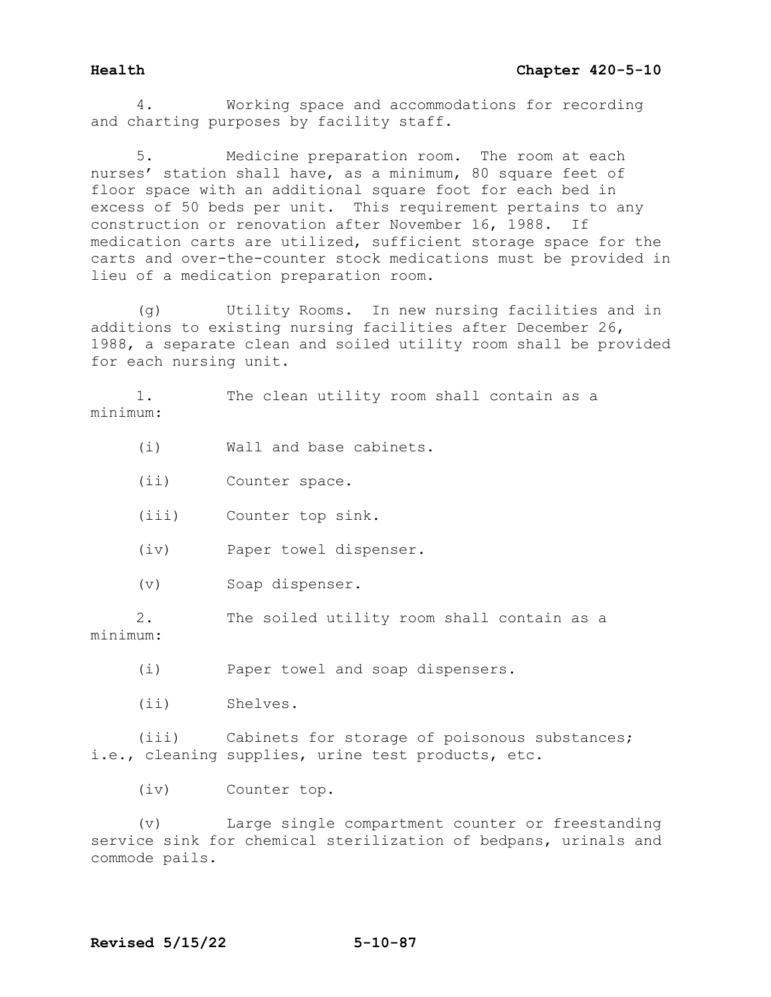4. Working space and accommodations for recording and charting purposes by facility staff.

Medicine preparation room. The room at each nurses' station shall have, as a minimum, 80 square feet of floor space with an additional square foot for each bed in excess of 50 beds per unit. This requirement pertains to any construction or renovation after November 16, 1988. If medication carts are utilized, sufficient storage space for the carts and over-the-counter stock medications must be provided in lieu of a medication preparation room.

(g) Utility Rooms. In new nursing facilities and in additions to existing nursing facilities after December 26, 1988, a separate clean and soiled utility room shall be provided for each nursing unit.

1. The clean utility room shall contain as a minimum:

(i) Wall and base cabinets.

(ii) Counter space.

(iii) Counter top sink.

(iv) Paper towel dispenser.

(v) Soap dispenser.

2. The soiled utility room shall contain as a

minimum:

(i) Paper towel and soap dispensers.

(ii) Shelves.

(iii) Cabinets for storage of poisonous substances; i.e., cleaning supplies, urine test products, etc.

(iv) Counter top.

(v) Large single compartment counter or freestanding service sink for chemical sterilization of bedpans, urinals and commode pails.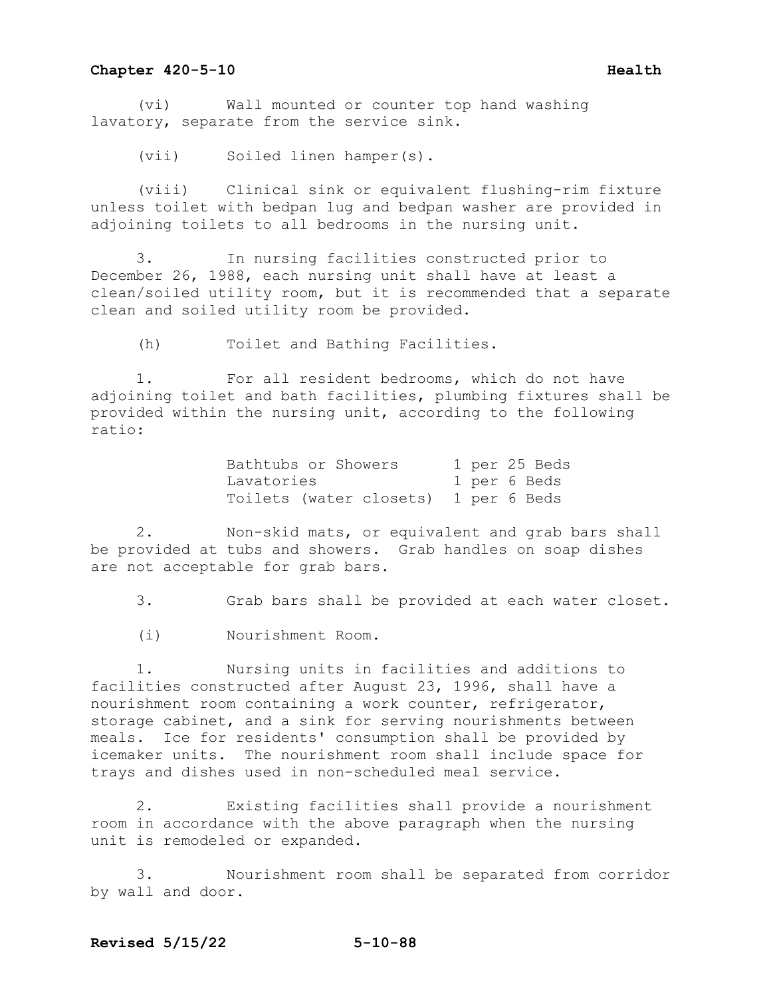(vi) Wall mounted or counter top hand washing lavatory, separate from the service sink.

(vii) Soiled linen hamper(s).

(viii) Clinical sink or equivalent flushing-rim fixture unless toilet with bedpan lug and bedpan washer are provided in adjoining toilets to all bedrooms in the nursing unit.

3. In nursing facilities constructed prior to December 26, 1988, each nursing unit shall have at least a clean/soiled utility room, but it is recommended that a separate clean and soiled utility room be provided.

(h) Toilet and Bathing Facilities.

1. For all resident bedrooms, which do not have adjoining toilet and bath facilities, plumbing fixtures shall be provided within the nursing unit, according to the following ratio:

> Bathtubs or Showers 1 per 25 Beds<br>
> Lavatories 1 per 6 Beds Lavatories 1 per 6 Bedson Toilets (water closets) 1 per 6 Beds

2. Non-skid mats, or equivalent and grab bars shall be provided at tubs and showers. Grab handles on soap dishes are not acceptable for grab bars.

3. Grab bars shall be provided at each water closet.

(i) Nourishment Room.

1. Nursing units in facilities and additions to facilities constructed after August 23, 1996, shall have a nourishment room containing a work counter, refrigerator, storage cabinet, and a sink for serving nourishments between meals. Ice for residents' consumption shall be provided by icemaker units. The nourishment room shall include space for trays and dishes used in non-scheduled meal service.

2. Existing facilities shall provide a nourishment room in accordance with the above paragraph when the nursing unit is remodeled or expanded.

3. Nourishment room shall be separated from corridor by wall and door.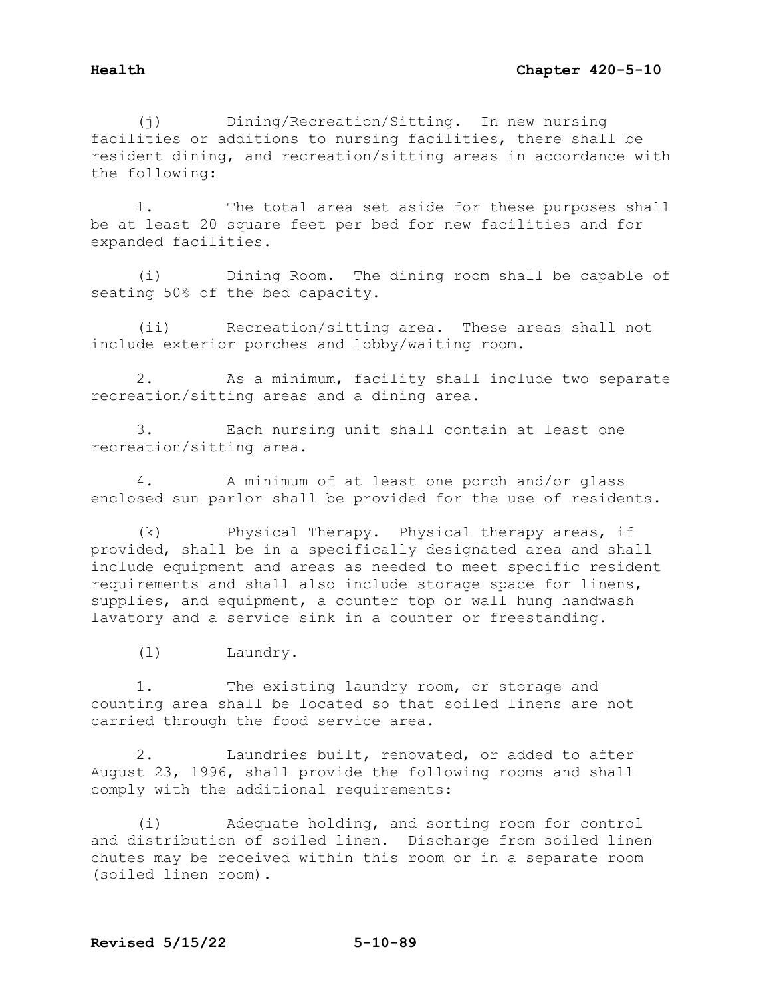(j) Dining/Recreation/Sitting. In new nursing facilities or additions to nursing facilities, there shall be resident dining, and recreation/sitting areas in accordance with the following:

1. The total area set aside for these purposes shall be at least 20 square feet per bed for new facilities and for expanded facilities.

(i) Dining Room. The dining room shall be capable of seating 50% of the bed capacity.

(ii) Recreation/sitting area. These areas shall not include exterior porches and lobby/waiting room.

2. As a minimum, facility shall include two separate recreation/sitting areas and a dining area.

3. Each nursing unit shall contain at least one recreation/sitting area.

4. A minimum of at least one porch and/or glass enclosed sun parlor shall be provided for the use of residents.

(k) Physical Therapy. Physical therapy areas, if provided, shall be in a specifically designated area and shall include equipment and areas as needed to meet specific resident requirements and shall also include storage space for linens, supplies, and equipment, a counter top or wall hung handwash lavatory and a service sink in a counter or freestanding.

(l) Laundry.

1. The existing laundry room, or storage and counting area shall be located so that soiled linens are not carried through the food service area.

2. Laundries built, renovated, or added to after August 23, 1996, shall provide the following rooms and shall comply with the additional requirements:

(i) Adequate holding, and sorting room for control and distribution of soiled linen. Discharge from soiled linen chutes may be received within this room or in a separate room (soiled linen room).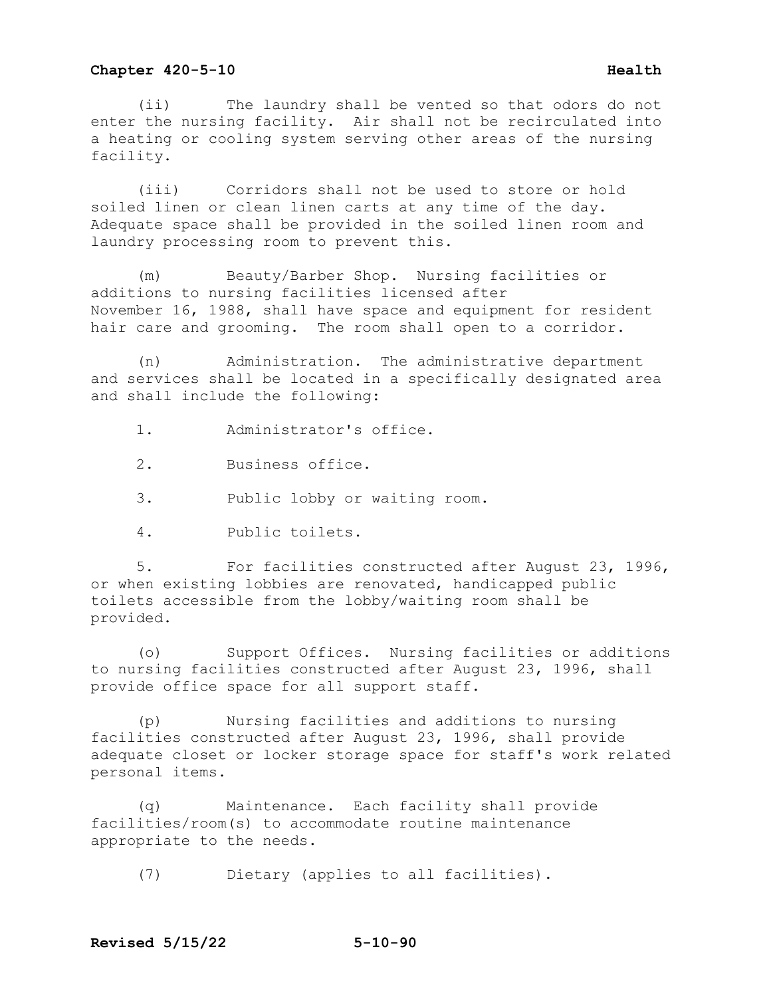(ii) The laundry shall be vented so that odors do not enter the nursing facility. Air shall not be recirculated into a heating or cooling system serving other areas of the nursing facility.

(iii) Corridors shall not be used to store or hold soiled linen or clean linen carts at any time of the day. Adequate space shall be provided in the soiled linen room and laundry processing room to prevent this.

(m) Beauty/Barber Shop. Nursing facilities or additions to nursing facilities licensed after November 16, 1988, shall have space and equipment for resident hair care and grooming. The room shall open to a corridor.

(n) Administration. The administrative department and services shall be located in a specifically designated area and shall include the following:

1. Administrator's office.

2. Business office.

3. Public lobby or waiting room.

4. Public toilets.

5. For facilities constructed after August 23, 1996, or when existing lobbies are renovated, handicapped public toilets accessible from the lobby/waiting room shall be provided.

(o) Support Offices. Nursing facilities or additions to nursing facilities constructed after August 23, 1996, shall provide office space for all support staff.

(p) Nursing facilities and additions to nursing facilities constructed after August 23, 1996, shall provide adequate closet or locker storage space for staff's work related personal items.

(q) Maintenance. Each facility shall provide facilities/room(s) to accommodate routine maintenance appropriate to the needs.

(7) Dietary (applies to all facilities).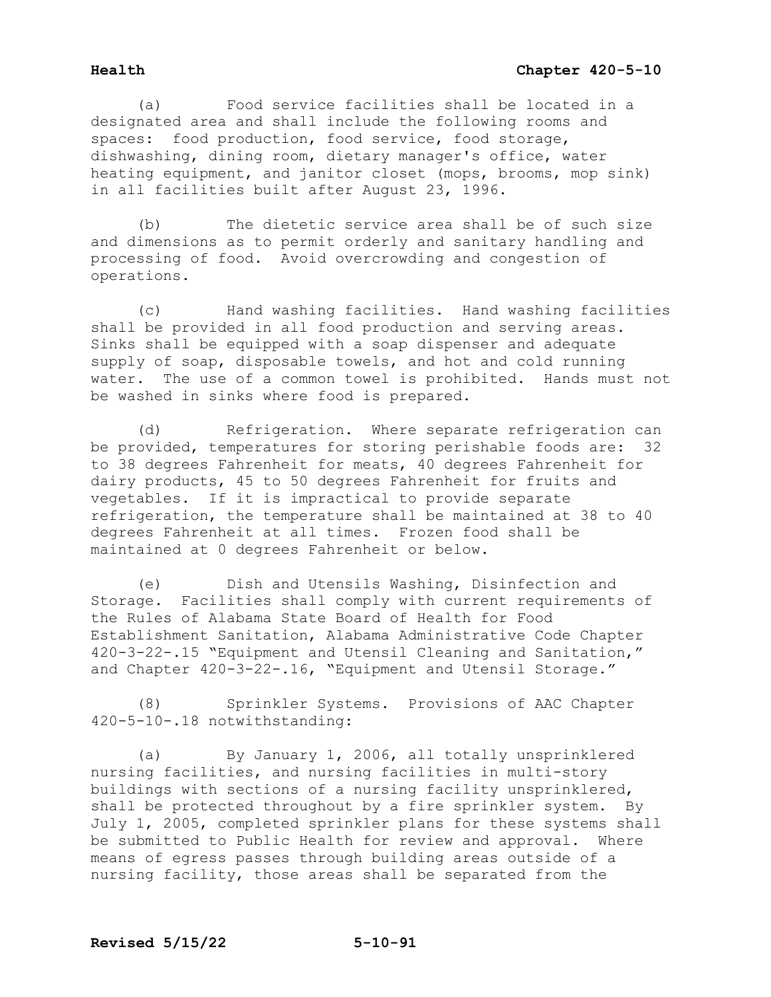(a) Food service facilities shall be located in a designated area and shall include the following rooms and spaces: food production, food service, food storage, dishwashing, dining room, dietary manager's office, water heating equipment, and janitor closet (mops, brooms, mop sink) in all facilities built after August 23, 1996.

(b) The dietetic service area shall be of such size and dimensions as to permit orderly and sanitary handling and processing of food. Avoid overcrowding and congestion of operations.

(c) Hand washing facilities. Hand washing facilities shall be provided in all food production and serving areas. Sinks shall be equipped with a soap dispenser and adequate supply of soap, disposable towels, and hot and cold running water. The use of a common towel is prohibited. Hands must not be washed in sinks where food is prepared.

(d) Refrigeration. Where separate refrigeration can be provided, temperatures for storing perishable foods are: 32 to 38 degrees Fahrenheit for meats, 40 degrees Fahrenheit for dairy products, 45 to 50 degrees Fahrenheit for fruits and vegetables. If it is impractical to provide separate refrigeration, the temperature shall be maintained at 38 to 40 degrees Fahrenheit at all times. Frozen food shall be maintained at 0 degrees Fahrenheit or below.

(e) Dish and Utensils Washing, Disinfection and Storage. Facilities shall comply with current requirements of the Rules of Alabama State Board of Health for Food Establishment Sanitation, Alabama Administrative Code Chapter 420-3-22-.15 "Equipment and Utensil Cleaning and Sanitation," and Chapter 420-3-22-.16, "Equipment and Utensil Storage."

(8) Sprinkler Systems. Provisions of AAC Chapter 420-5-10-.18 notwithstanding:

(a) By January 1, 2006, all totally unsprinklered nursing facilities, and nursing facilities in multi-story buildings with sections of a nursing facility unsprinklered, shall be protected throughout by a fire sprinkler system. By July 1, 2005, completed sprinkler plans for these systems shall be submitted to Public Health for review and approval. Where means of egress passes through building areas outside of a nursing facility, those areas shall be separated from the